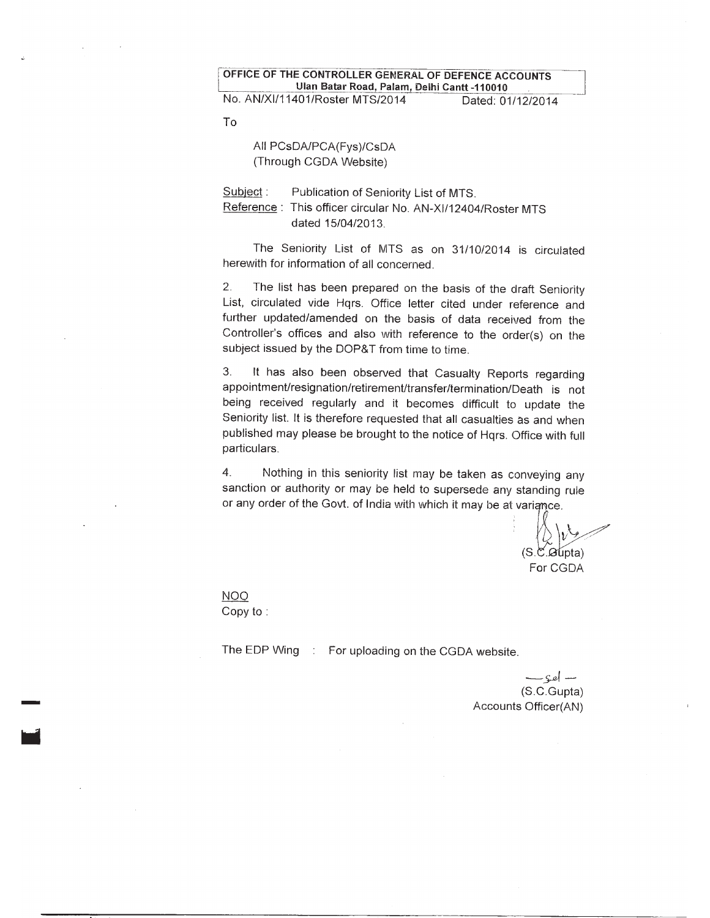OFFICE OF THE CONTROLLER GENERAL OF DEFENCE ACCOUNTS Ulan Batar Road, Palam, Delhi Cantt -110010 No. AN/XI/11401/Roster MTS/2014 Dated: 01/12/2014

**To** 

All PCsDA/PCA(Fys)/CsDA (Through CGDA Website)

Subject: Publication of Seniority List of MTS. Reference: This officer circular No. AN-XI/12404/Roster MTS dated 15/04/2013.

The Seniority List of MTS as on 31/10/2014 is circulated herewith for information of all concerned.

 $\overline{2}$ . The list has been prepared on the basis of the draft Seniority List, circulated vide Hqrs. Office letter cited under reference and further updated/amended on the basis of data received from the Controller's offices and also with reference to the order(s) on the subject issued by the DOP&T from time to time.

3. It has also been observed that Casualty Reports regarding appointment/resignation/retirement/transfer/termination/Death is not being received regularly and it becomes difficult to update the Seniority list. It is therefore requested that all casualties as and when published may please be brought to the notice of Hqrs. Office with full particulars.

 $\overline{4}$ . Nothing in this seniority list may be taken as conveying any sanction or authority or may be held to supersede any standing rule or any order of the Govt. of India with which it may be at variance.

 $(S.\mathfrak{C}.Gupta)$ For CGDA

**NOO** Copy to:

The EDP Wing : For uploading on the CGDA website.

 $-$  sel  $-$ (S.C.Gupta) Accounts Officer(AN)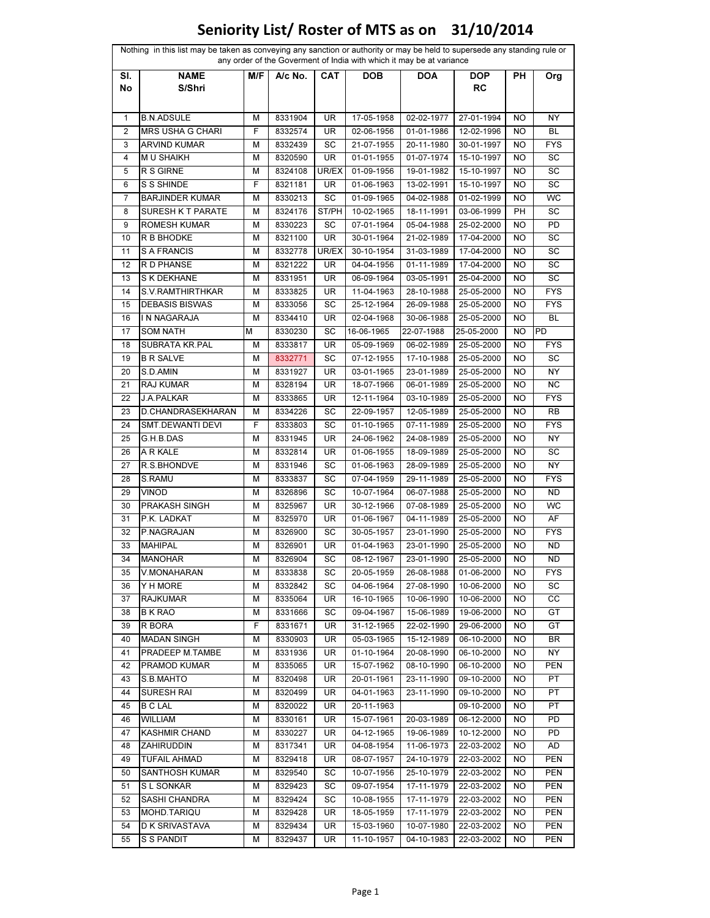| SI.          | <b>NAME</b>             | M/F | A/c No. | CAT             | <b>DOB</b> | any order of the Goverment of India with which it may be at variance<br><b>DOA</b> | <b>DOP</b> | PH        |            |
|--------------|-------------------------|-----|---------|-----------------|------------|------------------------------------------------------------------------------------|------------|-----------|------------|
| No           | S/Shri                  |     |         |                 |            |                                                                                    | RC         |           | Org        |
| $\mathbf{1}$ | <b>B.N.ADSULE</b>       | М   | 8331904 | UR              | 17-05-1958 | 02-02-1977                                                                         | 27-01-1994 | NO        | NY         |
| 2            | <b>MRS USHA G CHARI</b> | F   | 8332574 | UR              | 02-06-1956 | 01-01-1986                                                                         | 12-02-1996 | NO        | BL         |
| 3            | <b>ARVIND KUMAR</b>     | М   | 8332439 | SC              | 21-07-1955 | 20-11-1980                                                                         | 30-01-1997 | <b>NO</b> | <b>FYS</b> |
| 4            | <b>MU SHAIKH</b>        | М   | 8320590 | UR              | 01-01-1955 | 01-07-1974                                                                         | 15-10-1997 | NO        | SC         |
| 5            | R S GIRNE               | М   | 8324108 | UR/EX           | 01-09-1956 | 19-01-1982                                                                         | 15-10-1997 | NO        | SC         |
| 6            | S S SHINDE              | F   | 8321181 | UR              | 01-06-1963 | 13-02-1991                                                                         | 15-10-1997 | NO        | SC         |
| 7            | <b>BARJINDER KUMAR</b>  | М   | 8330213 | SC              | 01-09-1965 | 04-02-1988                                                                         | 01-02-1999 | NO.       | WC         |
| 8            | SURESH K T PARATE       | М   | 8324176 | ST/PH           | 10-02-1965 | 18-11-1991                                                                         | 03-06-1999 | PH        | SC         |
| 9            | <b>ROMESH KUMAR</b>     | М   | 8330223 | SC              | 07-01-1964 | 05-04-1988                                                                         | 25-02-2000 | <b>NO</b> | PD         |
| 10           | R B BHODKE              | М   | 8321100 | UR              | 30-01-1964 | 21-02-1989                                                                         | 17-04-2000 | NO        | SC         |
| 11           | S A FRANCIS             | М   | 8332778 | UR/EX           | 30-10-1954 | 31-03-1989                                                                         | 17-04-2000 | NO.       | SC         |
| 12           | R D PHANSE              | М   | 8321222 | UR              | 04-04-1956 | 01-11-1989                                                                         | 17-04-2000 | <b>NO</b> | SC         |
| 13           | S K DEKHANE             | М   | 8331951 | UR              | 06-09-1964 | 03-05-1991                                                                         | 25-04-2000 | <b>NO</b> | SC         |
| 14           | S.V.RAMTHIRTHKAR        | М   | 8333825 | UR              | 11-04-1963 | 28-10-1988                                                                         | 25-05-2000 | NO        | <b>FYS</b> |
| 15           | <b>DEBASIS BISWAS</b>   | М   | 8333056 | $S\overline{C}$ | 25-12-1964 | 26-09-1988                                                                         | 25-05-2000 | NO        | <b>FYS</b> |
| 16           | IN NAGARAJA             | М   | 8334410 | UR              | 02-04-1968 | 30-06-1988                                                                         | 25-05-2000 | NO        | BL         |
| 17           | <b>SOM NATH</b>         | М   | 8330230 | SC              | 16-06-1965 | 22-07-1988                                                                         | 25-05-2000 | NO        | PD         |
| 18           | SUBRATA KR.PAL          | М   | 8333817 | <b>UR</b>       | 05-09-1969 | 06-02-1989                                                                         | 25-05-2000 | NO.       | <b>FYS</b> |
| 19           | <b>B R SALVE</b>        | м   | 8332771 | SC              | 07-12-1955 | 17-10-1988                                                                         | 25-05-2000 | NO        | SC         |
| 20           | S.D.AMIN                | М   | 8331927 | UR              | 03-01-1965 | 23-01-1989                                                                         | 25-05-2000 | NO        | NY         |
| 21           | RAJ KUMAR               | М   | 8328194 | UR              |            |                                                                                    |            | NO        | ΝC         |
|              |                         |     |         |                 | 18-07-1966 | 06-01-1989                                                                         | 25-05-2000 |           |            |
| 22           | J.A.PALKAR              | М   | 8333865 | UR              | 12-11-1964 | 03-10-1989                                                                         | 25-05-2000 | NO.       | <b>FYS</b> |
| 23           | D.CHANDRASEKHARAN       | М   | 8334226 | SC              | 22-09-1957 | 12-05-1989                                                                         | 25-05-2000 | NO.       | RB         |
| 24           | SMT.DEWANTI DEVI        | F   | 8333803 | SC              | 01-10-1965 | 07-11-1989                                                                         | 25-05-2000 | NO        | <b>FYS</b> |
| 25           | G.H.B.DAS               | М   | 8331945 | UR              | 24-06-1962 | 24-08-1989                                                                         | 25-05-2000 | NO        | NY         |
| 26           | A R KALE                | М   | 8332814 | UR              | 01-06-1955 | 18-09-1989                                                                         | 25-05-2000 | NO        | SC         |
| 27           | R.S.BHONDVE             | М   | 8331946 | SC              | 01-06-1963 | 28-09-1989                                                                         | 25-05-2000 | NO        | NY         |
| 28           | S.RAMU                  | М   | 8333837 | SC              | 07-04-1959 | 29-11-1989                                                                         | 25-05-2000 | NO        | <b>FYS</b> |
| 29           | <b>VINOD</b>            | М   | 8326896 | SC              | 10-07-1964 | 06-07-1988                                                                         | 25-05-2000 | <b>NO</b> | <b>ND</b>  |
| 30           | PRAKASH SINGH           | М   | 8325967 | UR              | 30-12-1966 | 07-08-1989                                                                         | 25-05-2000 | NO        | WC         |
| 31           | P.K. LADKAT             | М   | 8325970 | UR              | 01-06-1967 | 04-11-1989                                                                         | 25-05-2000 | NO        | AF         |
| 32           | P.NAGRAJAN              | М   | 8326900 | SC              | 30-05-1957 | 23-01-1990                                                                         | 25-05-2000 | NO        | <b>FYS</b> |
| 33           | <b>MAHIPAL</b>          | м   | 8326901 | UR              | 01-04-1963 | 23-01-1990                                                                         | 25-05-2000 | ΝO        | ND         |
| 34           | <b>MANOHAR</b>          | М   | 8326904 | SC              | 08-12-1967 | 23-01-1990                                                                         | 25-05-2000 | ΝO        | ND         |
| 35           | V.MONAHARAN             | М   | 8333838 | SC              | 20-05-1959 | 26-08-1988                                                                         | 01-06-2000 | NO.       | <b>FYS</b> |
| 36           | Y H MORE                | м   | 8332842 | SC              | 04-06-1964 | 27-08-1990                                                                         | 10-06-2000 | NO.       | SC         |
| 37           | <b>RAJKUMAR</b>         | м   | 8335064 | UR              | 16-10-1965 | 10-06-1990                                                                         | 10-06-2000 | NO.       | CС         |
| 38           | <b>B K RAO</b>          | М   | 8331666 | SC              | 09-04-1967 | 15-06-1989                                                                         | 19-06-2000 | NO.       | GT         |
| 39           | R BORA                  | F   | 8331671 | UR              | 31-12-1965 | 22-02-1990                                                                         | 29-06-2000 | NO.       | GT         |
| 40           | <b>MADAN SINGH</b>      | М   | 8330903 | UR              | 05-03-1965 | 15-12-1989                                                                         | 06-10-2000 | NO.       | BR         |
| 41           | PRADEEP M.TAMBE         | М   | 8331936 | UR              | 01-10-1964 | 20-08-1990                                                                         | 06-10-2000 | <b>NO</b> | NΥ         |
| 42           | <b>PRAMOD KUMAR</b>     | М   | 8335065 | UR              | 15-07-1962 | 08-10-1990                                                                         | 06-10-2000 | NO        | <b>PEN</b> |
| 43           | S.B.MAHTO               | М   | 8320498 | UR              | 20-01-1961 | 23-11-1990                                                                         | 09-10-2000 | NO        | PT         |
| 44           | <b>SURESH RAI</b>       | М   | 8320499 | UR              | 04-01-1963 | 23-11-1990                                                                         | 09-10-2000 | NO.       | PT         |
| 45           | <b>B C LAL</b>          | м   | 8320022 | UR              | 20-11-1963 |                                                                                    | 09-10-2000 | NO.       | PT         |
| 46           | <b>WILLIAM</b>          | М   | 8330161 | UR              | 15-07-1961 | 20-03-1989                                                                         | 06-12-2000 | NO.       | PD         |
| 47           | <b>KASHMIR CHAND</b>    | М   | 8330227 | UR              | 04-12-1965 | 19-06-1989                                                                         | 10-12-2000 | NO.       | PD         |
| 48           | <b>ZAHIRUDDIN</b>       | м   | 8317341 | UR              | 04-08-1954 | 11-06-1973                                                                         | 22-03-2002 | NO.       | AD         |
|              |                         |     |         |                 |            |                                                                                    |            |           |            |
| 49           | <b>TUFAIL AHMAD</b>     | М   | 8329418 | UR              | 08-07-1957 | 24-10-1979                                                                         | 22-03-2002 | NO        | <b>PEN</b> |
| 50           | SANTHOSH KUMAR          | М   | 8329540 | SC              | 10-07-1956 | 25-10-1979                                                                         | 22-03-2002 | NO.       | <b>PEN</b> |
| 51           | S L SONKAR              | М   | 8329423 | SC              | 09-07-1954 | 17-11-1979                                                                         | 22-03-2002 | NO.       | <b>PEN</b> |
| 52           | SASHI CHANDRA           | м   | 8329424 | SC              | 10-08-1955 | 17-11-1979                                                                         | 22-03-2002 | NO.       | <b>PEN</b> |
| 53           | MOHD.TARIQU             | М   | 8329428 | UR              | 18-05-1959 | 17-11-1979                                                                         | 22-03-2002 | NO.       | <b>PEN</b> |
| 54           | D K SRIVASTAVA          | м   | 8329434 | UR              | 15-03-1960 | 10-07-1980                                                                         | 22-03-2002 | NO        | <b>PEN</b> |
| 55           | S S PANDIT              | М   | 8329437 | UR              | 11-10-1957 | 04-10-1983                                                                         | 22-03-2002 | NO        | <b>PEN</b> |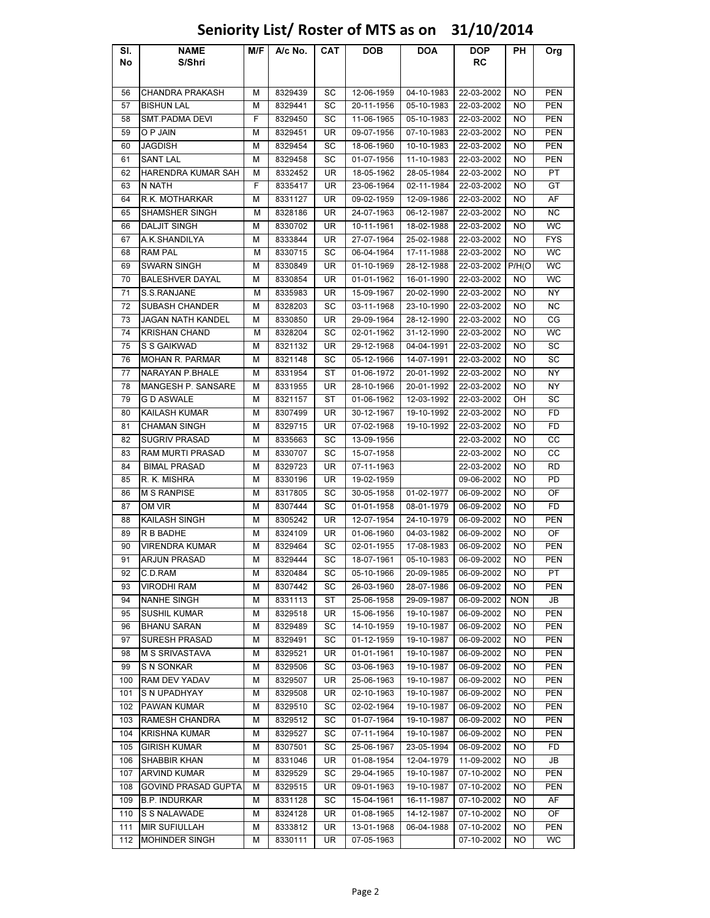### Sl. No NAME S/Shri M/F | A/c No. | CAT | DOB | DOA | DOP RC PH Org 56 CHANDRA PRAKASH M 8329439 SC 12-06-1959 04-10-1983 22-03-2002 NO PEN 57 |BISHUN LAL | M | 8329441 | SC | 20-11-1956 | 05-10-1983 | 22-03-2002 | NO | PEN 58 SMT.PADMA DEVI F 8329450 SC 11-06-1965 05-10-1983 22-03-2002 NO PEN 59 O P JAIN M 8329451 UR 09-07-1956 07-10-1983 22-03-2002 NO PEN 60 |JAGDISH | M | 8329454 | SC | 18-06-1960 | 10-10-1983 | 22-03-2002 | NO | PEN 61 |SANT LAL | M | 8329458 | SC | 01-07-1956 | 11-10-1983 | 22-03-2002 | NO | PEN 62 HARENDRA KUMAR SAH M 8332452 UR 18-05-1962 28-05-1984 22-03-2002 NO PT 63 |N NATH | F | 8335417 | UR | 23-06-1964 | 02-11-1984 | 22-03-2002 | NO | GT 64 R.K. MOTHARKAR M 8331127 UR 09-02-1959 12-09-1986 22-03-2002 NO AF 65 SHAMSHER SINGH M 8328186 UR 24-07-1963 06-12-1987 22-03-2002 NO NC 66 |DALJIT SINGH | M | 8330702 | UR | 10-11-1961 | 18-02-1988 | 22-03-2002 | NO | WC 67 A.K.SHANDILYA M 8333844 UR 27-07-1964 25-02-1988 22-03-2002 NO FYS 68 |RAM PAL | M | 8330715 | SC | 06-04-1964 | 17-11-1988 |22-03-2002 | NO | WC 69 SWARN SINGH M 8330849 UR 01-10-1969 28-12-1988 22-03-2002 P/H(O WC 70 BALESHVER DAYAL M 8330854 UR 01-01-1962 16-01-1990 22-03-2002 NO WC 71 |S.S.RANJANE | M | 8335983 | UR | 15-09-1967 | 20-02-1990 | 22-03-2002 | NO | NY 72 | SUBASH CHANDER | M | 8328203 | SC | 03-11-1968 | 23-10-1990 | 22-03-2002 | NO | NC 73 JAGAN NATH KANDEL | M | 8330850 | UR | 29-09-1964 | 28-12-1990 | 22-03-2002 | NO | CG 74 | KRISHAN CHAND M | 8328204 | SC | 02-01-1962 | 31-12-1990 | 22-03-2002 | NO | WC 75 S S GAIKWAD M 8321132 UR 29-12-1968 04-04-1991 22-03-2002 NO SC 76 MOHAN R. PARMAR M 8321148 SC 05-12-1966 14-07-1991 22-03-2002 NO SC 77 NARAYAN P.BHALE M 8331954 ST 01-06-1972 20-01-1992 22-03-2002 NO NY 78 MANGESH P. SANSARE M 8331955 UR 28-10-1966 20-01-1992 22-03-2002 NO NY 79 |G D ASWALE | M | 8321157 | ST | 01-06-1962 | 12-03-1992 | 22-03-2002 | OH | SC 80 | KAILASH KUMAR | M | 8307499 | UR | 30-12-1967 | 19-10-1992 | 22-03-2002 | NO | FD 81 CHAMAN SINGH M 8329715 UR 07-02-1968 19-10-1992 22-03-2002 NO FD 82 SUGRIV PRASAD M 8335663 SC 13-09-1956 22-03-2002 NO CC 83 RAM MURTI PRASAD M 8330707 SC 15-07-1958 22-03-2002 NO CC 84 | BIMAL PRASAD | M | 8329723 | UR | 07-11-1963 | | 22-03-2002 | NO | RD 85 R. K. MISHRA M | 8330196 | UR | 19-02-1959 | 09-06-2002 | NO | PD 86 | M S RANPISE | M | 8317805 | SC | 30-05-1958 | 01-02-1977 | 06-09-2002 | NO | OF 87 |OM VIR | M | 8307444 | SC | 01-01-1958 | 08-01-1979 | 06-09-2002 | NO | FD 88 **KAILASH SINGH M 8305242 UR 12-07-1954 24-10-1979 06-09-2002 NO PEN** 89 |R B BADHE | M | 8324109 | UR | 01-06-1960 | 04-03-1982 | 06-09-2002 | NO | OF 90 VIRENDRA KUMAR M 8329464 SC 02-01-1955 17-08-1983 06-09-2002 NO PEN 91 | ARJUN PRASAD M | 8329444 | SC | 18-07-1961 | 05-10-1983 | 06-09-2002 | NO | PEN 92 |C.D.RAM | M | 8320484 | SC | 05-10-1966 | 20-09-1985 | 06-09-2002 | NO | PT 93 |VIRODHI RAM | M | 8307442 | SC | 26-03-1960 |28-07-1986 |06-09-2002 | NO | PEN 94 NANHE SINGH M 8331113 ST 25-06-1958 29-09-1987 06-09-2002 NON JB 95 |SUSHIL KUMAR M | 8329518 | UR | 15-06-1956 | 19-10-1987 | 06-09-2002 | NO | PEN 96 BHANU SARAN M 8329489 SC 14-10-1959 19-10-1987 06-09-2002 NO PEN 97 SURESH PRASAD M 8329491 SC 01-12-1959 19-10-1987 06-09-2002 NO PEN 98 M S SRIVASTAVA M 8329521 UR 01-01-1961 19-10-1987 06-09-2002 NO PEN 99 S N SONKAR M 3329506 SC 03-06-1963 19-10-1987 06-09-2002 NO PEN 100 RAM DEV YADAV M 8329507 UR 25-06-1963 19-10-1987 06-09-2002 NO PEN 101 S N UPADHYAY M 8329508 UR 02-10-1963 19-10-1987 06-09-2002 NO PEN 102 PAWAN KUMAR M 8329510 SC 02-02-1964 19-10-1987 06-09-2002 NO PEN 103 RAMESH CHANDRA M 8329512 SC 01-07-1964 19-10-1987 06-09-2002 NO PEN 104 KRISHNA KUMAR M | M | 8329527 | SC 07-11-1964 | 19-10-1987 | 06-09-2002 | NO | PEN 105 GIRISH KUMAR M | M | 8307501 | SC | 25-06-1967 | 23-05-1994 | 06-09-2002 | NO | FD 106 SHABBIR KHAN M | 8331046 | UR | 01-08-1954 | 12-04-1979 | 11-09-2002 | NO | JB 107 ARVIND KUMAR M 8329529 SC 29-04-1965 19-10-1987 07-10-2002 NO PEN 108 GOVIND PRASAD GUPTA M 8329515 UR 09-01-1963 19-10-1987 07-10-2002 NO PEN 109 B.P. INDURKAR M | 8331128 | SC | 15-04-1961 | 16-11-1987 | 07-10-2002 | NO | AF 110 S S NALAWADE M 8324128 UR 01-08-1965 14-12-1987 07-10-2002 NO OF 111 MIR SUFIULLAH M 8333812 UR 13-01-1968 06-04-1988 07-10-2002 NO PEN 112 MOHINDER SINGH M 8330111 UR 07-05-1963 07-10-2002 NO WC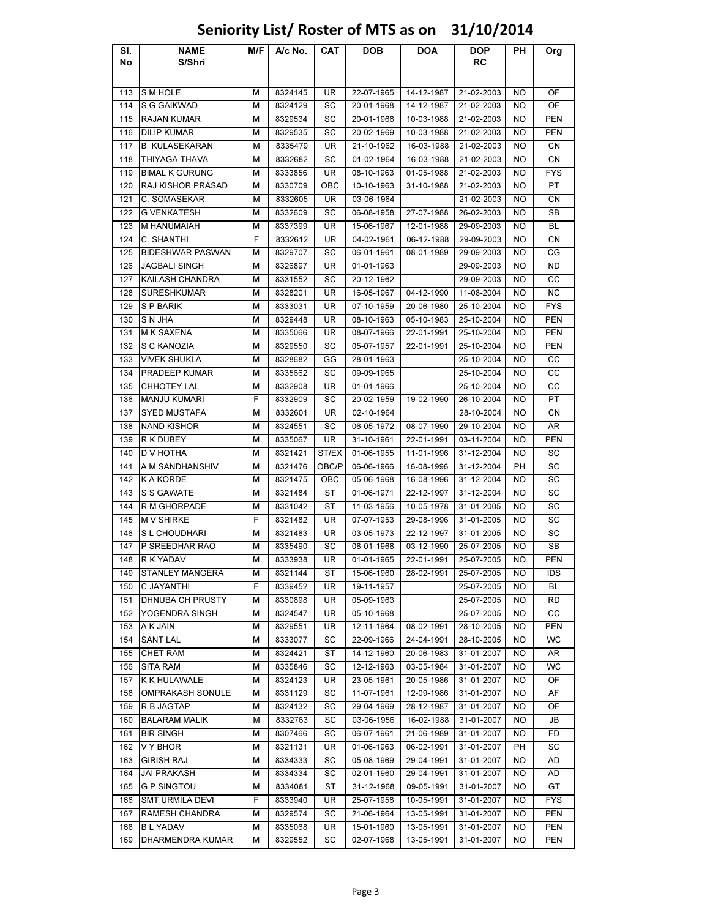### Sl. No NAME S/Shri M/F | A/c No. | CAT | DOB | DOA | DOP RC PH Org 113 SMHOLE M | 8324145 | UR | 22-07-1965 | 14-12-1987 | 21-02-2003 | NO | OF 114 S G GAIKWAD M 8324129 SC 20-01-1968 14-12-1987 21-02-2003 NO OF 115 RAJAN KUMAR M | M | 8329534 | SC | 20-01-1968 | 10-03-1988 | 21-02-2003 | NO | PEN 116 |DILIP KUMAR | M | 8329535 | SC | 20-02-1969 | 10-03-1988 | 21-02-2003 | NO | PEN 117 B. KULASEKARAN | M | 8335479 | UR | 21-10-1962 | 16-03-1988 | 21-02-2003 | NO | CN 118 THIYAGA THAVA M 8332682 SC 01-02-1964 16-03-1988 21-02-2003 NO CN 119 BIMAL K GURUNG M 8333856 UR 08-10-1963 01-05-1988 21-02-2003 NO FYS 120 RAJ KISHOR PRASAD | M | 8330709 | OBC | 10-10-1963 | 31-10-1988 | 21-02-2003 | NO | PT 121 C. SOMASEKAR M | 8332605 | UR | 03-06-1964 | 21-02-2003 | NO | CN 122 G VENKATESH M 8332609 SC 06-08-1958 27-07-1988 26-02-2003 NO SB 123 M HANUMAIAH M | 8337399 | UR | 15-06-1967 | 12-01-1988 | 29-09-2003 | NO | BL 124 C. SHANTHI | F | 8332612 | UR | 04-02-1961 | 06-12-1988 | 29-09-2003 | NO | CN 125 BIDESHWAR PASWAN M M 8329707 SC 06-01-1961 08-01-1989 29-09-2003 NO CG 126 JAGBALI SINGH M 8326897 UR 01-01-1963 29-09-2003 NO ND 127 KAILASH CHANDRA M 8331552 SC 20-12-1962 29-09-2003 NO CC 128 SURESHKUMAR M | M | 8328201 | UR | 16-05-1967 | 04-12-1990 | 11-08-2004 | NO | NC 129 S P BARIK | M | 8333031 | UR | 07-10-1959 | 20-06-1980 | 25-10-2004 | NO | FYS 130 S N JHA | M | 8329448 | UR | 08-10-1963 | 05-10-1983 | 25-10-2004 | NO | PEN 131 M K SAXENA M 8335066 UR 08-07-1966 22-01-1991 25-10-2004 NO PEN 132 S C KANOZIA M 8329550 SC 05-07-1957 22-01-1991 25-10-2004 NO PEN 133 VIVEK SHUKLA M 8328682 GG 28-01-1963 25-10-2004 NO CC 134 PRADEEP KUMAR M 8335662 SC 09-09-1965 25-10-2004 NO CC 135 CHHOTEY LAL M | 8332908 UR | 01-01-1966 25-10-2004 | NO | CC 136 MANJU KUMARI F 8332909 SC 20-02-1959 19-02-1990 26-10-2004 NO PT 137 SYED MUSTAFA M 8332601 UR 02-10-1964 28-10-2004 NO CN 138 NAND KISHOR | M | 8324551 | SC | 06-05-1972 | 08-07-1990 |29-10-2004 | NO | AR 139 R K DUBEY | M | 8335067 | UR | 31-10-1961 | 22-01-1991 | 03-11-2004 | NO | PEN 140 |D V HOTHA | M | 8321421 | ST/EX | 01-06-1955 | 11-01-1996 | 31-12-2004 | NO | SC 141 A M SANDHANSHIV M 8321476 OBC/P 06-06-1966 16-08-1996 31-12-2004 PH SC 142 K A KORDE M 8321475 | OBC | 05-06-1968 | 16-08-1996 | 31-12-2004 NO | SC 143 S S GAWATE M 8321484 ST 01-06-1971 22-12-1997 31-12-2004 NO SC 144 R M GHORPADE M 8331042 ST 11-03-1956 10-05-1978 31-01-2005 NO SC 145 M V SHIRKE | F | 8321482 | UR | 07-07-1953 | 29-08-1996 |31-01-2005 | NO | SC 146 S L CHOUDHARI M 8321483 UR 03-05-1973 22-12-1997 31-01-2005 NO SC 147 P SREEDHAR RAO HM 8335490 SC 08-01-1968 03-12-1990 25-07-2005 NO SB 148 R K YADAV | M | 8333938 | UR | 01-01-1965 | 22-01-1991 | 25-07-2005 | NO | PEN 149 STANLEY MANGERA M 8321144 ST 15-06-1960 28-02-1991 25-07-2005 NO IDS 150 C JAYANTHI F 8339452 UR 19-11-1957 25-07-2005 NO BL 151 DHNUBA CH PRUSTY | M | 8330898 | UR | 05-09-1963 | 25-07-2005 | NO | RD 152 YOGENDRA SINGH | M | 8324547 | UR | 05-10-1968 | 25-07-2005 | NO | CC 153 A K JAIN | M | 8329551 | UR | 12-11-1964 | 08-02-1991 | 28-10-2005 | NO | PEN 154 SANT LAL M 8333077 SC 22-09-1966 24-04-1991 28-10-2005 NO WC 155 CHET RAM M 8324421 ST 14-12-1960 20-06-1983 31-01-2007 NO AR 156 SITA RAM | M | 8335846 | SC | 12-12-1963 | 03-05-1984 | 31-01-2007 | NO | WC 157 K K HULAWALE M 8324123 UR 23-05-1961 20-05-1986 31-01-2007 NO OF 158 OMPRAKASH SONULE | M | 8331129 | SC | 11-07-1961 | 12-09-1986 | 31-01-2007 | NO | AF 159 R B JAGTAP | M | 8324132 | SC | 29-04-1969 | 28-12-1987 | 31-01-2007 | NO | OF 160 BALARAM MALIK M 8332763 SC 03-06-1956 16-02-1988 31-01-2007 NO JB 161 BIR SINGH M 8307466 SC 06-07-1961 21-06-1989 31-01-2007 NO FD 162 |V Y BHOR | M | 8321131 | UR | 01-06-1963 | 06-02-1991 | 31-01-2007 | PH | SC 163 GIRISH RAJ | M | 8334333 | SC | 05-08-1969 | 29-04-1991 | 31-01-2007 | NO | AD 164 JAI PRAKASH M 8334334 SC 02-01-1960 29-04-1991 31-01-2007 NO AD 165 G P SINGTOU M | 8334081 | ST | 31-12-1968 | 09-05-1991 | 31-01-2007 | NO | GT 166 SMT URMILA DEVI F 8333940 UR 25-07-1958 10-05-1991 31-01-2007 NO FYS 167 RAMESH CHANDRA M 8329574 SC 21-06-1964 13-05-1991 31-01-2007 NO PEN 168 B L YADAV | M | 8335068 | UR | 15-01-1960 | 13-05-1991 | 31-01-2007 | NO | PEN 169 DHARMENDRA KUMAR M 8329552 SC 02-07-1968 13-05-1991 31-01-2007 NO PEN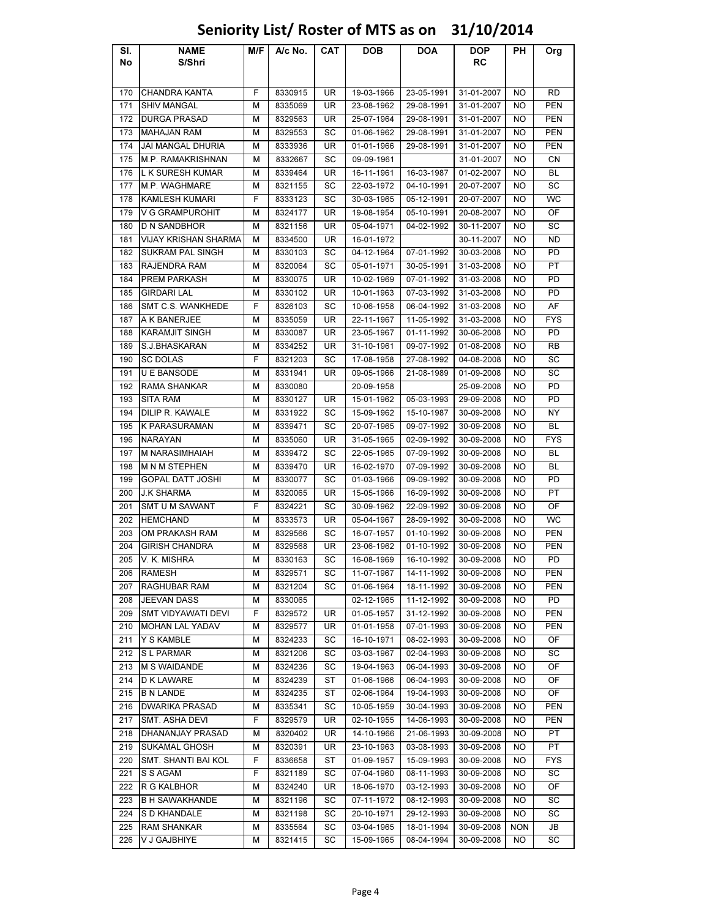### Sl. No NAME S/Shri M/F | A/c No. | CAT | DOB | DOA | DOP RC PH Org 170 CHANDRA KANTA F 8330915 UR 19-03-1966 23-05-1991 31-01-2007 NO RD 171 SHIV MANGAL | M | 8335069 | UR | 23-08-1962 | 29-08-1991 | 31-01-2007 | NO | PEN 172 DURGA PRASAD M 8329563 UR 25-07-1964 29-08-1991 31-01-2007 NO PEN 173 |MAHAJAN RAM | M | 8329553 | SC | 01-06-1962 | 29-08-1991 | 31-01-2007 | NO | PEN 174 JAI MANGAL DHURIA M 8333936 UR 01-01-1966 29-08-1991 31-01-2007 NO PEN 175 M.P. RAMAKRISHNAN | M | 8332667 | SC | 09-09-1961 | 31-01-2007 | NO | CN 176 L K SURESH KUMAR M A 8339464 UR 16-11-1961 16-03-1987 01-02-2007 NO BL 177 M.P. WAGHMARE M 8321155 SC 22-03-1972 04-10-1991 20-07-2007 NO SC 178 KAMLESH KUMARI F 8333123 SC 30-03-1965 05-12-1991 20-07-2007 NO WC 179 V G GRAMPUROHIT | M | 8324177 | UR | 19-08-1954 | 05-10-1991 | 20-08-2007 | NO | OF 180 D N SANDBHOR M 8321156 UR 05-04-1971 04-02-1992 30-11-2007 NO SC 181 VIJAY KRISHAN SHARMA M | 8334500 | UR | 16-01-1972 | | 30-11-2007 | NO | ND 182 SUKRAM PAL SINGH M 8330103 SC 04-12-1964 07-01-1992 30-03-2008 NO PD 183 RAJENDRA RAM M 8320064 SC 05-01-1971 30-05-1991 31-03-2008 NO PT 184 PREM PARKASH M 8330075 UR 10-02-1969 07-01-1992 31-03-2008 NO PD 185 GIRDARI LAL | M | 8330102 | UR | 10-01-1963 | 07-03-1992 | 31-03-2008 | NO | PD 186 SMT C.S. WANKHEDE F 8326103 SC 10-06-1958 06-04-1992 31-03-2008 NO AF 187 A K BANERJEE | M | 8335059 | UR | 22-11-1967 | 11-05-1992 | 31-03-2008 | NO | FYS 188 KARAMJIT SINGH M 8330087 | UR 23-05-1967 | 01-11-1992 | 30-06-2008 NO | PD 189 S.J.BHASKARAN M | M | 8334252 | UR | 31-10-1961 | 09-07-1992 | 01-08-2008 | NO | RB 190 SC DOLAS F | 8321203 | SC | 17-08-1958 | 27-08-1992 | 04-08-2008 | NO | SC 191 U E BANSODE M 8331941 | UR 09-05-1966 | 21-08-1989 | 01-09-2008 | NO | SC 192 RAMA SHANKAR M 8330080 20-09-1958 25-09-2008 NO PD 193 SITA RAM | M | 8330127 | UR | 15-01-1962 | 05-03-1993 | 29-09-2008 | NO | PD 194 DILIP R. KAWALE M 8331922 SC 15-09-1962 15-10-1987 30-09-2008 NO NY 195 K PARASURAMAN M 8339471 SC 20-07-1965 09-07-1992 30-09-2008 NO BL 196 NARAYAN M 8335060 UR 31-05-1965 02-09-1992 30-09-2008 NO FYS 197 M NARASIMHAIAH M 8339472 SC 22-05-1965 07-09-1992 30-09-2008 NO BL 198 M N M STEPHEN M 8339470 UR 16-02-1970 07-09-1992 30-09-2008 NO BL 199 GOPAL DATT JOSHI | M 8330077 | SC 01-03-1966 | 09-09-1992 | 30-09-2008 | NO | PD 200 J.K SHARMA M | M | 8320065 | UR | 15-05-1966 | 16-09-1992 | 30-09-2008 | NO | PT 201 SMT U M SAWANT F F 8324221 F SC 30-09-1962 22-09-1992 30-09-2008 F NO F OF 202 |HEMCHAND | M | 8333573 | UR | 05-04-1967 | 28-09-1992 | 30-09-2008 | NO | WC 203 OM PRAKASH RAM M 8329566 SC 16-07-1957 01-10-1992 30-09-2008 NO PEN 204 GIRISH CHANDRA MINIS 29568 UR 23-06-1962 01-10-1992 30-09-2008 NO PEN 205 V. K. MISHRA M | M | 8330163 | SC | 16-08-1969 | 16-10-1992 | 30-09-2008 | NO | PD 206 RAMESH | M | 8329571 | SC | 11-07-1967 | 14-11-1992 | 30-09-2008 | NO | PEN 207 RAGHUBAR RAM | M | 8321204 | SC | 01-06-1964 | 18-11-1992 | 30-09-2008 | NO | PEN 208 JEEVAN DASS M | M | 8330065 | 02-12-1965 | 11-12-1992 | 30-09-2008 NO | PD 209 SMT VIDYAWATI DEVI F 8329572 UR 01-05-1957 31-12-1992 30-09-2008 NO PEN 210 MOHAN LAL YADAV M 8329577 UR 01-01-1958 07-01-1993 30-09-2008 NO PEN 211 |Y S KAMBLE | M | 8324233 | SC | 16-10-1971 | 08-02-1993 | 30-09-2008 | NO | OF 212 S L PARMAR | M | 8321206 | SC | 03-03-1967 | 02-04-1993 | 30-09-2008 | NO | SC 213 M S WAIDANDE M 8324236 SC 19-04-1963 06-04-1993 30-09-2008 NO OF 214 |D K LAWARE | M | 8324239 | ST | 01-06-1966 | 06-04-1993 | 30-09-2008 | NO | OF 215 B N LANDE | M | 8324235 | ST | 02-06-1964 | 19-04-1993 | 30-09-2008 | NO | OF 216 DWARIKA PRASAD M 8335341 SC 10-05-1959 30-04-1993 30-09-2008 NO PEN 217 SMT. ASHA DEVI F 8329579 UR 02-10-1955 14-06-1993 30-09-2008 NO PEN 218 DHANANJAY PRASAD | M | 8320402 | UR | 14-10-1966 | 21-06-1993 | 30-09-2008 | NO | PT 219 SUKAMAL GHOSH M 8320391 UR 23-10-1963 03-08-1993 30-09-2008 NO PT 220 SMT. SHANTI BAI KOL | F | 8336658 | ST | 01-09-1957 | 15-09-1993 | 30-09-2008 | NO | FYS 221 S S AGAM | F | 8321189 | SC | 07-04-1960 | 08-11-1993 | 30-09-2008 | NO | SC 222 R G KALBHOR M | 8324240 | UR | 18-06-1970 | 03-12-1993 | 30-09-2008 | NO | OF 223 B H SAWAKHANDE M M 8321196 SC 07-11-1972 08-12-1993 30-09-2008 NO SC 224 S D KHANDALE M 8321198 SC 20-10-1971 29-12-1993 30-09-2008 NO SC 225 |RAM SHANKAR | M | 8335564 | SC | 03-04-1965 | 18-01-1994 | 30-09-2008 | NON | JB 226 |V J GAJBHIYE | M | 8321415 | SC | 15-09-1965 | 08-04-1994 | 30-09-2008 | NO | SC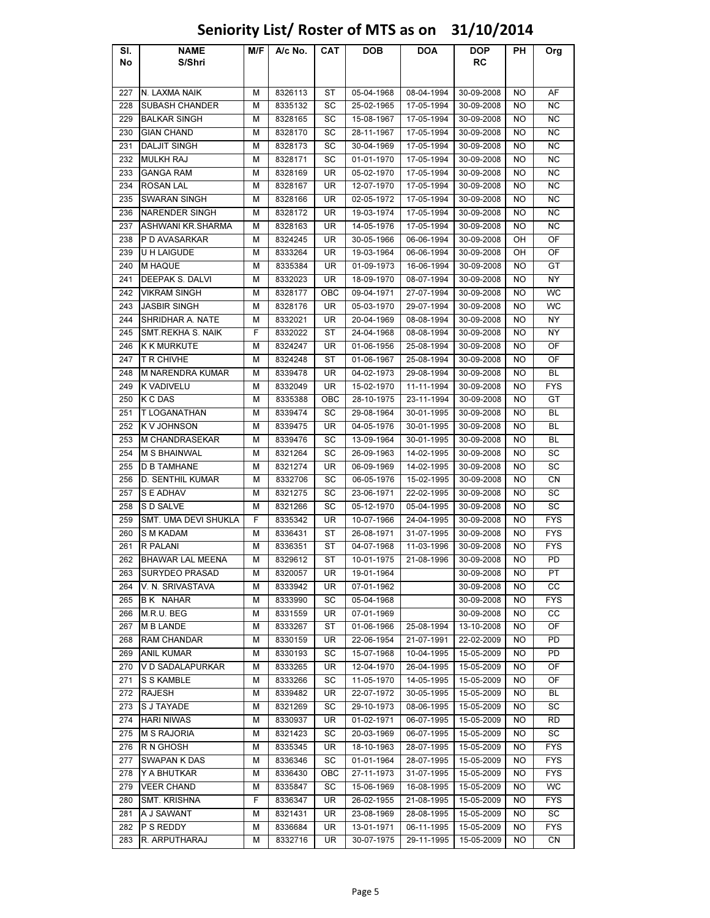### Sl. No NAME S/Shri M/F | A/c No. | CAT | DOB | DOA | DOP RC PH Org 227 N. LAXMA NAIK MIRIS 2826113 ST 05-04-1968 08-04-1994 30-09-2008 NO AF 228 SUBASH CHANDER M 8335132 SC 25-02-1965 17-05-1994 30-09-2008 NO NC 229 BALKAR SINGH M 8328165 SC 15-08-1967 17-05-1994 30-09-2008 NO NC 230 GIAN CHAND | M | 8328170 | SC | 28-11-1967 | 17-05-1994 | 30-09-2008 | NO | NC 231 DALJIT SINGH M 8328173 SC 30-04-1969 17-05-1994 30-09-2008 NO NC 232 MULKH RAJ | M | 8328171 | SC | 01-01-1970 | 17-05-1994 | 30-09-2008 | NO | NC 233 |GANGA RAM | M | 8328169 | UR | 05-02-1970 | 17-05-1994 30-09-2008 | NO | NC 234 ROSAN LAL | M | 8328167 | UR | 12-07-1970 | 17-05-1994 | 30-09-2008 | NO | NC 235 SWARAN SINGH M 8328166 UR 02-05-1972 17-05-1994 30-09-2008 NO NC 236 NARENDER SINGH M 8328172 UR 19-03-1974 17-05-1994 30-09-2008 NO NC 237 ASHWANI KR.SHARMA | M | 8328163 | UR | 14-05-1976 | 17-05-1994 | 30-09-2008 | NO | NC 238 P D AVASARKAR H M | 8324245 | UR | 30-05-1966 | 06-06-1994 | 30-09-2008 | OH | OF 239 |U H LAIGUDE | M | 8333264 | UR | 19-03-1964 | 06-06-1994 | 30-09-2008 | OH | OF 240 |M HAQUE | M | 8335384 | UR | 01-09-1973 | 16-06-1994 | 30-09-2008 | NO | GT 241 DEEPAK S. DALVI M 8332023 UR 18-09-1970 08-07-1994 30-09-2008 NO NY 242 VIKRAM SINGH M 8328177 OBC 09-04-1971 27-07-1994 30-09-2008 NO WC 243 JASBIR SINGH M 8328176 UR 05-03-1970 29-07-1994 30-09-2008 NO WC 244 SHRIDHAR A. NATE M 8332021 UR 20-04-1969 08-08-1994 30-09-2008 NO NY 245 SMT.REKHA S. NAIK F 8332022 ST 24-04-1968 08-08-1994 30-09-2008 NO NY 246 K K MURKUTE M 8324247 | UR 01-06-1956 | 25-08-1994 | 30-09-2008 | NO | OF 247 |T R CHIVHE | M | 8324248 | ST | 01-06-1967 | 25-08-1994 | 30-09-2008 | NO | OF 248 M NARENDRA KUMAR M 8339478 UR 04-02-1973 29-08-1994 30-09-2008 NO BL 249 K VADIVELU | M | 8332049 | UR | 15-02-1970 | 11-11-1994 | 30-09-2008 | NO | FYS 250 K C DAS | M | 8335388 | OBC | 28-10-1975 | 23-11-1994 | 30-09-2008 | NO | GT 251 TLOGANATHAN M 8339474 SC 29-08-1964 30-01-1995 30-09-2008 NO BL 252 K V JOHNSON | M | 8339475 | UR | 04-05-1976 | 30-01-1995 |30-09-2008 | NO | BL 253 M CHANDRASEKAR M 8339476 SC 13-09-1964 30-01-1995 30-09-2008 NO BL 254 M S BHAINWAL M 8321264 SC 26-09-1963 14-02-1995 30-09-2008 NO SC 255 |D B TAMHANE | M | 8321274 | UR | 06-09-1969 | 14-02-1995 | 30-09-2008 | NO | SC 256 D. SENTHIL KUMAR M 8332706 SC 06-05-1976 15-02-1995 30-09-2008 NO CN 257 SEADHAV | M | 8321275 | SC | 23-06-1971 | 22-02-1995 | 30-09-2008 | NO | SC 258 S D SALVE | M | 8321266 | SC | 05-12-1970 | 05-04-1995 | 30-09-2008 | NO | SC 259 SMT. UMA DEVI SHUKLA F 8335342 UR 10-07-1966 24-04-1995 30-09-2008 NO FYS 260 SMKADAM | M | 8336431 | ST | 26-08-1971 | 31-07-1995 | 30-09-2008 | NO | FYS 261 R PALANI M 8336351 ST 04-07-1968 11-03-1996 30-09-2008 NO FYS 262 BHAWAR LAL MEENA | M | 8329612 | ST | 10-01-1975 | 21-08-1996 | 30-09-2008 | NO | PD 263 SURYDEO PRASAD M 8320057 UR 19-01-1964 30-09-2008 NO PT 264 V. N. SRIVASTAVA | M 8333942 | UR 07-01-1962 | 30-09-2008 | NO CC 265 B K NAHAR M | 8333990 SC 05-04-1968 30-09-2008 NO FYS 266 |M.R.U. BEG | M | 8331559 | UR | 07-01-1969 | | 30-09-2008 | NO | CC 267 M B LANDE M 8333267 ST 01-06-1966 25-08-1994 13-10-2008 NO OF 268 RAM CHANDAR M 8330159 UR 22-06-1954 21-07-1991 22-02-2009 NO PD 269 |ANIL KUMAR | M | 8330193 | SC | 15-07-1968 | 10-04-1995 | 15-05-2009 | NO | PD 270 V D SADALAPURKAR M M 8333265 UR 12-04-1970 26-04-1995 15-05-2009 NO OF 271 SS KAMBLE | M | 8333266 | SC | 11-05-1970 | 14-05-1995 | 15-05-2009 | NO | OF 272 |RAJESH | M | 8339482 | UR | 22-07-1972 | 30-05-1995 | 15-05-2009 | NO | BL 273 SJ TAYADE | M | 8321269 | SC | 29-10-1973 | 08-06-1995 | 15-05-2009 | NO | SC 274 |HARI NIWAS | M | 8330937 | UR | 01-02-1971 | 06-07-1995 | 15-05-2009 | NO | RD 275 M S RAJORIA | M | 8321423 | SC | 20-03-1969 | 06-07-1995 | 15-05-2009 | NO | SC 276 R N GHOSH M 8335345 UR 18-10-1963 28-07-1995 15-05-2009 NO FYS 277 SWAPAN K DAS M 8336346 SC 01-01-1964 28-07-1995 15-05-2009 NO FYS 278 Y A BHUTKAR M A 8336430 OBC 27-11-1973 31-07-1995 15-05-2009 NO FYS 279 VEER CHAND M 8335847 SC 15-06-1969 16-08-1995 15-05-2009 NO WC 280 SMT. KRISHNA F 8336347 UR 26-02-1955 21-08-1995 15-05-2009 NO FYS 281 A J SAWANT | M | 8321431 | UR | 23-08-1969 | 28-08-1995 | 15-05-2009 | NO | SC 282 P S REDDY | M | 8336684 | UR | 13-01-1971 | 06-11-1995 | 15-05-2009 | NO | FYS 283 R. ARPUTHARAJ M 8332716 UR 30-07-1975 29-11-1995 15-05-2009 NO CN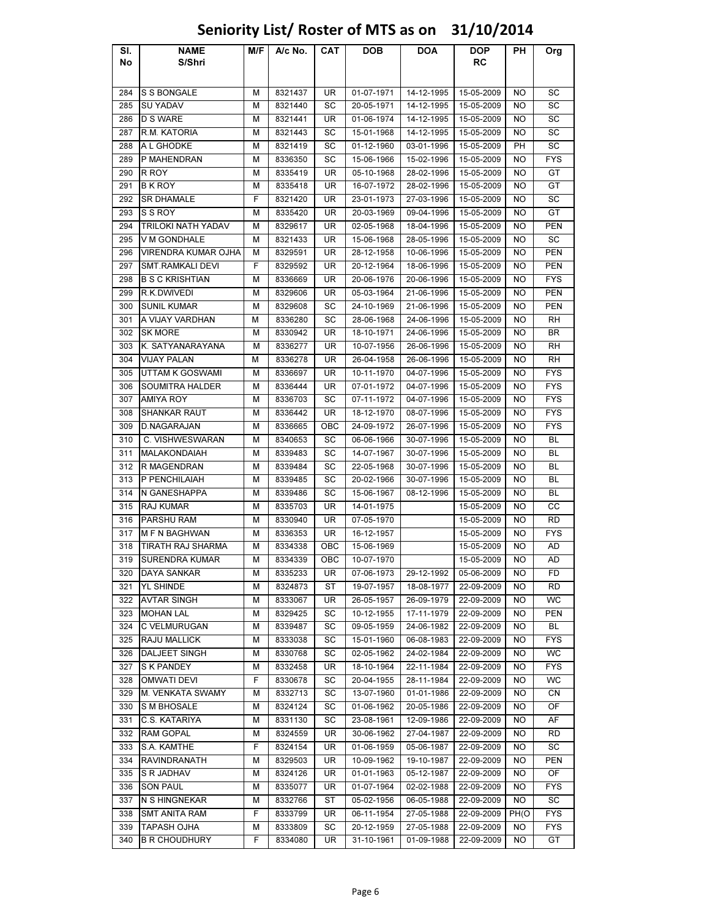### Sl. No NAME S/Shri M/F | A/c No. | CAT | DOB | DOA | DOP RC PH Org 284 S S BONGALE M 8321437 UR 01-07-1971 14-12-1995 15-05-2009 NO SC 285 SU YADAV | M | 8321440 | SC | 20-05-1971 | 14-12-1995 | 15-05-2009 | NO | SC 286 D S WARE | M | 8321441 | UR | 01-06-1974 | 14-12-1995 | 15-05-2009 | NO | SC 287 |R.M. KATORIA | M | 8321443 | SC | 15-01-1968 | 14-12-1995 | 15-05-2009 | NO | SC 288 A L GHODKE | M | 8321419 | SC | 01-12-1960 | 03-01-1996 | 15-05-2009 | PH | SC 289 P MAHENDRAN M 8336350 SC 15-06-1966 15-02-1996 15-05-2009 NO FYS 290 R ROY | M | 8335419 | UR | 05-10-1968 | 28-02-1996 | 15-05-2009 | NO | GT 291 B K ROY | M | 8335418 | UR | 16-07-1972 | 28-02-1996 | 15-05-2009 | NO | GT 292 SR DHAMALE F 8321420 UR 23-01-1973 27-03-1996 15-05-2009 NO SC 293 SSROY | M | 8335420 | UR | 20-03-1969 | 09-04-1996 | 15-05-2009 | NO | GT 294 TRILOKI NATH YADAV | M | 8329617 | UR | 02-05-1968 | 18-04-1996 | 15-05-2009 | NO | PEN 295 V M GONDHALE M 8321433 UR 15-06-1968 28-05-1996 15-05-2009 NO SC 296 VIRENDRA KUMAR OJHA M 8329591 UR 28-12-1958 10-06-1996 15-05-2009 NO PEN 297 SMT.RAMKALI DEVI | F | 8329592 | UR | 20-12-1964 | 18-06-1996 | 15-05-2009 | NO | PEN 298 B S C KRISHTIAN M 8336669 UR 20-06-1976 20-06-1996 15-05-2009 NO FYS 299 R.K.DWIVEDI M 8329606 UR 05-03-1964 21-06-1996 15-05-2009 NO PEN 300 SUNIL KUMAR M | M | 8329608 | SC | 24-10-1969 | 21-06-1996 | 15-05-2009 | NO | PEN 301 A VIJAY VARDHAN M 8336280 SC 28-06-1968 24-06-1996 15-05-2009 NO RH 302 SK MORE | M | 8330942 | UR | 18-10-1971 | 24-06-1996 |15-05-2009 | NO | BR 303 K. SATYANARAYANA | M | 8336277 | UR | 10-07-1956 | 26-06-1996 | 15-05-2009 | NO | RH 304 |VIJAY PALAN | M | 8336278 | UR | 26-04-1958 | 26-06-1996 | 15-05-2009 | NO | RH 305 UTTAM K GOSWAMI M 8336697 UR 10-11-1970 04-07-1996 15-05-2009 NO FYS 306 SOUMITRA HALDER M 8336444 UR 07-01-1972 04-07-1996 15-05-2009 NO FYS 307 |AMIYA ROY | M | 8336703 | SC | 07-11-1972 | 04-07-1996 | 15-05-2009 | NO | FYS 308 SHANKAR RAUT M 8336442 UR 18-12-1970 08-07-1996 15-05-2009 NO FYS 309 D.NAGARAJAN M 8336665 OBC 24-09-1972 26-07-1996 15-05-2009 NO FYS 310 C. VISHWESWARAN | M 8340653 SC 06-06-1966 30-07-1996 15-05-2009 NO BL 311 MALAKONDAIAH | M 8339483 SC 14-07-1967 30-07-1996 15-05-2009 NO BL 312 R MAGENDRAN M 8339484 SC 22-05-1968 30-07-1996 15-05-2009 NO BL 313 P PENCHILAIAH M 8339485 SC 20-02-1966 30-07-1996 15-05-2009 NO BL 314 N GANESHAPPA M 8339486 SC 15-06-1967 08-12-1996 15-05-2009 NO BL 315 RAJ KUMAR M 8335703 UR 14-01-1975 15-05-2009 NO CC 316 PARSHU RAM M 8330940 UR 07-05-1970 15-05-2009 NO RD 317 M F N BAGHWAN M A336353 UR 16-12-1957 15-05-2009 NO FYS 318 TIRATH RAJ SHARMA M M 8334338 OBC 1 15-06-1969 15-05-2009 NO M AD 319 SURENDRA KUMAR M 8334339 OBC 10-07-1970 15-05-2009 NO AD 320 |DAYA SANKAR | M | 8335233 | UR | 07-06-1973 | 29-12-1992 | 05-06-2009 | NO | FD 321 |YL SHINDE | M | 8324873 | ST | 19-07-1957 | 18-08-1977 | 22-09-2009 | NO | RD 322 AVTAR SINGH M 8333067 UR 26-05-1957 26-09-1979 22-09-2009 NO WC 323 |MOHAN LAL | M | 8329425 | SC | 10-12-1955 | 17-11-1979 | 22-09-2009 | NO | PEN 324 C VELMURUGAN M 8339487 SC 09-05-1959 24-06-1982 22-09-2009 NO BL 325 RAJU MALLICK M 8333038 SC 15-01-1960 06-08-1983 22-09-2009 NO FYS 326 DALJEET SINGH M M 8330768 SC 02-05-1962 24-02-1984 22-09-2009 NO WC 327 SKPANDEY | M | 8332458 | UR | 18-10-1964 | 22-11-1984 | 22-09-2009 | NO | FYS 328 |OMWATI DEVI | F | 8330678 | SC | 20-04-1955 | 28-11-1984 | 22-09-2009 | NO | WC 329 M. VENKATA SWAMY M M 8332713 SC 1 13-07-1960 01-01-1986 22-09-2009 NO CN 330 S M BHOSALE M 8324124 SC 01-06-1962 20-05-1986 22-09-2009 NO OF 331 |C.S. KATARIYA | M | 8331130 | SC | 23-08-1961 | 12-09-1986 | 22-09-2009 | NO | AF 332 |RAM GOPAL | M | 8324559 | UR | 30-06-1962 | 27-04-1987 | 22-09-2009 | NO | RD 333 S.A. KAMTHE F 8324154 UR 01-06-1959 05-06-1987 22-09-2009 NO SC 334 RAVINDRANATH M 8329503 UR 10-09-1962 19-10-1987 22-09-2009 NO PEN 335 S R JADHAV M 8324126 UR 01-01-1963 05-12-1987 22-09-2009 NO OF 336 SON PAUL M 8335077 UR 01-07-1964 02-02-1988 22-09-2009 NO FYS 337 N S HINGNEKAR M | M | 8332766 | ST | 05-02-1956 | 06-05-1988 | 22-09-2009 | NO | SC 338 SMT ANITA RAM F 8333799 UR 06-11-1954 27-05-1988 22-09-2009 PH(O FYS 339 |TAPASH OJHA | M | 8333809 | SC | 20-12-1959 | 27-05-1988 | 22-09-2009 | NO | FYS 340 B R CHOUDHURY F 8334080 UR 31-10-1961 01-09-1988 22-09-2009 NO GT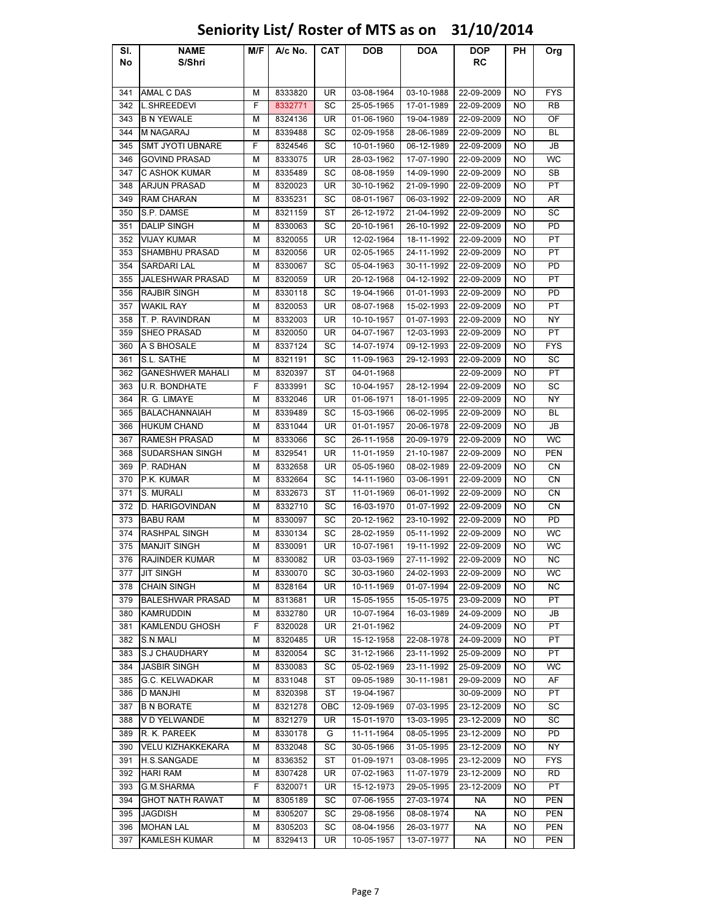### Sl. No NAME S/Shri M/F A/c No. CAT DOB DOA DOP RC PH Org 341 |AMAL C DAS | M | 8333820 | UR | 03-08-1964 | 03-10-1988 | 22-09-2009 | NO | FYS 342 |L.SHREEDEVI F | 8332771 | SC | 25-05-1965 | 17-01-1989 | 22-09-2009 | NO | RB 343 B N YEWALE M 8324136 UR 01-06-1960 19-04-1989 22-09-2009 NO OF 344 |M NAGARAJ | M | 8339488 | SC | 02-09-1958 | 28-06-1989 | 22-09-2009 | NO | BL 345 SMT JYOTI UBNARE F 8324546 SC 10-01-1960 06-12-1989 22-09-2009 NO JB 346 GOVIND PRASAD M 8333075 UR 28-03-1962 17-07-1990 22-09-2009 NO WC 347 C ASHOK KUMAR M 8335489 SC 08-08-1959 14-09-1990 22-09-2009 NO SB 348 ARJUN PRASAD M 8320023 UR 30-10-1962 21-09-1990 22-09-2009 NO PT 349 RAM CHARAN M 8335231 SC 08-01-1967 06-03-1992 22-09-2009 NO AR 350 S.P. DAMSE | M | 8321159 | ST | 26-12-1972 | 21-04-1992 | 22-09-2009 | NO | SC 351 |DALIP SINGH | M | 8330063 | SC | 20-10-1961 | 26-10-1992 | 22-09-2009 | NO | PD 352 |VIJAY KUMAR | M | 8320055 | UR | 12-02-1964 | 18-11-1992 | 22-09-2009 | NO | PT 353 SHAMBHU PRASAD M 8320056 UR 02-05-1965 24-11-1992 22-09-2009 NO PT 354 SARDARI LAL M 8330067 SC 05-04-1963 30-11-1992 22-09-2009 NO PD 355 JALESHWAR PRASAD M 8320059 UR 20-12-1968 04-12-1992 22-09-2009 NO PT 356 RAJBIR SINGH M 8330118 SC 19-04-1966 01-01-1993 22-09-2009 NO PD 357 |WAKIL RAY | M | 8320053 | UR | 08-07-1968 | 15-02-1993 | 22-09-2009 | NO | PT 358 T. P. RAVINDRAN M 8332003 UR 10-10-1957 01-07-1993 22-09-2009 NO NY 359 SHEO PRASAD M 8320050 UR 04-07-1967 12-03-1993 22-09-2009 NO PT 360 A S BHOSALE M 8337124 SC 14-07-1974 09-12-1993 22-09-2009 NO FYS 361 S.L. SATHE | M | 8321191 | SC | 11-09-1963 | 29-12-1993 | 22-09-2009 | NO | SC 362 GANESHWER MAHALI M 8320397 ST 04-01-1968 22-09-2009 NO PT 363 U.R. BONDHATE F 8333991 SC 10-04-1957 28-12-1994 22-09-2009 NO SC 364 R. G. LIMAYE | M | 8332046 | UR | 01-06-1971 | 18-01-1995 | 22-09-2009 | NO | NY 365 BALACHANNAIAH M 8339489 SC 15-03-1966 06-02-1995 22-09-2009 NO BL 366 HUKUM CHAND M 8331044 UR 01-01-1957 20-06-1978 22-09-2009 NO JB 367 RAMESH PRASAD M 8333066 SC 26-11-1958 20-09-1979 22-09-2009 NO WC 368 SUDARSHAN SINGH M 8329541 UR 11-01-1959 21-10-1987 22-09-2009 NO PEN 369 P. RADHAN | M | 8332658 | UR | 05-05-1960 | 08-02-1989 | 22-09-2009 | NO | CN 370 P.K. KUMAR | M | 8332664 | SC | 14-11-1960 | 03-06-1991 | 22-09-2009 | NO | CN 371 S. MURALI | M | 8332673 | ST | 11-01-1969 | 06-01-1992 | 22-09-2009 | NO | CN 372 D. HARIGOVINDAN | M | 8332710 | SC | 16-03-1970 | 01-07-1992 | 22-09-2009 | NO | CN 373 BABU RAM M 8330097 SC 20-12-1962 23-10-1992 22-09-2009 NO PD 374 RASHPAL SINGH M 8330134 SC 28-02-1959 05-11-1992 22-09-2009 NO WC 375 MANJIT SINGH M 8330091 UR 10-07-1961 19-11-1992 22-09-2009 NO WC 376 RAJINDER KUMAR M 8330082 UR 03-03-1969 27-11-1992 22-09-2009 NO NC 377 |JIT SINGH | M | 8330070 | SC | 30-03-1960 | 24-02-1993 | 22-09-2009 | NO | WC 378 |CHAIN SINGH | M | 8328164 | UR | 10-11-1969 | 01-07-1994 | 22-09-2009 | NO | NC 379 BALESHWAR PRASAD | M | 8313681 | UR | 15-05-1955 | 15-05-1975 | 23-09-2009 | NO | PT 380 |KAMRUDDIN | M | 8332780 | UR | 10-07-1964 | 16-03-1989 | 24-09-2009 | NO | JB 381 KAMLENDU GHOSH F 8320028 UR 21-01-1962 24-09-2009 NO PT 382 S.N.MALI | M | 8320485 | UR | 15-12-1958 | 22-08-1978 | 24-09-2009 | NO | PT 383 S.J CHAUDHARY M 8320054 SC 31-12-1966 23-11-1992 25-09-2009 NO PT 384 JASBIR SINGH M 8330083 SC 05-02-1969 23-11-1992 25-09-2009 NO WC 385 G.C. KELWADKAR M 8331048 ST 09-05-1989 30-11-1981 29-09-2009 NO AF 386 D MANJHI M 8320398 ST 19-04-1967 30-09-2009 NO PT 387 B N BORATE M 8321278 OBC 12-09-1969 07-03-1995 23-12-2009 NO SC 388 V D YELWANDE M 8321279 UR 15-01-1970 13-03-1995 23-12-2009 NO SC 389 R. K. PAREEK | M | 8330178 | G | 11-11-1964 | 08-05-1995 | 23-12-2009 | NO | PD 390 VELU KIZHAKKEKARA | M | 8332048 | SC | 30-05-1966 | 31-05-1995 | 23-12-2009 | NO | NY 391 |H.S.SANGADE | M | 8336352 | ST | 01-09-1971 | 03-08-1995 | 23-12-2009 | NO | FYS 392 |HARI RAM | M | 8307428 | UR | 07-02-1963 | 11-07-1979 | 23-12-2009 | NO | RD 393 G.M.SHARMA F 8320071 UR 15-12-1973 29-05-1995 23-12-2009 NO PT 394 GHOT NATH RAWAT M 8305189 SC 07-06-1955 27-03-1974 NA NO PEN 395 |JAGDISH | M | 8305207 | SC | 29-08-1956 | 08-08-1974 | NA | NO | PEN

# Seniority List/ Roster of MTS as on 31/10/2014

396 |MOHAN LAL | M | 8305203 | SC | 08-04-1956 | 26-03-1977 | NA | NO | PEN 397 KAMLESH KUMAR M 8329413 UR 10-05-1957 13-07-1977 NA NO PEN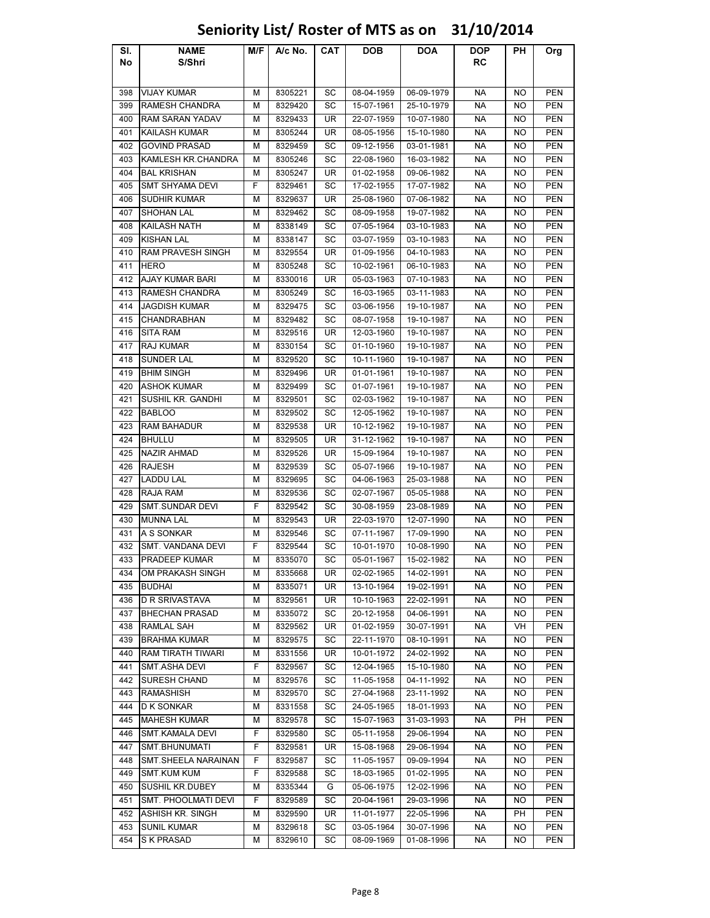### Sl. No NAME S/Shri M/F | A/c No. | CAT | DOB | DOA | DOP RC PH Org 398 VIJAY KUMAR M | M | 8305221 | SC | 08-04-1959 | 06-09-1979 | NA | NO | PEN 399 RAMESH CHANDRA M 8329420 SC 15-07-1961 25-10-1979 NA NO PEN 400 RAM SARAN YADAV | M | 8329433 | UR | 22-07-1959 | 10-07-1980 | NA | NO | PEN 401 KAILASH KUMAR M 8305244 UR 08-05-1956 15-10-1980 NA NO PEN 402 GOVIND PRASAD M 8329459 SC 09-12-1956 03-01-1981 NA NO PEN 403 KAMLESH KR.CHANDRA | M | 8305246 | SC | 22-08-1960 | 16-03-1982 | NA | NO | PEN 404 BAL KRISHAN | M | 8305247 | UR | 01-02-1958 | 09-06-1982 | NA | NO | PEN 405 SMT SHYAMA DEVI F 8329461 SC 17-02-1955 17-07-1982 NA NO PEN 406 SUDHIR KUMAR M 8329637 UR 25-08-1960 07-06-1982 NA NO PEN 407 |SHOHAN LAL | M | 8329462 | SC | 08-09-1958 | 19-07-1982 | NA | NO | PEN 408 KAILASH NATH M 8338149 SC 07-05-1964 03-10-1983 NA NO PEN 409 KISHAN LAL M 8338147 SC 03-07-1959 03-10-1983 NA NO PEN 410 RAM PRAVESH SINGH M 8329554 UR 01-09-1956 04-10-1983 NA NO PEN 411 |HERO | M | 8305248 | SC | 10-02-1961 | 06-10-1983 | NA | NO | PEN 412 AJAY KUMAR BARI M 8330016 UR 05-03-1963 07-10-1983 NA NO PEN 413 RAMESH CHANDRA M 8305249 SC 16-03-1965 03-11-1983 NA NO PEN 414 JAGDISH KUMAR M 8329475 SC 03-06-1956 19-10-1987 NA NO PEN 415 |CHANDRABHAN | M | 8329482 | SC | 08-07-1958 | 19-10-1987 | NA | NO | PEN 416 SITA RAM | M | 8329516 | UR | 12-03-1960 | 19-10-1987 | NA | NO | PEN 417 RAJ KUMAR M | M | 8330154 SC 01-10-1960 | 19-10-1987 | NA | NO | PEN 418 |SUNDER LAL | M | 8329520 | SC | 10-11-1960 | 19-10-1987 | NA | NO | PEN 419 BHIM SINGH | M | 8329496 | UR | 01-01-1961 | 19-10-1987 | NA | NO | PEN 420 |ASHOK KUMAR | M | 8329499 | SC | 01-07-1961 | 19-10-1987 | NA | NO | PEN 421 SUSHIL KR. GANDHI M 8329501 SC 02-03-1962 19-10-1987 NA NO PEN 422 BABLOO M 8329502 SC 12-05-1962 19-10-1987 NA NO PEN 423 |RAM BAHADUR | M | 8329538 | UR | 10-12-1962 | 19-10-1987 | NA | NO | PEN 424 BHULLU M 8329505 UR 31-12-1962 19-10-1987 NA NO PEN 425 NAZIR AHMAD N | 8329526 | UR | 15-09-1964 | 19-10-1987 | NA | NO | PEN 426 RAJESH M 8329539 SC 05-07-1966 19-10-1987 NA NO PEN 427 |LADDU LAL | M | 8329695 | SC | 04-06-1963 | 25-03-1988 | NA | NO | PEN 428 |RAJA RAM | M | 8329536 | SC | 02-07-1967 | 05-05-1988 | NA | NO | PEN 429 SMT.SUNDAR DEVI F 8329542 SC 30-08-1959 23-08-1989 NA NO PEN 430 MUNNA LAL M 8329543 UR 22-03-1970 12-07-1990 NA NO PEN 431 |A S SONKAR | M | 8329546 | SC | 07-11-1967 | 17-09-1990 | NA | NO | PEN 432 SMT. VANDANA DEVI F 8329544 SC 10-01-1970 10-08-1990 NA NO PEN 433 PRADEEP KUMAR M 8335070 SC 05-01-1967 15-02-1982 NA NO PEN 434 OM PRAKASH SINGH M 8335668 UR 02-02-1965 14-02-1991 NA NO PEN 435 BUDHAI M 8335071 UR 13-10-1964 19-02-1991 NA NO PEN 436 D R SRIVASTAVA | M | 8329561 | UR | 10-10-1963 | 22-02-1991 | NA | NO | PEN 437 BHECHAN PRASAD M 8335072 SC 20-12-1958 04-06-1991 NA NO PEN 438 RAMLAL SAH M 8329562 UR 01-02-1959 30-07-1991 NA VH PEN 439 BRAHMA KUMAR M 8329575 SC 22-11-1970 08-10-1991 NA NO PEN 440 RAM TIRATH TIWARI | M | 8331556 | UR | 10-01-1972 | 24-02-1992 | NA | NO | PEN 441 SMT.ASHA DEVI F 8329567 SC 12-04-1965 15-10-1980 NA NO PEN 442 SURESH CHAND M 8329576 SC 11-05-1958 04-11-1992 NA NO PEN 443 |RAMASHISH | M | 8329570 | SC | 27-04-1968 | 23-11-1992 | NA | NO | PEN 444 D K SONKAR M 8331558 SC 24-05-1965 18-01-1993 NA NO PEN 445 MAHESH KUMAR M 8329578 SC 15-07-1963 31-03-1993 NA PH PEN 446 SMT.KAMALA DEVI F 8329580 SC 05-11-1958 29-06-1994 NA NO PEN 447 SMT.BHUNUMATI F 8329581 UR 15-08-1968 29-06-1994 NA NO PEN 448 SMT.SHEELA NARAINAN | F | 8329587 | SC | 11-05-1957 | 09-09-1994 | NA | NO | PEN 449 SMT.KUM KUM F 8329588 SC 18-03-1965 01-02-1995 NA NO PEN 450 SUSHIL KR.DUBEY M 8335344 G 05-06-1975 12-02-1996 NA NO PEN 451 SMT. PHOOLMATI DEVI | F | 8329589 | SC | 20-04-1961 | 29-03-1996 | NA | NO | PEN 452 ASHISH KR. SINGH M 8329590 UR 11-01-1977 22-05-1996 NA PH PEN

### Seniority List/ Roster of MTS as on 31/10/2014

453 SUNIL KUMAR | M | 8329618 | SC | 03-05-1964 | 30-07-1996 | NA | NO | PEN 454 SKPRASAD | M | 8329610 | SC | 08-09-1969 | 01-08-1996 | NA | NO | PEN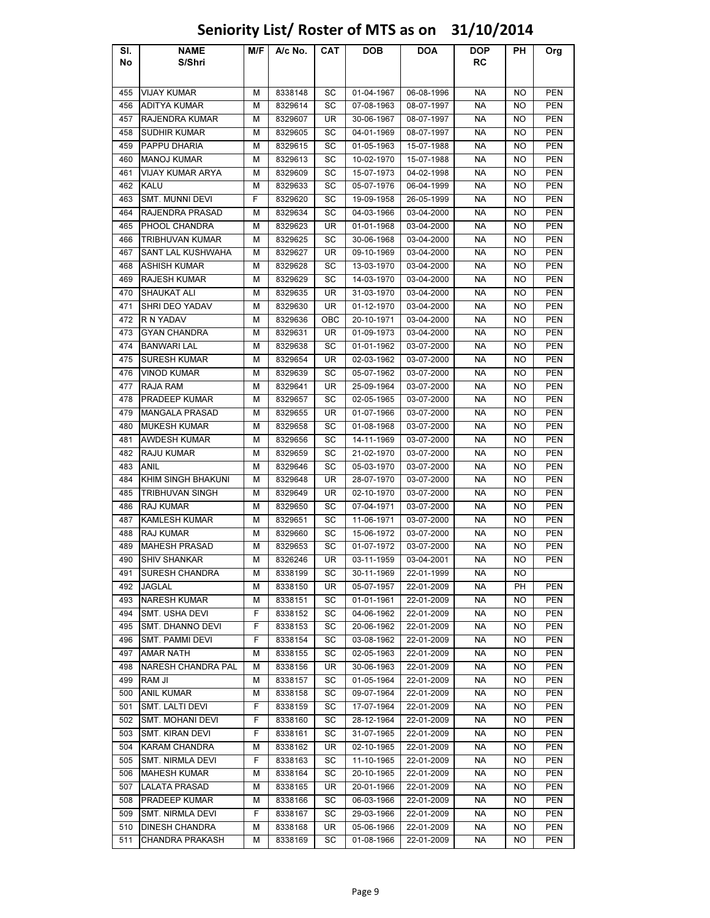### Sl. No NAME S/Shri M/F | A/c No. | CAT | DOB | DOA | DOP RC PH Org 455 VIJAY KUMAR M | M | 8338148 | SC | 01-04-1967 | 06-08-1996 | NA | NO | PEN 456 ADITYA KUMAR M 8329614 SC 07-08-1963 08-07-1997 NA NO PEN 457 RAJENDRA KUMAR | M | 8329607 | UR | 30-06-1967 | 08-07-1997 | NA | NO | PEN 458 SUDHIR KUMAR M 8329605 SC 04-01-1969 08-07-1997 NA NO PEN 459 PAPPU DHARIA M 8329615 SC 01-05-1963 15-07-1988 NA NO PEN 460 MANOJ KUMAR M | M | 8329613 | SC | 10-02-1970 | 15-07-1988 | NA | NO | PEN 461 VIJAY KUMAR ARYA M 8329609 SC 15-07-1973 04-02-1998 NA NO PEN 462 |KALU | M | 8329633 | SC | 05-07-1976 | 06-04-1999 | NA | NO | PEN 463 SMT. MUNNI DEVI F 8329620 SC 19-09-1958 26-05-1999 NA NO PEN 464 RAJENDRA PRASAD M 8329634 SC 04-03-1966 03-04-2000 NA NO PEN 465 PHOOL CHANDRA M 8329623 UR 01-01-1968 03-04-2000 NA NO PEN 466 TRIBHUVAN KUMAR M M 8329625 SC 30-06-1968 03-04-2000 NA NO PEN 467 SANT LAL KUSHWAHA M 8329627 UR 09-10-1969 03-04-2000 NA NO PEN 468 ASHISH KUMAR M 8329628 SC 13-03-1970 03-04-2000 NA NO PEN 469 RAJESH KUMAR M 8329629 SC 14-03-1970 03-04-2000 NA NO PEN 470 |SHAUKAT ALI | M | 8329635 | UR | 31-03-1970 | 03-04-2000 | NA | NO | PEN 471 SHRI DEO YADAV M 8329630 UR 01-12-1970 03-04-2000 NA NO PEN 472 R N YADAV | M | 8329636 | OBC | 20-10-1971 | 03-04-2000 | NA | NO | PEN 473 GYAN CHANDRA M 8329631 UR 01-09-1973 03-04-2000 NA NO PEN 474 BANWARI LAL M 8329638 SC 01-01-1962 03-07-2000 NA NO PEN 475 SURESH KUMAR M 8329654 UR 02-03-1962 03-07-2000 NA NO PEN 476 VINOD KUMAR M 8329639 SC 05-07-1962 03-07-2000 NA NO PEN 477 RAJA RAM | M | 8329641 | UR | 25-09-1964 | 03-07-2000 | NA | NO | PEN 478 PRADEEP KUMAR M 8329657 SC 02-05-1965 03-07-2000 NA NO PEN 479 MANGALA PRASAD | M | 8329655 | UR | 01-07-1966 | 03-07-2000 | NA | NO | PEN 480 MUKESH KUMAR M 8329658 SC 01-08-1968 03-07-2000 NA NO PEN 481 AWDESH KUMAR M 8329656 SC 14-11-1969 03-07-2000 NA NO PEN 482 RAJU KUMAR M | M | 8329659 SC | 21-02-1970 | 03-07-2000 | NA | NO | PEN 483 ANIL M 8329646 SC 05-03-1970 03-07-2000 NA NO PEN 484 KHIM SINGH BHAKUNI | M | 8329648 | UR | 28-07-1970 | 03-07-2000 | NA | NO | PEN 485 TRIBHUVAN SINGH M 8329649 UR 02-10-1970 03-07-2000 NA NO PEN 486 |RAJ KUMAR | M | 8329650 | SC | 07-04-1971 | 03-07-2000 | NA | NO | PEN 487 KAMLESH KUMAR M 8329651 SC 11-06-1971 03-07-2000 NA NO PEN 488 RAJ KUMAR M 8329660 SC 15-06-1972 03-07-2000 NA NO PEN 489 MAHESH PRASAD M 8329653 SC 01-07-1972 03-07-2000 NA NO PEN 490 SHIV SHANKAR M | M | 8326246 | UR | 03-11-1959 | 03-04-2001 | NA | NO | PEN 491 SURESH CHANDRA M 8338199 SC 30-11-1969 22-01-1999 NA NO 492 JAGLAL M 8338150 UR 05-07-1957 22-01-2009 NA PH PEN 493 NARESH KUMAR M 8338151 SC 01-01-1961 22-01-2009 NA NO PEN 494 SMT. USHA DEVI F 8338152 SC 04-06-1962 22-01-2009 NA NO PEN 495 SMT. DHANNO DEVI | F | 8338153 | SC | 20-06-1962 | 22-01-2009 | NA | NO | PEN 496 SMT. PAMMI DEVI F 8338154 SC 03-08-1962 22-01-2009 NA NO PEN 497 AMAR NATH M 8338155 SC 02-05-1963 22-01-2009 NA NO PEN 498 NARESH CHANDRA PAL M 8338156 UR 30-06-1963 22-01-2009 NA NO PEN 499 RAM JI M 8338157 SC 01-05-1964 22-01-2009 NA NO PEN 500 |ANIL KUMAR | M | 8338158 | SC | 09-07-1964 | 22-01-2009 | NA | NO | PEN 501 SMT. LALTI DEVI F 8338159 SC 17-07-1964 22-01-2009 NA NO PEN 502 SMT. MOHANI DEVI F 8338160 SC 28-12-1964 22-01-2009 NA NO PEN 503 SMT. KIRAN DEVI F 8338161 SC 31-07-1965 22-01-2009 NA NO PEN 504 KARAM CHANDRA M 8338162 UR 02-10-1965 22-01-2009 NA NO PEN 505 SMT. NIRMLA DEVI F 8338163 SC 11-10-1965 22-01-2009 NA NO PEN 506 MAHESH KUMAR M 8338164 SC 20-10-1965 22-01-2009 NA NO PEN 507 LALATA PRASAD M 8338165 UR 20-01-1966 22-01-2009 NA NO PEN 508 PRADEEP KUMAR M 8338166 SC 06-03-1966 22-01-2009 NA NO PEN 509 SMT. NIRMLA DEVI F 8338167 SC 29-03-1966 22-01-2009 NA NO PEN 510 DINESH CHANDRA M 8338168 UR 05-06-1966 22-01-2009 NA NO PEN

### Seniority List/ Roster of MTS as on 31/10/2014

511 CHANDRA PRAKASH M 8338169 SC 01-08-1966 22-01-2009 NA NO PEN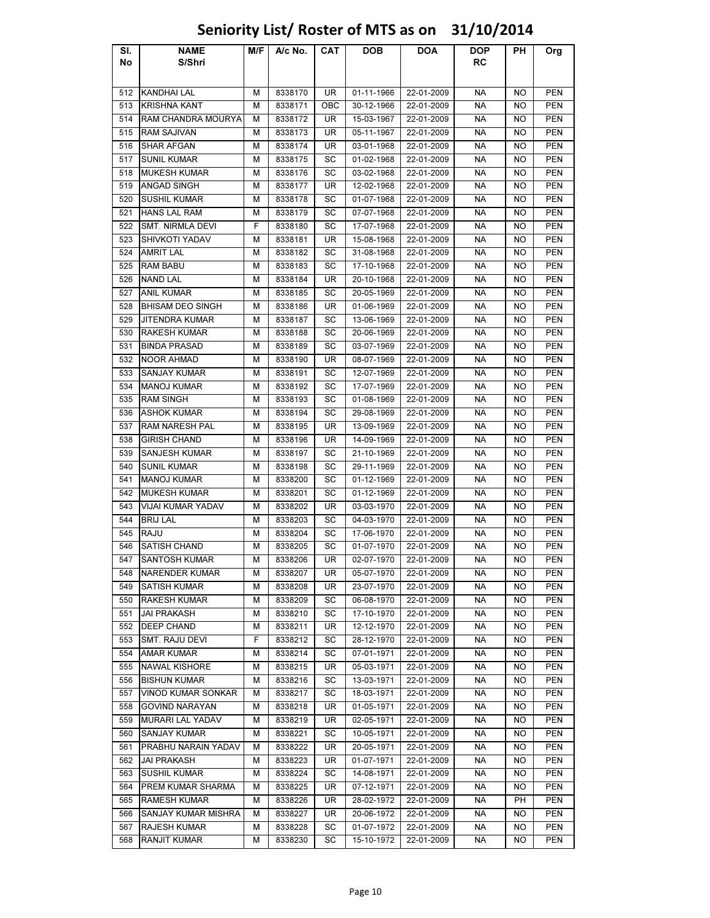### Sl. No NAME S/Shri M/F | A/c No. | CAT | DOB | DOA | DOP RC PH Org 512 |KANDHAI LAL | M | 8338170 | UR | 01-11-1966 | 22-01-2009 | NA | NO | PEN 513 |KRISHNA KANT | M | 8338171 | OBC | 30-12-1966 | 22-01-2009 | NA | NO | PEN 514 RAM CHANDRA MOURYA M 8338172 UR 15-03-1967 22-01-2009 NA NO PEN 515 RAM SAJIVAN M 8338173 UR 05-11-1967 22-01-2009 NA NO PEN 516 SHAR AFGAN M 8338174 UR 03-01-1968 22-01-2009 NA NO PEN 517 SUNIL KUMAR M | M | 8338175 | SC | 01-02-1968 | 22-01-2009 | NA | NO | PEN 518 MUKESH KUMAR M 8338176 SC 03-02-1968 22-01-2009 NA NO PEN 519 ANGAD SINGH M 8338177 UR 12-02-1968 22-01-2009 NA NO PEN 520 SUSHIL KUMAR M | M | 8338178 | SC | 01-07-1968 | 22-01-2009 | NA | NO | PEN 521 HANS LAL RAM M 8338179 SC 07-07-1968 22-01-2009 NA NO PEN 522 SMT. NIRMLA DEVI | F | 8338180 | SC | 17-07-1968 | 22-01-2009 | NA | NO | PEN 523 SHIVKOTI YADAV M 8338181 UR 15-08-1968 22-01-2009 NA NO PEN 524 |AMRIT LAL | M | 8338182 | SC | 31-08-1968 | 22-01-2009 | NA | NO | PEN 525 |RAM BABU | M | 8338183 | SC | 17-10-1968 | 22-01-2009 | NA | NO | PEN 526 NAND LAL M 8338184 UR 20-10-1968 22-01-2009 NA NO PEN 527 ANIL KUMAR M 8338185 SC 20-05-1969 22-01-2009 NA NO PEN 528 BHISAM DEO SINGH | M | 8338186 | UR | 01-06-1969 | 22-01-2009 | NA | NO | PEN 529 JITENDRA KUMAR M 8338187 SC 13-06-1969 22-01-2009 NA NO PEN 530 RAKESH KUMAR M 8338188 SC 20-06-1969 22-01-2009 NA NO PEN 531 BINDA PRASAD M 8338189 SC 03-07-1969 22-01-2009 NA NO PEN 532 NOOR AHMAD M 8338190 UR 08-07-1969 22-01-2009 NA NO PEN 533 SANJAY KUMAR M | M | 8338191 | SC | 12-07-1969 | 22-01-2009 | NA | NO | PEN 534 |MANOJ KUMAR | M | 8338192 | SC | 17-07-1969 | 22-01-2009 | NA | NO | PEN 535 RAM SINGH | M | 8338193 | SC | 01-08-1969 | 22-01-2009 | NA | NO | PEN 536 ASHOK KUMAR M 8338194 SC 29-08-1969 22-01-2009 NA NO PEN 537 RAM NARESH PAL M 8338195 UR 13-09-1969 22-01-2009 NA NO PEN 538 GIRISH CHAND M 8338196 UR 14-09-1969 22-01-2009 NA NO PEN 539 SANJESH KUMAR M 8338197 SC 21-10-1969 22-01-2009 NA NO PEN 540 SUNIL KUMAR | M | 8338198 | SC | 29-11-1969 | 22-01-2009 | NA | NO | PEN 541 MANOJ KUMAR M | M | 8338200 | SC | 01-12-1969 | 22-01-2009 | NA | NO | PEN 542 MUKESH KUMAR M | M | 8338201 | SC | 01-12-1969 | 22-01-2009 | NA | NO | PEN 543 VIJAI KUMAR YADAV M 8338202 UR 03-03-1970 22-01-2009 NA NO PEN 544 BRIJ LAL | M | 8338203 | SC | 04-03-1970 | 22-01-2009 | NA | NO | PEN 545 RAJU M 8338204 SC 17-06-1970 22-01-2009 NA NO PEN 546 SATISH CHAND M 8338205 SC 01-07-1970 22-01-2009 NA NO PEN 547 SANTOSH KUMAR M 8338206 | UR 02-07-1970 | 22-01-2009 | NA NO | PEN 548 NARENDER KUMAR | M | 8338207 | UR | 05-07-1970 | 22-01-2009 | NA | NO | PEN 549 SATISH KUMAR M | M | 8338208 | UR | 23-07-1970 | 22-01-2009 | NA | NO | PEN 550 RAKESH KUMAR M 8338209 SC 06-08-1970 22-01-2009 NA NO PEN 551 |JAI PRAKASH | M | 8338210 | SC | 17-10-1970 | 22-01-2009 | NA | NO | PEN 552 DEEP CHAND M 8338211 UR 12-12-1970 22-01-2009 NA NO PEN 553 SMT. RAJU DEVI F 8338212 SC 28-12-1970 22-01-2009 NA NO PEN 554 AMAR KUMAR M N 8338214 SC 07-01-1971 22-01-2009 NA NO PEN 555 NAWAL KISHORE M 8338215 UR 05-03-1971 22-01-2009 NA NO PEN 556 BISHUN KUMAR M | 8338216 | SC | 13-03-1971 | 22-01-2009 | NA NO PEN 557 VINOD KUMAR SONKAR | M | 8338217 | SC | 18-03-1971 | 22-01-2009 | NA | NO | PEN 558 GOVIND NARAYAN M 8338218 UR 01-05-1971 22-01-2009 NA NO PEN 559 MURARI LAL YADAV M 8338219 UR 02-05-1971 22-01-2009 NA NO PEN 560 SANJAY KUMAR M | M | 8338221 | SC | 10-05-1971 | 22-01-2009 | NA | NO | PEN 561 PRABHU NARAIN YADAV | M | 8338222 | UR | 20-05-1971 | 22-01-2009 | NA | NO | PEN 562 JAI PRAKASH M 8338223 UR 01-07-1971 22-01-2009 NA NO PEN 563 SUSHIL KUMAR M 8338224 SC 14-08-1971 22-01-2009 NA NO PEN 564 PREM KUMAR SHARMA | M | 8338225 | UR | 07-12-1971 | 22-01-2009 | NA | NO | PEN 565 RAMESH KUMAR M 8338226 UR 28-02-1972 22-01-2009 NA PH PEN 566 SANJAY KUMAR MISHRA M 8338227 UR 20-06-1972 22-01-2009 NA NO PEN 567 RAJESH KUMAR M 8338228 SC 01-07-1972 22-01-2009 NA NO PEN 568 RANJIT KUMAR M 8338230 SC 15-10-1972 22-01-2009 NA NO PEN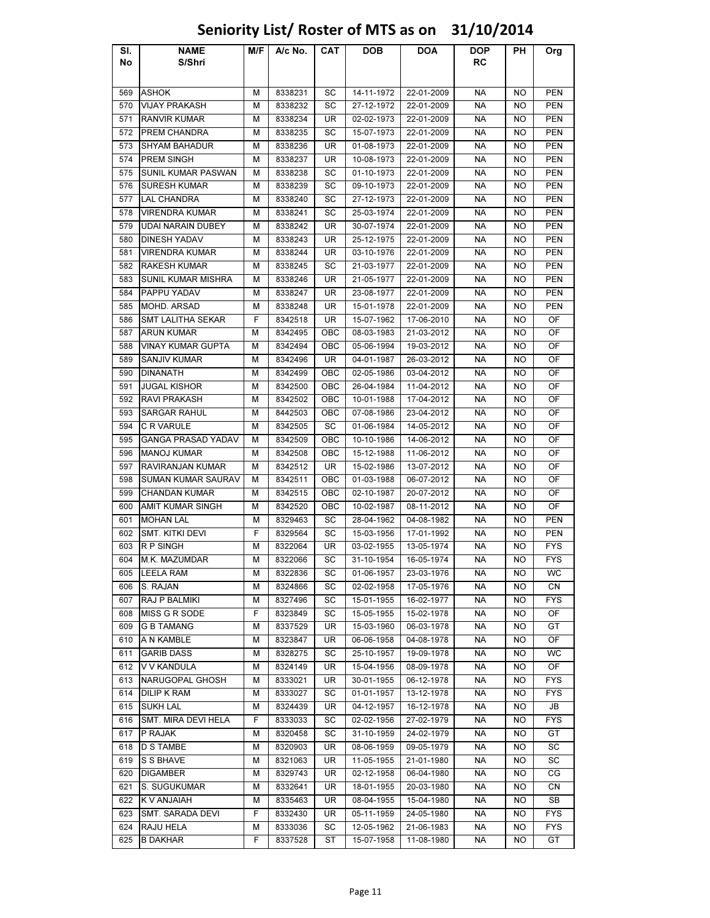### Sl. No NAME S/Shri M/F | A/c No. | CAT | DOB | DOA | DOP RC PH Org 569 |ASHOK | M | 8338231 | SC | 14-11-1972 | 22-01-2009 | NA | NO | PEN 570 VIJAY PRAKASH M 8338232 SC 27-12-1972 22-01-2009 NA NO PEN 571 RANVIR KUMAR M 8338234 UR 02-02-1973 22-01-2009 NA NO PEN 572 PREM CHANDRA M 8338235 SC 15-07-1973 22-01-2009 NA NO PEN 573 SHYAM BAHADUR M 8338236 UR 01-08-1973 22-01-2009 NA NO PEN 574 PREM SINGH M 8338237 UR 10-08-1973 22-01-2009 NA NO PEN 575 SUNIL KUMAR PASWAN M 8338238 SC 01-10-1973 22-01-2009 NA NO PEN 576 SURESH KUMAR M 8338239 SC 09-10-1973 22-01-2009 NA NO PEN 577 LAL CHANDRA M 8338240 SC 27-12-1973 22-01-2009 NA NO PEN 578 VIRENDRA KUMAR M 8338241 SC 25-03-1974 22-01-2009 NA NO PEN 579 UDAI NARAIN DUBEY | M | 8338242 | UR | 30-07-1974 | 22-01-2009 | NA | NO | PEN 580 DINESH YADAV | M | 8338243 | UR | 25-12-1975 | 22-01-2009 | NA | NO | PEN 581 VIRENDRA KUMAR M 8338244 UR 03-10-1976 22-01-2009 NA NO PEN 582 RAKESH KUMAR M 8338245 SC 21-03-1977 22-01-2009 NA NO PEN 583 SUNIL KUMAR MISHRA M 8338246 UR 21-05-1977 22-01-2009 NA NO PEN 584 PAPPU YADAV M 8338247 UR 23-08-1977 22-01-2009 NA NO PEN 585 MOHD. ARSAD M 8338248 UR 15-01-1978 22-01-2009 NA NO PEN 586 SMT LALITHA SEKAR F F 8342518 LUR 15-07-1962 17-06-2010 NA NO OF 587 ARUN KUMAR M 8342495 OBC 08-03-1983 21-03-2012 NA NO OF 588 VINAY KUMAR GUPTA | M | 8342494 | OBC | 05-06-1994 | 19-03-2012 | NA | NO | OF 589 SANJIV KUMAR M | 8342496 | UR | 04-01-1987 | 26-03-2012 | NA | NO | OF 590 |DINANATH | M | 8342499 | OBC | 02-05-1986 | 03-04-2012 | NA | NO | OF 591 |JUGAL KISHOR | M | 8342500 | OBC | 26-04-1984 | 11-04-2012 | NA | NO | OF 592 RAVI PRAKASH M 8342502 OBC 10-01-1988 17-04-2012 NA NO OF 593 SARGAR RAHUL | M | 8442503 | OBC | 07-08-1986 | 23-04-2012 | NA | NO | OF 594 C R VARULE | M | 8342505 | SC | 01-06-1984 | 14-05-2012 | NA | NO | OF 595 GANGA PRASAD YADAV | M | 8342509 | OBC | 10-10-1986 | 14-06-2012 | NA | NO | OF 596 MANOJ KUMAR M 8342508 OBC 15-12-1988 11-06-2012 NA NO OF 597 RAVIRANJAN KUMAR M 8342512 UR 15-02-1986 13-07-2012 NA NO OF 598 SUMAN KUMAR SAURAV | M | 8342511 | OBC | 01-03-1988 | 06-07-2012 | NA | NO | OF 599 CHANDAN KUMAR M 8342515 OBC 02-10-1987 20-07-2012 NA NO OF 600 AMIT KUMAR SINGH M N 8342520 OBC 10-02-1987 08-11-2012 NA NO OF 601 |MOHAN LAL | M | 8329463 | SC | 28-04-1962 | 04-08-1982 | NA | NO | PEN 602 SMT. KITKI DEVI F 8329564 SC 15-03-1956 17-01-1992 NA NO PEN 603 R P SINGH | M | 8322064 | UR | 03-02-1955 | 13-05-1974 | NA | NO | FYS 604 M.K. MAZUMDAR M 8322066 SC 31-10-1954 16-05-1974 NA NO FYS 605 |LEELA RAM | M | 8322836 | SC | 01-06-1957 | 23-03-1976 | NA | NO | WC 606 S. RAJAN M 8324866 SC 02-02-1958 17-05-1976 NA NO CN 607 RAJ P BALMIKI | M | 8327496 | SC | 15-01-1955 | 16-02-1977 | NA | NO | FYS 608 MISS G R SODE F 8323849 SC 15-05-1955 15-02-1978 NA NO OF 609 G B TAMANG M 8337529 | UR | 15-03-1960 | 06-03-1978 | NA | NO | GT 610 |A N KAMBLE | M | 8323847 | UR | 06-06-1958 | 04-08-1978 | NA | NO | OF 611 |GARIB DASS | M | 8328275 | SC | 25-10-1957 | 19-09-1978 | NA | NO | WC 612 V V KANDULA M 8324149 UR 15-04-1956 08-09-1978 NA NO OF 613 NARUGOPAL GHOSH M 8333021 UR 30-01-1955 06-12-1978 NA NO FYS 614 |DILIP K RAM | M | 8333027 | SC | 01-01-1957 | 13-12-1978 | NA | NO | FYS 615 |SUKH LAL | M | 8324439 | UR | 04-12-1957 | 16-12-1978 | NA | NO | JB 616 SMT. MIRA DEVI HELA F 8333033 SC 02-02-1956 27-02-1979 NA NO FYS 617 |P RAJAK | M | 8320458 | SC | 31-10-1959 | 24-02-1979 | NA | NO | GT 618 D S TAMBE | M | 8320903 | UR | 08-06-1959 | 09-05-1979 | NA | NO | SC 619 S S BHAVE M 8321063 UR 11-05-1955 21-01-1980 NA NO SC 620 DIGAMBER | M | 8329743 | UR | 02-12-1958 | 06-04-1980 | NA | NO | CG 621 S. SUGUKUMAR MIR 3332641 | UR | 18-01-1955 | 20-03-1980 | NA | NO | CN 622 K V ANJAIAH | M | 8335463 | UR | 08-04-1955 | 15-04-1980 | NA | NO | SB 623 SMT. SARADA DEVI F 8332430 UR 05-11-1959 24-05-1980 NA NO FYS 624 |RAJU HELA | M | 8333036 | SC | 12-05-1962 | 21-06-1983 | NA | NO | FYS

### Seniority List/ Roster of MTS as on 31/10/2014

625 B DAKHAR | F | 8337528 | ST | 15-07-1958 | 11-08-1980 | NA | NO | GT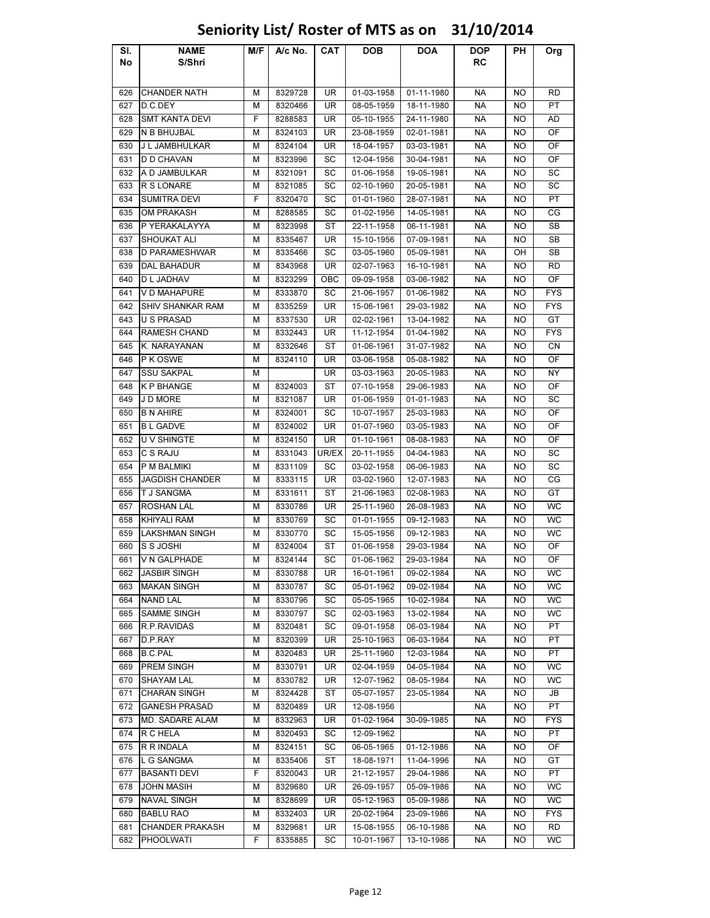### Sl. No NAME S/Shri M/F | A/c No. | CAT | DOB | DOA | DOP RC PH Org 626 CHANDER NATH M 8329728 UR 01-03-1958 01-11-1980 NA NO RD 627 |D.C.DEY | M | 8320466 | UR | 08-05-1959 | 18-11-1980 | NA | NO | PT 628 SMT KANTA DEVI F 8288583 | UR | 05-10-1955 | 24-11-1980 | NA | NO | AD 629 |N B BHUJBAL | M | 8324103 | UR | 23-08-1959 | 02-01-1981 | NA | NO | OF 630 J L JAMBHULKAR | M 8324104 | UR | 18-04-1957 | 03-03-1981 | NA | NO | OF 631 D D CHAVAN M | 8323996 | SC | 12-04-1956 | 30-04-1981 | NA | NO | OF 632 A D JAMBULKAR M 8321091 SC 01-06-1958 19-05-1981 NA NO SC 633 R S LONARE | M | 8321085 | SC | 02-10-1960 | 20-05-1981 | NA | NO | SC 634 SUMITRA DEVI | F | 8320470 | SC | 01-01-1960 | 28-07-1981 | NA | NO | PT 635 OM PRAKASH M 8288585 SC 01-02-1956 14-05-1981 NA NO CG 636 P YERAKALAYYA | M | 8323998 | ST | 22-11-1958 | 06-11-1981 | NA | NO | SB 637 |SHOUKAT ALI | M | 8335467 | UR | 15-10-1956 | 07-09-1981 | NA | NO | SB 638 D PARAMESHWAR M M 8335466 SC 03-05-1960 05-09-1981 NA OH SB 639 DAL BAHADUR | M | 8343968 | UR | 02-07-1963 | 16-10-1981 | NA | NO | RD 640 |D L JADHAV | M | 8323299 | OBC | 09-09-1958 | 03-06-1982 | NA | NO | OF 641 V D MAHAPURE M 8333870 SC 21-06-1957 01-06-1982 NA NO FYS 642 SHIV SHANKAR RAM | M | 8335259 | UR | 15-06-1961 | 29-03-1982 | NA | NO | FYS 643 |U S PRASAD | M | 8337530 | UR | 02-02-1961 | 13-04-1982 | NA | NO | GT 644 RAMESH CHAND M 8332443 UR 11-12-1954 01-04-1982 NA NO FYS 645 K. NARAYANAN | M | 8332646 | ST | 01-06-1961 | 31-07-1982 | NA | NO | CN 646 P K OSWE | M | 8324110 | UR | 03-06-1958 | 05-08-1982 | NA | NO | OF 647 SSU SAKPAL M M UR 03-03-1963 20-05-1983 NA NO NY 648 K P BHANGE | M | 8324003 | ST | 07-10-1958 | 29-06-1983 | NA | NO | OF 649 |J D MORE | M | 8321087 | UR | 01-06-1959 | 01-01-1983 | NA | NO | SC 650 B N AHIRE | M | 8324001 | SC | 10-07-1957 | 25-03-1983 | NA | NO | OF 651 B L GADVE | M | 8324002 | UR | 01-07-1960 | 03-05-1983 | NA | NO | OF 652 |U V SHINGTE | M | 8324150 | UR | 01-10-1961 | 08-08-1983 | NA | NO | OF 653 |C S RAJU | M | 8331043 |UR/EX | 20-11-1955 | 04-04-1983 | NA | NO | SC 654 |P M BALMIKI | M | 8331109 | SC | 03-02-1958 | 06-06-1983 | NA | NO | SC 655 JAGDISH CHANDER | M | 8333115 | UR | 03-02-1960 | 12-07-1983 | NA | NO | CG 656 |TJSANGMA | M | 8331611 | ST | 21-06-1963 | 02-08-1983 | NA | NO | GT 657 |ROSHAN LAL | M | 8330786 | UR | 25-11-1960 | 26-08-1983 | NA | NO | WC 658 KHIYALI RAM MIRI 8330769 SC 01-01-1955 09-12-1983 NA NO WC 659 LAKSHMAN SINGH M 8330770 SC 15-05-1956 09-12-1983 NA NO WC 660 S S JOSHI M 8324004 ST 01-06-1958 29-03-1984 NA NO OF 661 V N GALPHADE M 8324144 SC 01-06-1962 29-03-1984 NA NO OF 662 |JASBIR SINGH | M | 8330788 | UR | 16-01-1961 | 09-02-1984 | NA | NO | WC 663 MAKAN SINGH M 8330787 SC 05-01-1962 09-02-1984 NA NO WC 664 |NAND LAL | M | 8330796 | SC | 05-05-1965 | 10-02-1984 | NA | NO | WC 665 SAMME SINGH M 8330797 SC 02-03-1963 13-02-1984 NA NO WC 666 R.P.RAVIDAS | M 8320481 SC 09-01-1958 06-03-1984 | NA NO PT 667 |D.P.RAY | M | 8320399 | UR | 25-10-1963 | 06-03-1984 | NA | NO | PT 668 B.C.PAL | M | 8320483 | UR | 25-11-1960 | 12-03-1984 | NA | NO | PT 669 PREM SINGH M 8330791 UR 02-04-1959 04-05-1984 NA NO WC 670 SHAYAM LAL | M | 8330782 | UR | 12-07-1962 | 08-05-1984 | NA | NO | WC 671 CHARAN SINGH M N 8324428 ST 05-07-1957 23-05-1984 NA NO JB 672 GANESH PRASAD M 8320489 UR 12-08-1956 NA NO PT 673 MD. SADARE ALAM M 8332963 UR 01-02-1964 30-09-1985 NA NO FYS 674 R C HELA M 8320493 SC 12-09-1962 NA NO PT 675 R R INDALA | M | 8324151 | SC | 06-05-1965 | 01-12-1986 | NA | NO | OF 676 |LGSANGMA | M | 8335406 | ST | 18-08-1971 | 11-04-1996 | NA | NO | GT 677 BASANTI DEVI | F | 8320043 | UR | 21-12-1957 | 29-04-1986 | NA | NO | PT 678 |JOHN MASIH | M | 8329680 | UR | 26-09-1957 | 05-09-1986 | NA | NO | WC 679 NAVAL SINGH M 8328699 UR 05-12-1963 05-09-1986 NA NO WC 680 BABLU RAO | M | 8332403 | UR | 20-02-1964 | 23-09-1986 | NA | NO | FYS 681 CHANDER PRAKASH M 8329681 UR 15-08-1955 06-10-1986 NA NO RD 682 |PHOOLWATI | F | 8335885 | SC | 10-01-1967 | 13-10-1986 | NA | NO | WC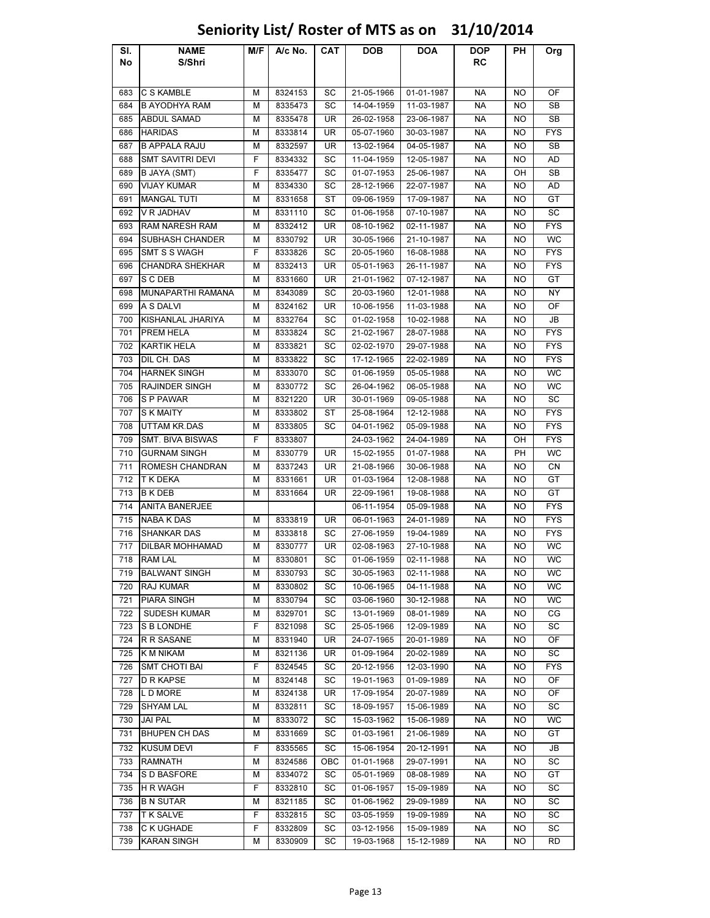### Sl. No NAME S/Shri M/F | A/c No. | CAT | DOB | DOA | DOP RC PH Org 683 |C S KAMBLE | M | 8324153 | SC | 21-05-1966 | 01-01-1987 | NA | NO | OF 684 B AYODHYA RAM M 8335473 SC 14-04-1959 11-03-1987 NA NO SB 685 ABDUL SAMAD M 8335478 | UR 26-02-1958 | 23-06-1987 | NA | NO | SB 686 |HARIDAS | M | 8333814 | UR | 05-07-1960 | 30-03-1987 | NA | NO | FYS 687 B APPALA RAJU M 8332597 UR 13-02-1964 04-05-1987 NA NO SB 688 SMT SAVITRI DEVI F | 8334332 | SC | 11-04-1959 | 12-05-1987 | NA | NO | AD 689 B JAYA (SMT) F 8335477 SC 01-07-1953 25-06-1987 NA OH SB 690 VIJAY KUMAR M 8334330 SC 28-12-1966 22-07-1987 NA NO AD 691 MANGAL TUTI M 8331658 ST 09-06-1959 17-09-1987 NA NO GT 692 |V R JADHAV | M | 8331110 | SC | 01-06-1958 | 07-10-1987 | NA | NO | SC 693 RAM NARESH RAM | M | 8332412 | UR | 08-10-1962 | 02-11-1987 | NA | NO | FYS 694 SUBHASH CHANDER M 8330792 UR 30-05-1966 21-10-1987 NA NO WC 695 SMT S S WAGH F 8333826 SC 20-05-1960 16-08-1988 NA NO FYS 696 CHANDRA SHEKHAR | M | 8332413 | UR | 05-01-1963 | 26-11-1987 | NA | NO | FYS 697 SCDEB | M | 8331660 | UR | 21-01-1962 | 07-12-1987 | NA | NO | GT 698 MUNAPARTHI RAMANA | M | 8343089 | SC | 20-03-1960 | 12-01-1988 | NA | NO | NY 699 A S DALVI | M | 8324162 | UR | 10-06-1956 | 11-03-1988 | NA | NO | OF 700 KISHANLAL JHARIYA M 8332764 SC 01-02-1958 10-02-1988 NA NO JB 701 PREM HELA M 8333824 SC 21-02-1967 28-07-1988 NA NO FYS 702 KARTIK HELA M 8333821 SC 02-02-1970 29-07-1988 NA NO FYS 703 |DIL CH. DAS | M | 8333822 | SC | 17-12-1965 | 22-02-1989 | NA | NO | FYS 704 HARNEK SINGH M 8333070 SC 01-06-1959 05-05-1988 NA NO WC 705 RAJINDER SINGH M 8330772 SC 26-04-1962 06-05-1988 NA NO WC 706 S P PAWAR M 8321220 UR 30-01-1969 09-05-1988 NA NO SC 707 S K MAITY M 8333802 ST 25-08-1964 12-12-1988 NA NO FYS 708 UTTAM KR.DAS M A 8333805 SC 04-01-1962 05-09-1988 NA NO FYS 709 SMT. BIVA BISWAS F 8333807 24-03-1962 24-04-1989 NA OH FYS 710 GURNAM SINGH M 8330779 UR 15-02-1955 01-07-1988 NA PH WC 711 ROMESH CHANDRAN M 8337243 UR 21-08-1966 30-06-1988 NA NO CN 712 T K DEKA M 8331661 UR 01-03-1964 12-08-1988 NA NO GT 713 B K DEB | M | 8331664 | UR | 22-09-1961 | 19-08-1988 | NA | NO | GT 714 ANITA BANERJEE | | | 06-11-1954 05-09-1988 | NA NO FYS 715 |NABA K DAS | M | 8333819 | UR | 06-01-1963 | 24-01-1989 | NA | NO | FYS 716 SHANKAR DAS | M | 8333818 | SC | 27-06-1959 | 19-04-1989 | NA | NO | FYS 717 DILBAR MOHHAMAD M 8330777 UR 02-08-1963 27-10-1988 NA NO WC 718 |RAM LAL | M | 8330801 | SC | 01-06-1959 | 02-11-1988 | NA | NO | WC 719 BALWANT SINGH M 8330793 SC 30-05-1963 02-11-1988 NA NO WC 720 |RAJ KUMAR | M | 8330802 | SC | 10-06-1965 | 04-11-1988 | NA | NO | WC 721 PIARA SINGH M 8330794 SC 03-06-1960 30-12-1988 NA NO WC 722 SUDESH KUMAR M 8329701 SC 13-01-1969 08-01-1989 NA NO CG 723 S B LONDHE F 8321098 SC 25-05-1966 12-09-1989 NA NO SC 724 RR SASANE M | 8331940 UR | 24-07-1965 | 20-01-1989 NA | NO | OF 725 K M NIKAM | M | 8321136 | UR | 01-09-1964 |20-02-1989 | NA | NO | SC 726 SMT CHOTI BAI F 8324545 SC 20-12-1956 12-03-1990 NA NO FYS 727 D R KAPSE | M | 8324148 | SC | 19-01-1963 | 01-09-1989 | NA | NO | OF 728 |L D MORE | M | 8324138 | UR | 17-09-1954 | 20-07-1989 | NA | NO | OF 729 |SHYAM LAL | M | 8332811 | SC | 18-09-1957 | 15-06-1989 | NA | NO | SC 730 |JAI PAL | M | 8333072 | SC | 15-03-1962 | 15-06-1989 | NA | NO | WC 731 BHUPEN CH DAS MINICS 8331669 NSC 01-03-1961 21-06-1989 NA NO GT 732 |KUSUM DEVI | F | 8335565 | SC | 15-06-1954 | 20-12-1991 | NA | NO | JB 733 RAMNATH M 8324586 OBC 01-01-1968 29-07-1991 NA NO SC 734 SDBASFORE M | 8334072 | SC | 05-01-1969 | 08-08-1989 | NA | NO | GT 735 |H R WAGH | F | 8332810 | SC | 01-06-1957 | 15-09-1989 | NA | NO | SC 736 B N SUTAR | M | 8321185 | SC | 01-06-1962 | 29-09-1989 | NA | NO | SC 737 |T K SALVE | F | 8332815 | SC | 03-05-1959 | 19-09-1989 | NA | NO | SC 738 C K UGHADE F 8332809 SC 03-12-1956 15-09-1989 NA NO SC 739 KARAN SINGH M 8330909 SC 19-03-1968 15-12-1989 NA NO RD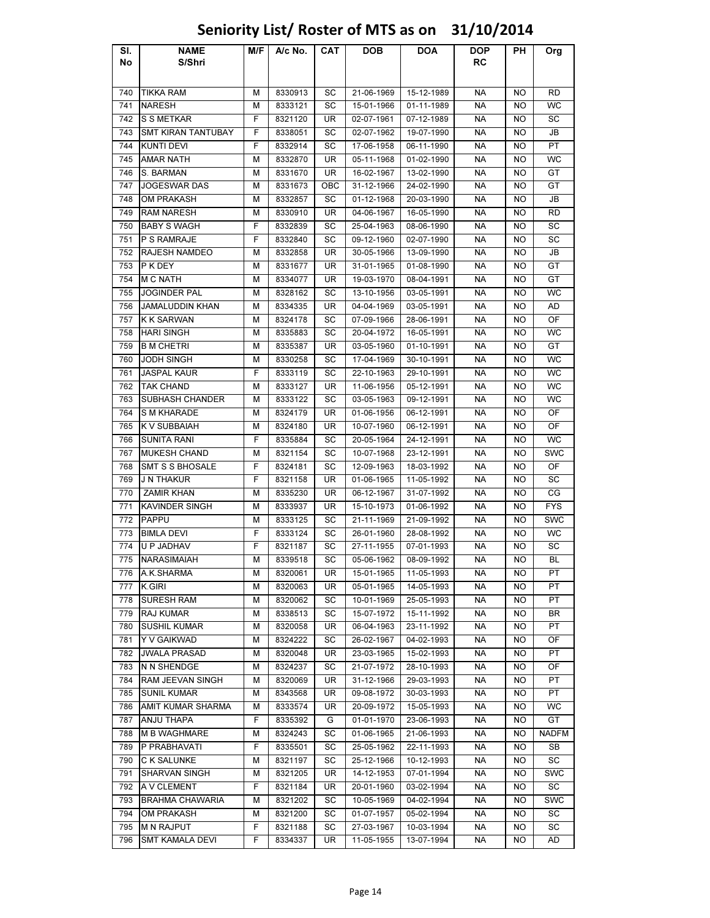### Sl. No NAME S/Shri M/F | A/c No. | CAT | DOB | DOA | DOP RC PH Org 740 |TIKKA RAM | M | 8330913 | SC | 21-06-1969 | 15-12-1989 | NA | NO | RD 741 |NARESH | M | 8333121 | SC | 15-01-1966 | 01-11-1989 | NA | NO | WC 742 S S METKAR F 8321120 | UR 02-07-1961 | 07-12-1989 | NA NO | SC 743 SMT KIRAN TANTUBAY F 8338051 SC 02-07-1962 19-07-1990 NA NO JB 744 KUNTI DEVI F 8332914 SC 17-06-1958 06-11-1990 NA NO PT 745 AMAR NATH M 8332870 UR 05-11-1968 01-02-1990 NA NO WC 746 S. BARMAN M 8331670 UR 16-02-1967 13-02-1990 NA NO GT 747 JOGESWAR DAS | M 8331673 | OBC | 31-12-1966 | 24-02-1990 | NA | NO | GT 748 OM PRAKASH M 8332857 SC 01-12-1968 20-03-1990 NA NO JB 749 |RAM NARESH | M | 8330910 | UR | 04-06-1967 | 16-05-1990 | NA | NO | RD 750 BABY S WAGH F 8332839 SC 25-04-1963 08-06-1990 NA NO SC 751 PSRAMRAJE | F | 8332840 | SC | 09-12-1960 | 02-07-1990 | NA | NO | SC 752 RAJESH NAMDEO M 8332858 UR 30-05-1966 13-09-1990 NA NO JB 753 P K DEY | M | 8331677 | UR | 31-01-1965 | 01-08-1990 | NA | NO | GT 754 |M.C. NATH | M. | 8334077 | UR | 19-03-1970 | 08-04-1991 | NA | NO | GT 755 JOGINDER PAL M 8328162 SC 13-10-1956 03-05-1991 NA NO WC 756 JAMALUDDIN KHAN | M | 8334335 | UR | 04-04-1969 | 03-05-1991 | NA | NO | AD 757 |K K SARWAN | M | 8324178 | SC | 07-09-1966 | 28-06-1991 | NA | NO | OF 758 HARI SINGH M 8335883 SC 20-04-1972 16-05-1991 NA NO WC 759 B M CHETRI M 8335387 UR 03-05-1960 01-10-1991 NA NO GT 760 |JODH SINGH | M | 8330258 | SC | 17-04-1969 | 30-10-1991 | NA | NO | WC 761 JASPAL KAUR F 8333119 SC 22-10-1963 29-10-1991 NA NO WC 762 |TAK CHAND | M | 8333127 | UR | 11-06-1956 | 05-12-1991 | NA | NO | WC 763 SUBHASH CHANDER M 8333122 SC 03-05-1963 09-12-1991 NA NO WC 764 SMKHARADE M 8324179 UR 01-06-1956 06-12-1991 NA NO OF 765 KV SUBBAIAH | M | 8324180 | UR | 10-07-1960 | 06-12-1991 | NA | NO | OF 766 SUNITA RANI F 8335884 SC 20-05-1964 24-12-1991 NA NO WC 767 MUKESH CHAND M 8321154 SC 10-07-1968 23-12-1991 NA NO SWC 768 SMT S S BHOSALE F 8324181 SC 12-09-1963 18-03-1992 NA NO OF 769 J N THAKUR F 8321158 UR 01-06-1965 11-05-1992 NA NO SC 770 | ZAMIR KHAN | M | 8335230 | UR | 06-12-1967 | 31-07-1992 | NA | NO | CG 771 KAVINDER SINGH M 8333937 UR 15-10-1973 01-06-1992 NA NO FYS 772 |PAPPU | M | 8333125 | SC | 21-11-1969 | 21-09-1992 | NA | NO | SWC 773 BIMLA DEVI F 8333124 SC 26-01-1960 28-08-1992 NA NO WC 774 U P JADHAV F 8321187 SC 27-11-1955 07-01-1993 NA NO SC 775 NARASIMAIAH M 8339518 SC 05-06-1962 08-09-1992 NA NO BL 776 |A.K.SHARMA | M | 8320061 | UR | 15-01-1965 | 11-05-1993 | NA | NO | PT 777 |K.GIRI | M | 8320063 | UR | 05-01-1965 | 14-05-1993 | NA | NO | PT 778 SURESH RAM M 8320062 SC 10-01-1969 25-05-1993 NA NO PT 779 |RAJ KUMAR | M | 8338513 | SC | 15-07-1972 | 15-11-1992 | NA | NO | BR 780 SUSHIL KUMAR M 8320058 | UR 06-04-1963 | 23-11-1992 | NA NO | PT 781 Y V GAIKWAD M 8324222 SC 26-02-1967 04-02-1993 NA NO OF 782 JJWALA PRASAD | M | 8320048 | UR | 23-03-1965 | 15-02-1993 | NA | NO | PT 783 N N SHENDGE M 8324237 SC 21-07-1972 28-10-1993 NA NO OF 784 RAM JEEVAN SINGH M 8320069 UR 31-12-1966 29-03-1993 NA NO PT 785 SUNIL KUMAR M 8343568 UR 09-08-1972 30-03-1993 NA NO PT 786 AMIT KUMAR SHARMA M 8333574 UR 20-09-1972 15-05-1993 NA NO WC 787 |ANJU THAPA | F | 8335392 | G | 01-01-1970 | 23-06-1993 | NA | NO | GT 788 M B WAGHMARE M 8324243 SC 01-06-1965 21-06-1993 NA NO NADFM 789 P PRABHAVATI F 8335501 SC 25-05-1962 22-11-1993 NA NO SB 790 C K SALUNKE | M | 8321197 | SC | 25-12-1966 | 10-12-1993 | NA | NO | SC 791 SHARVAN SINGH M 8321205 UR 14-12-1953 07-01-1994 NA NO SWC 792 A V CLEMENT F 8321184 UR 20-01-1960 03-02-1994 NA NO SC 793 BRAHMA CHAWARIA | M | 8321202 | SC | 10-05-1969 | 04-02-1994 | NA | NO | SWC 794 OM PRAKASH M 8321200 SC 01-07-1957 05-02-1994 NA NO SC 795 |MIN RAJPUT | F | 8321188 | SC | 27-03-1967 | 10-03-1994 | NA | NO | SC 796 SMT KAMALA DEVI F 8334337 UR 11-05-1955 13-07-1994 NA NO AD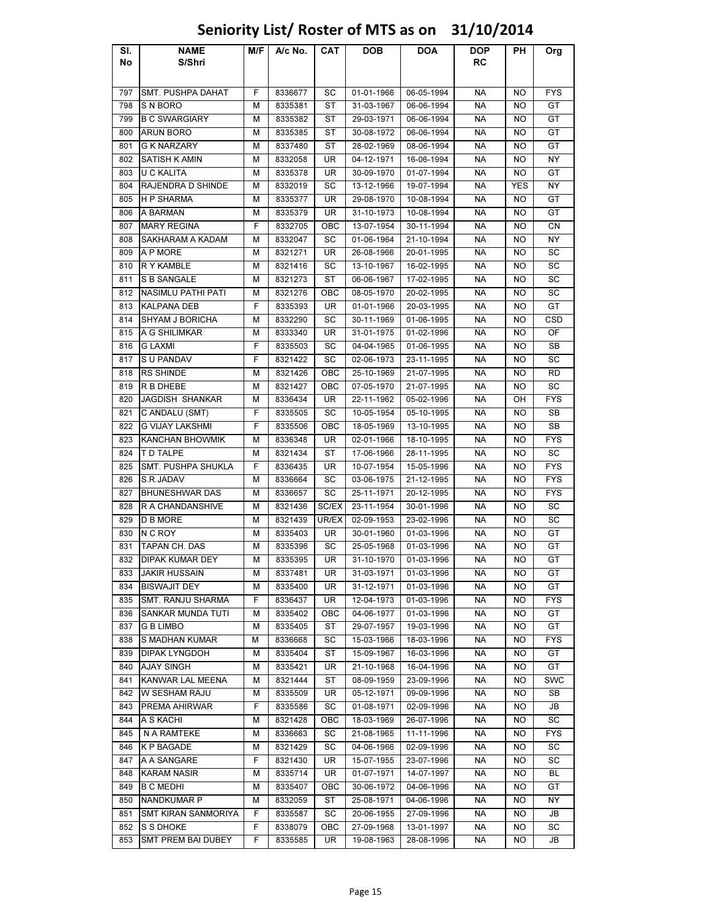| SI. | <b>NAME</b>                | M/F | A/c No. | CAT       | <b>DOB</b> | <b>DOA</b> | DOP.      | PH         | Org        |
|-----|----------------------------|-----|---------|-----------|------------|------------|-----------|------------|------------|
| No  | S/Shri                     |     |         |           |            |            | RC        |            |            |
|     |                            |     |         |           |            |            |           |            |            |
| 797 | <b>SMT. PUSHPA DAHAT</b>   | F   | 8336677 | SC        | 01-01-1966 | 06-05-1994 | <b>NA</b> | NO         | <b>FYS</b> |
| 798 | S N BORO                   | М   | 8335381 | SТ        | 31-03-1967 | 06-06-1994 | NA        | NO         | GT         |
| 799 | <b>B C SWARGIARY</b>       | м   | 8335382 | ST        | 29-03-1971 | 06-06-1994 | NА        | NO.        | GT         |
| 800 | <b>ARUN BORO</b>           | М   | 8335385 | ST        | 30-08-1972 | 06-06-1994 | <b>NA</b> | NO         | GT         |
| 801 | <b>G K NARZARY</b>         | М   | 8337480 | ST        | 28-02-1969 | 08-06-1994 | NА        | NO.        | GT         |
| 802 | <b>SATISH K AMIN</b>       | М   | 8332058 | UR        | 04-12-1971 | 16-06-1994 | NА        | ΝO         | NΥ         |
| 803 | U C KALITA                 | м   | 8335378 | UR        | 30-09-1970 | 01-07-1994 | NА        | ΝO         | GT         |
| 804 | RAJENDRA D SHINDE          | м   | 8332019 | SC        | 13-12-1966 | 19-07-1994 | <b>NA</b> | <b>YES</b> | NY         |
| 805 | <b>HP SHARMA</b>           | М   | 8335377 | <b>UR</b> | 29-08-1970 | 10-08-1994 | <b>NA</b> | NO         | GT         |
| 806 | A BARMAN                   | М   | 8335379 | UR        | 31-10-1973 | 10-08-1994 | <b>NA</b> | NO         | GT         |
| 807 | <b>MARY REGINA</b>         | F   | 8332705 | OBC       | 13-07-1954 | 30-11-1994 | NА        | NO         | CN         |
| 808 | SAKHARAM A KADAM           | М   | 8332047 | SC        | 01-06-1964 | 21-10-1994 | NA        | NO         | <b>NY</b>  |
| 809 | A P MORE                   | М   | 8321271 | UR        | 26-08-1966 | 20-01-1995 | NА        | ΝO         | SC         |
| 810 | R Y KAMBLE                 | М   | 8321416 | SC        | 13-10-1967 | 16-02-1995 | NA        | ΝO         | SC         |
| 811 | <b>S B SANGALE</b>         | м   | 8321273 | ST        | 06-06-1967 | 17-02-1995 | <b>NA</b> | NO         | SC         |
| 812 | <b>NASIMLU PATHI PATI</b>  | м   | 8321276 | OBC       | 08-05-1970 | 20-02-1995 | NА        | ΝO         | SC         |
| 813 | <b>KALPANA DEB</b>         | F   | 8335393 | UR        | 01-01-1966 | 20-03-1995 | NA        | NO         | GT         |
| 814 | <b>SHYAM J BORICHA</b>     | м   | 8332290 | SC        | 30-11-1969 | 01-06-1995 | NA        | ΝO         | CSD        |
| 815 | A G SHILIMKAR              | м   | 8333340 | UR        | 31-01-1975 | 01-02-1996 | NA        | ΝO         | OF         |
| 816 | <b>G LAXMI</b>             | F   | 8335503 | SC        | 04-04-1965 | 01-06-1995 | NА        | NO         | SB         |
| 817 | S U PANDAV                 | F   | 8321422 | SC        | 02-06-1973 | 23-11-1995 | NA        | ΝO         | SC         |
| 818 | <b>RS SHINDE</b>           | м   | 8321426 | OBC       | 25-10-1969 | 21-07-1995 | NA        | NO         | RD         |
| 819 | R B DHEBE                  | М   | 8321427 | OBC       | 07-05-1970 | 21-07-1995 | NА        | NO         | SC         |
| 820 | JAGDISH SHANKAR            | М   | 8336434 | UR        | 22-11-1962 | 05-02-1996 | NA        | OН         | <b>FYS</b> |
| 821 | C ANDALU (SMT)             | F   | 8335505 | SC        | 10-05-1954 | 05-10-1995 | NA        | NO         | SB         |
| 822 | <b>G VIJAY LAKSHMI</b>     | F   | 8335506 | OBC       | 18-05-1969 | 13-10-1995 | NА        | NO         | SB         |
| 823 | KANCHAN BHOWMIK            | м   | 8336348 | UR        | 02-01-1966 | 18-10-1995 | NA        | ΝO         | <b>FYS</b> |
| 824 | T D TALPE                  | м   | 8321434 | ST        | 17-06-1966 | 28-11-1995 | NA        | ΝO         | SC         |
| 825 | SMT. PUSHPA SHUKLA         | F   | 8336435 | UR        | 10-07-1954 | 15-05-1996 | <b>NA</b> | ΝO         | <b>FYS</b> |
| 826 | S.R.JADAV                  | М   | 8336664 | SC        | 03-06-1975 | 21-12-1995 | NА        | ΝO         | <b>FYS</b> |
| 827 | <b>BHUNESHWAR DAS</b>      | м   | 8336657 | SC        | 25-11-1971 | 20-12-1995 | NA        | ΝO         | <b>FYS</b> |
| 828 | R A CHANDANSHIVE           | м   | 8321436 | SC/EX     | 23-11-1954 | 30-01-1996 | NА        | NO         | SC         |
| 829 | <b>D B MORE</b>            | М   | 8321439 | UR/EX     | 02-09-1953 | 23-02-1996 | NA        | ΝO         | SC         |
| 830 | N C ROY                    | М   | 8335403 | UR        | 30-01-1960 | 01-03-1996 | NA        | NO         | GT         |
| 831 | TAPAN CH. DAS              | М   | 8335396 | SC        | 25-05-1968 | 01-03-1996 | <b>NA</b> | NO         | GT         |
|     | 832   DIPAK KUMAR DEY      | м   | 8335395 | UR        | 31-10-1970 | 01-03-1996 | NA        | NO         | GT         |
| 833 | <b>JAKIR HUSSAIN</b>       | М   | 8337481 | UR        | 31-03-1971 | 01-03-1996 | NA        | NO         | GT         |
| 834 | <b>BISWAJIT DEY</b>        | м   | 8335400 | UR        | 31-12-1971 | 01-03-1996 | NА        | NO         | GT         |
| 835 | SMT. RANJU SHARMA          | F   | 8336437 | UR        | 12-04-1973 | 01-03-1996 | NA        | NO         | <b>FYS</b> |
| 836 | SANKAR MUNDA TUTI          | М   | 8335402 | OBC       | 04-06-1977 | 01-03-1996 | NА        | ΝO         | GT         |
| 837 | G B LIMBO                  | М   | 8335405 | ST        | 29-07-1957 | 19-03-1996 | NА        | ΝO         | GT         |
| 838 | S MADHAN KUMAR             | м   | 8336668 | SC        | 15-03-1966 | 18-03-1996 | NА        | ΝO         | FYS        |
| 839 | <b>DIPAK LYNGDOH</b>       | М   | 8335404 | ST        | 15-09-1967 | 16-03-1996 | NA        | NO         | GT         |
| 840 | <b>AJAY SINGH</b>          | м   | 8335421 | UR        | 21-10-1968 | 16-04-1996 | NA        | NO         | GT         |
| 841 | KANWAR LAL MEENA           | М   | 8321444 | ST        | 08-09-1959 | 23-09-1996 | NА        | NO         | <b>SWC</b> |
| 842 | W SESHAM RAJU              | М   | 8335509 | UR        | 05-12-1971 | 09-09-1996 | NA        | NO         | SB         |
| 843 | PREMA AHIRWAR              | F.  | 8335586 | SC        | 01-08-1971 | 02-09-1996 | NA        | NO         | JB         |
| 844 | A S KACHI                  | м   | 8321428 | OBC       | 18-03-1969 | 26-07-1996 | <b>NA</b> | NO         | SC         |
| 845 | N A RAMTEKE                | М   | 8336663 | SC        | 21-08-1965 | 11-11-1996 | NА        | ΝO         | <b>FYS</b> |
| 846 | K P BAGADE                 | М   | 8321429 | SC        | 04-06-1966 | 02-09-1996 | NА        | ΝO         | SC         |
| 847 | A A SANGARE                | F   | 8321430 | UR        | 15-07-1955 | 23-07-1996 | NА        | ΝO         | SC         |
| 848 | KARAM NASIR                | М   | 8335714 | UR        | 01-07-1971 | 14-07-1997 | NA        | NO.        | BL.        |
| 849 | <b>B C MEDHI</b>           | М   | 8335407 | OBC       | 30-06-1972 | 04-06-1996 | NA        | ΝO         | GT         |
| 850 | <b>NANDKUMAR P</b>         | М   | 8332059 | ST        | 25-08-1971 | 04-06-1996 | NА        | ΝO         | NΥ         |
| 851 | <b>SMT KIRAN SANMORIYA</b> | F   | 8335587 | SC        | 20-06-1955 | 27-09-1996 | NA        | ΝO         | JB         |
| 852 | S S DHOKE                  | F   | 8338079 | OBC       | 27-09-1968 | 13-01-1997 | NA        | ΝO         | SC         |
| 853 | <b>SMT PREM BAI DUBEY</b>  | F.  |         | UR        | 19-08-1963 |            | NA        | NO         | JB         |
|     |                            |     | 8335585 |           |            | 28-08-1996 |           |            |            |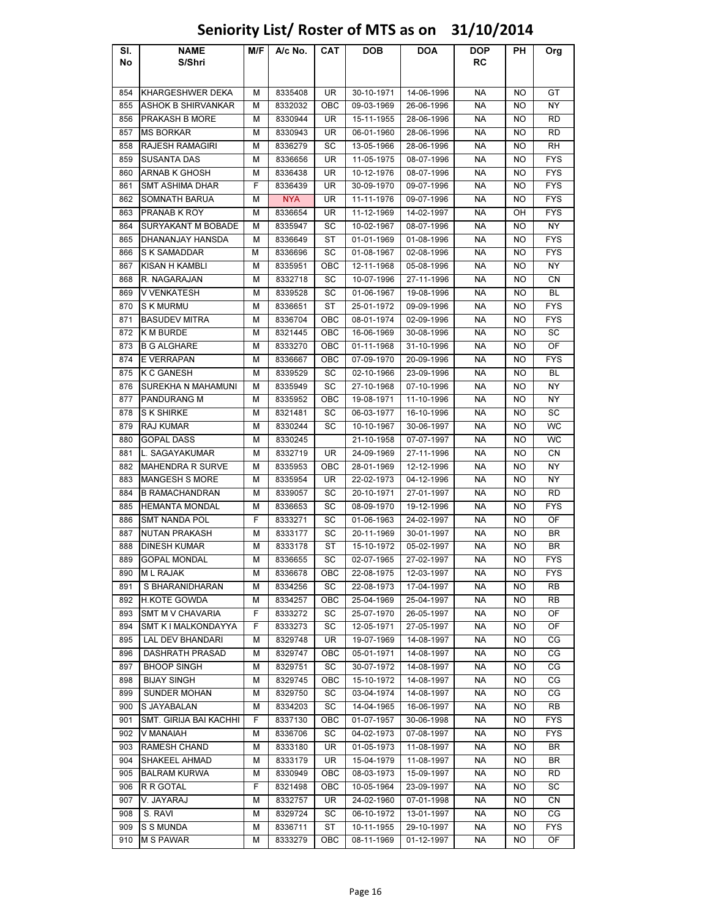| SI.        | <b>NAME</b>               | M/F    | A/c No.            | CAT        | DOB                      | <b>DOA</b>               | <b>DOP</b> | PН        | Org              |
|------------|---------------------------|--------|--------------------|------------|--------------------------|--------------------------|------------|-----------|------------------|
| No         | S/Shri                    |        |                    |            |                          |                          | RC         |           |                  |
|            |                           |        |                    |            |                          |                          |            |           |                  |
| 854        | KHARGESHWER DEKA          | м      | 8335408            | UR         | 30-10-1971               | 14-06-1996               | <b>NA</b>  | NO        | GT               |
| 855        | <b>ASHOK B SHIRVANKAR</b> | М      | 8332032            | OBC        | 09-03-1969               | 26-06-1996               | <b>NA</b>  | NO        | <b>NY</b>        |
| 856        | <b>PRAKASH B MORE</b>     | М      | 8330944            | UR         | 15-11-1955               | 28-06-1996               | NA         | NO.       | <b>RD</b>        |
| 857        | <b>MS BORKAR</b>          | М      | 8330943            | UR         | 06-01-1960               | 28-06-1996               | NA         | NO        | RD               |
| 858        | RAJESH RAMAGIRI           | М      | 8336279            | SC         | 13-05-1966               | 28-06-1996               | NA         | NO        | RH               |
| 859        | <b>SUSANTA DAS</b>        | М      | 8336656            | UR         | 11-05-1975               | 08-07-1996               | NA         | NO        | <b>FYS</b>       |
| 860        | <b>ARNAB K GHOSH</b>      | М      | 8336438            | UR         | 10-12-1976               | 08-07-1996               | <b>NA</b>  | NO        | <b>FYS</b>       |
| 861        | SMT ASHIMA DHAR           | F      | 8336439            | UR         | 30-09-1970               | 09-07-1996               | <b>NA</b>  | NO        | <b>FYS</b>       |
| 862        | SOMNATH BARUA             | М      | <b>NYA</b>         | UR         | 11-11-1976               | 09-07-1996               | <b>NA</b>  | NO        | <b>FYS</b>       |
| 863        | PRANAB K ROY              | М      | 8336654            | UR         | 11-12-1969               | 14-02-1997               | NA         | OН        | <b>FYS</b>       |
| 864        | SURYAKANT M BOBADE        | М      | 8335947            | SC         | 10-02-1967               | 08-07-1996               | NА         | NO        | NY               |
| 865        | DHANANJAY HANSDA          | м      | 8336649            | ST         | 01-01-1969               | 01-08-1996               | NA.        | NO        | <b>FYS</b>       |
| 866        | S K SAMADDAR              | М      | 8336696            | SC         | 01-08-1967               | 02-08-1996               | <b>NA</b>  | NO.       | <b>FYS</b>       |
| 867        | KISAN H KAMBLI            | М      | 8335951            | OBC        | 12-11-1968               | 05-08-1996               | NA         | NO        | NY               |
| 868        | R. NAGARAJAN              | М      | 8332718            | SC         | 10-07-1996               | 27-11-1996               | NA         | NO        | CN               |
| 869        | <b>V VENKATESH</b>        | М      | 8339528            | SC         | 01-06-1967               | 19-08-1996               | NA         | NO        | BL               |
| 870        | <b>S K MURMU</b>          | М      | 8336651            | ST         | 25-01-1972               | 09-09-1996               | NА         | NO        | <b>FYS</b>       |
| 871        | <b>BASUDEV MITRA</b>      | М      | 8336704            | OBC        | 08-01-1974               | 02-09-1996               | NA         | NO        | <b>FYS</b>       |
| 872        | <b>K M BURDE</b>          | М      | 8321445            | OBC        | 16-06-1969               | 30-08-1996               | <b>NA</b>  | NO.       | SC               |
| 873        | <b>B G ALGHARE</b>        | М      | 8333270            | OBC        | 01-11-1968               | 31-10-1996               | NA         | NO.       | OF               |
| 874        | E VERRAPAN                | М      | 8336667            | OBC        | 07-09-1970               | 20-09-1996               | NA         | NO        | <b>FYS</b>       |
| 875        | <b>K C GANESH</b>         | М      | 8339529            | SC         | 02-10-1966               | 23-09-1996               | NA         | <b>NO</b> | <b>BL</b>        |
| 876        | SUREKHA N MAHAMUNI        | М      | 8335949            | SC         | 27-10-1968               | 07-10-1996               | NA         | NO        | ΝY               |
| 877        | <b>PANDURANG M</b>        | М      | 8335952            | OBC        | 19-08-1971               | 11-10-1996               | <b>NA</b>  | NO        | ΝY               |
| 878        | <b>S K SHIRKE</b>         | М      | 8321481            | SC         | 06-03-1977               | 16-10-1996               | <b>NA</b>  | NO.       | SC               |
| 879        | RAJ KUMAR                 | М      | 8330244            | SC         | 10-10-1967               | 30-06-1997               | <b>NA</b>  | NO        | WC               |
| 880        | <b>GOPAL DASS</b>         | М      | 8330245            |            | 21-10-1958               | 07-07-1997               | <b>NA</b>  | NO        | <b>WC</b>        |
| 881        | L. SAGAYAKUMAR            | М      | 8332719            | <b>UR</b>  | 24-09-1969               | 27-11-1996               | NA         | NO        | СN               |
| 882        | <b>MAHENDRA R SURVE</b>   | М      | 8335953            | OBC        | 28-01-1969               | 12-12-1996               | NA         | NO        | ΝY               |
| 883        | <b>MANGESH S MORE</b>     | М      | 8335954            | UR         | 22-02-1973               | 04-12-1996               | NA         | NO        | ΝY               |
| 884        | <b>B RAMACHANDRAN</b>     | М      | 8339057            | SC         | 20-10-1971               | 27-01-1997               | NA         | NO        | RD               |
| 885        | <b>HEMANTA MONDAL</b>     | М      | 8336653            | SC         | 08-09-1970               | 19-12-1996               | NA         | NO        | <b>FYS</b>       |
| 886        | <b>SMT NANDA POL</b>      | F      | 8333271            | SC         | 01-06-1963               | 24-02-1997               | <b>NA</b>  | NO        | OF               |
| 887        | NUTAN PRAKASH             | М      | 8333177            | SC         | 20-11-1969               | 30-01-1997               | NA         | NO        | BR               |
| 888        | <b>DINESH KUMAR</b>       | М      | 8333178            | ST         | 15-10-1972               | 05-02-1997               | NA         | NO        | <b>BR</b>        |
| 889        | <b>GOPAL MONDAL</b>       | М      | 8336655            | SC         | 02-07-1965               | 27-02-1997               | <b>NA</b>  | NO        | <b>FYS</b>       |
| 890        | <b>ML RAJAK</b>           | м      | 8336678            | OBC        | 22-08-1975               | 12-03-1997               | NA         | NO.       | <b>FYS</b>       |
| 891        | S BHARANIDHARAN           | М      | 8334256            | SC         | 22-08-1973               | 17-04-1997               | NA         | NO.       | RB               |
| 892        | <b>H.KOTE GOWDA</b>       | М      | 8334257            | OBC        | 25-04-1969               | 25-04-1997               | NA         | NO        | RB               |
| 893        | <b>SMT M V CHAVARIA</b>   | F      | 8333272            | SC         | 25-07-1970               | 26-05-1997               | NA         | NO.       | OF               |
| 894        | SMT K I MALKONDAYYA       | F      | 8333273            | SC         | 12-05-1971               | 27-05-1997               | NA         | NO        | OF               |
| 895        | LAL DEV BHANDARI          | М      | 8329748            | UR         | 19-07-1969               | 14-08-1997               | NA         | NO        | СG               |
| 896        | DASHRATH PRASAD           | М      | 8329747            | OBC        | 05-01-1971               | 14-08-1997               | NА         | NO.       | СG               |
| 897        | <b>BHOOP SINGH</b>        | м      | 8329751            | SC         | 30-07-1972               | 14-08-1997               | <b>NA</b>  | NO        | CG               |
| 898        | <b>BIJAY SINGH</b>        | м      | 8329745            | <b>OBC</b> | 15-10-1972               | 14-08-1997               | <b>NA</b>  | NO.       | CG               |
| 899        | <b>SUNDER MOHAN</b>       | М      | 8329750            | SC         | 03-04-1974               | 14-08-1997               | NА         | NO        | СG               |
| 900        | S JAYABALAN               | М      | 8334203            | SC         | 14-04-1965               | 16-06-1997               | NA         | NO        | <b>RB</b>        |
| 901        | SMT. GIRIJA BAI KACHHI    | F      | 8337130            | ОВС        | 01-07-1957               | 30-06-1998               | NA         | NO        | <b>FYS</b>       |
| 902        | V MANAIAH                 | М      | 8336706            | SC         | 04-02-1973               | 07-08-1997               | NA         | NO        | <b>FYS</b>       |
| 903        | RAMESH CHAND              | м      | 8333180            | UR         | 01-05-1973               | 11-08-1997               | NA         | NO        | BR               |
| 904        | SHAKEEL AHMAD             | м      | 8333179            | UR         | 15-04-1979               | 11-08-1997               | NA         | NO.       | BR               |
| 905        | <b>BALRAM KURWA</b>       | М      | 8330949            | OBC        | 08-03-1973               | 15-09-1997               | NA         | NO.       | <b>RD</b>        |
| 906        | R R GOTAL                 | F      | 8321498            | OBC        | 10-05-1964               | 23-09-1997               | NA         | NO        | SC               |
| 907        | V. JAYARAJ                | м      | 8332757            | UR         | 24-02-1960               | 07-01-1998               | NA         | NO        | СN               |
| 908<br>909 | S. RAVI<br>S S MUNDA      | м<br>М | 8329724            | SC<br>ST   | 06-10-1972               | 13-01-1997               | NA<br>NA   | NO        | СG<br><b>FYS</b> |
| 910        | <b>M S PAWAR</b>          | М      | 8336711<br>8333279 | OBC        | 10-11-1955<br>08-11-1969 | 29-10-1997<br>01-12-1997 | <b>NA</b>  | NO.<br>NO | OF               |
|            |                           |        |                    |            |                          |                          |            |           |                  |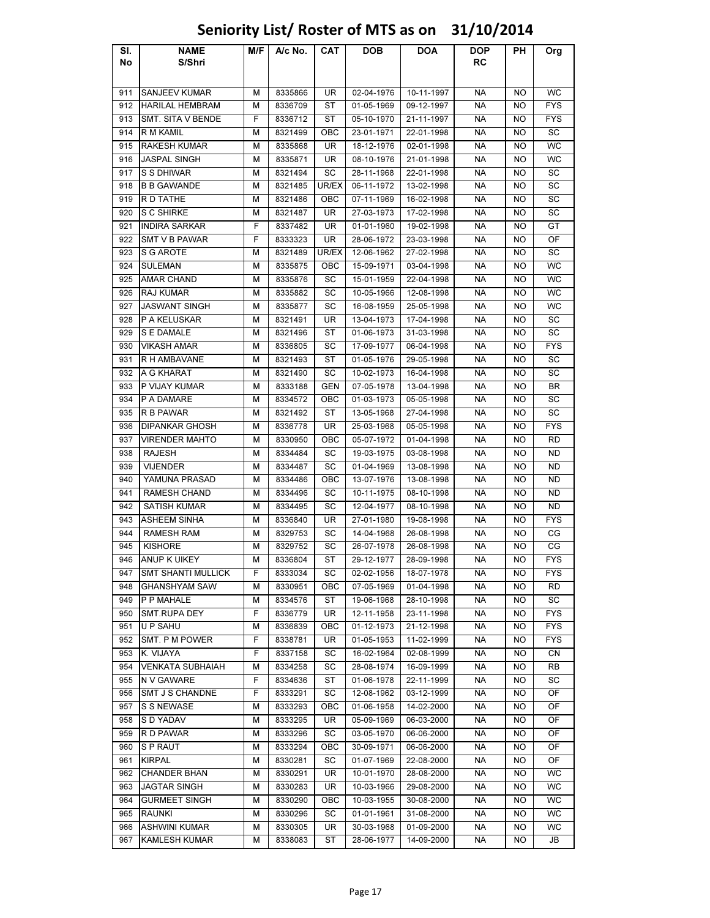### Sl. No NAME S/Shri M/F | A/c No. | CAT | DOB | DOA | DOP RC PH Org 911 SANJEEV KUMAR M A 8335866 UR 02-04-1976 10-11-1997 NA NO WC 912 HARILAL HEMBRAM M 8336709 ST 01-05-1969 09-12-1997 NA NO FYS 913 SMT. SITA V BENDE | F | 8336712 | ST | 05-10-1970 | 21-11-1997 | NA | NO | FYS 914 R M KAMIL M 8321499 OBC 23-01-1971 22-01-1998 NA NO SC 915 RAKESH KUMAR M 8335868 UR 18-12-1976 02-01-1998 NA NO WC 916 JASPAL SINGH M 8335871 UR 08-10-1976 21-01-1998 NA NO WC 917 SSDHIWAR | M | 8321494 | SC | 28-11-1968 | 22-01-1998 | NA | NO | SC 918 B B GAWANDE M 8321485 UR/EX 06-11-1972 13-02-1998 NA NO SC 919 R D TATHE M 8321486 OBC 07-11-1969 16-02-1998 NA NO SC 920 SC SHIRKE | M | 8321487 | UR | 27-03-1973 | 17-02-1998 | NA | NO | SC 921 **INDIRA SARKAR** F 8337482 UR 01-01-1960 19-02-1998 NA NO GT 922 SMT V B PAWAR F F 8333323 LUR 28-06-1972 23-03-1998 LABEL NA LADIOF 923 SG AROTE | M | 8321489 |UR/EX | 12-06-1962 | 27-02-1998 | NA | NO | SC 924 |SULEMAN | M | 8335875 | OBC | 15-09-1971 | 03-04-1998 | NA | NO | WC 925 |AMAR CHAND | M | 8335876 | SC | 15-01-1959 | 22-04-1998 | NA | NO | WC 926 RAJ KUMAR | M | 8335882 | SC | 10-05-1966 | 12-08-1998 | NA | NO | WC 927 JASWANT SINGH M 8335877 SC 16-08-1959 25-05-1998 NA NO WC 928 |P A KELUSKAR | M | 8321491 | UR | 13-04-1973 | 17-04-1998 | NA | NO | SC 929 SEDAMALE M 8321496 ST 01-06-1973 31-03-1998 NA NO SC 930 VIKASH AMAR MI 8336805 SC 17-09-1977 06-04-1998 NA NO FYS 931 R H AMBAVANE M 8321493 ST 01-05-1976 29-05-1998 NA NO SC 932 |A G KHARAT | M | 8321490 | SC | 10-02-1973 | 16-04-1998 | NA | NO | SC 933 P VIJAY KUMAR M ASS33188 GEN 07-05-1978 13-04-1998 NA NO BR 934 |PADAMARE | M | 8334572 | OBC | 01-03-1973 | 05-05-1998 | NA | NO | SC 935 R B PAWAR M 8321492 ST 13-05-1968 27-04-1998 NA NO SC 936 DIPANKAR GHOSH M 8336778 UR 25-03-1968 05-05-1998 NA NO FYS 937 VIRENDER MAHTO M 8330950 OBC 05-07-1972 01-04-1998 NA NO RD 938 | RAJESH | M | 8334484 | SC | 19-03-1975 | 03-08-1998 | NA | NO | ND 939 | VIJENDER | M | 8334487 | SC | 01-04-1969 | 13-08-1998 | NA | NO | ND 940 YAMUNA PRASAD M 8334486 OBC 13-07-1976 13-08-1998 NA NO ND 941 RAMESH CHAND M 8334496 SC 10-11-1975 08-10-1998 NA NO ND 942 SATISH KUMAR M 8334495 SC 12-04-1977 08-10-1998 NA NO ND 943 ASHEEM SINHA M 8336840 UR 27-01-1980 19-08-1998 NA NO FYS 944 | RAMESH RAM | M | 8329753 | SC | 14-04-1968 | 26-08-1998 | NA | NO | CG 945 | KISHORE | M | 8329752 | SC | 26-07-1978 | 26-08-1998 | NA | NO | CG 946 ANUP K UIKEY M 8336804 ST 29-12-1977 28-09-1998 NA NO FYS 947 SMT SHANTI MULLICK F 8333034 SC 02-02-1956 18-07-1978 NA NO FYS 948 GHANSHYAM SAW M 8330951 OBC 07-05-1969 01-04-1998 NA NO RD 949 P P MAHALE M 8334576 ST 19-06-1968 28-10-1998 NA NO SC 950 SMT.RUPA DEY F 8336779 UR 12-11-1958 23-11-1998 NA NO FYS 951 U P SAHU M 8336839 OBC 01-12-1973 21-12-1998 NA NO FYS 952 SMT. P M POWER F 8338781 UR 01-05-1953 11-02-1999 NA NO FYS 953 |K. VIJAYA | F | 8337158 | SC | 16-02-1964 | 02-08-1999 | NA | NO | CN 954 VENKATA SUBHAIAH | M | 8334258 | SC | 28-08-1974 | 16-09-1999 | NA | NO | RB 955 N V GAWARE | F | 8334636 | ST | 01-06-1978 | 22-11-1999 | NA | NO | SC 956 SMT J S CHANDNE F R333291 F SC 12-08-1962 F 03-12-1999 F NA F NO F OF 957 S S NEWASE M 8333293 OBC 01-06-1958 14-02-2000 NA NO OF 958 SD YADAV | M | 8333295 | UR | 05-09-1969 | 06-03-2000 | NA | NO | OF 959 RD PAWAR | M | 8333296 | SC | 03-05-1970 | 06-06-2000 | NA | NO | OF 960 SPRAUT | M | 8333294 | OBC | 30-09-1971 | 06-06-2000 | NA | NO | OF 961 |KIRPAL | M | 8330281 | SC | 01-07-1969 | 22-08-2000 | NA | NO | OF 962 CHANDER BHAN M 8330291 UR 10-01-1970 28-08-2000 NA NO WC 963 JAGTAR SINGH M 8330283 UR 10-03-1966 29-08-2000 NA NO WC 964 GURMEET SINGH M 8330290 OBC 10-03-1955 30-08-2000 NA NO WC 965 RAUNKI | M | 8330296 | SC | 01-01-1961 | 31-08-2000 | NA | NO | WC 966 ASHWINI KUMAR M | M | 8330305 | UR | 30-03-1968 | 01-09-2000 | NA | NO | WC 967 KAMLESH KUMAR M 8338083 ST 28-06-1977 14-09-2000 NA NO JB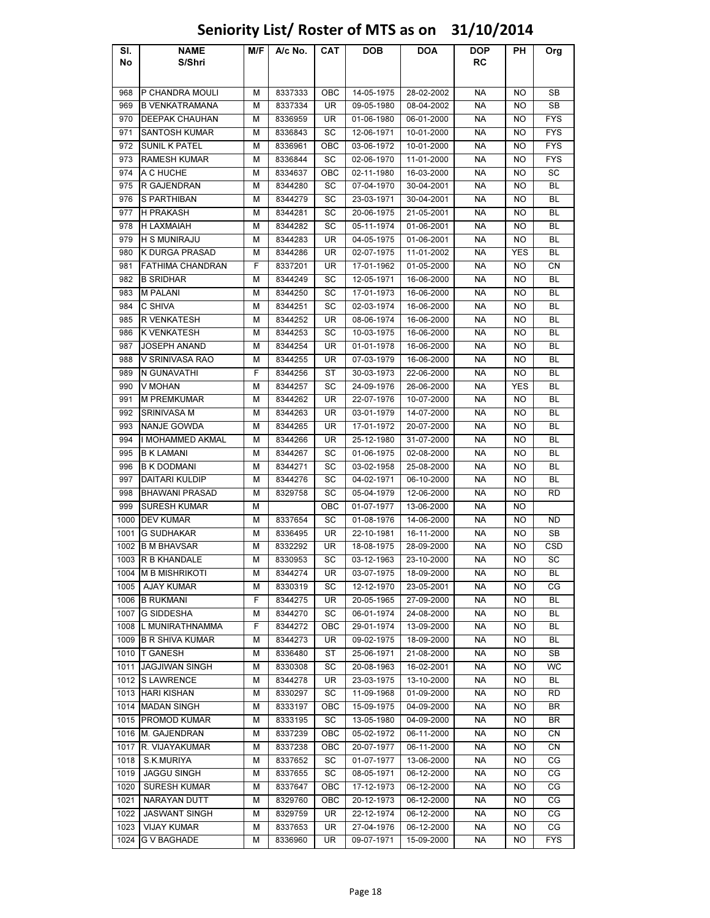### Sl. No NAME S/Shri M/F | A/c No. | CAT | DOB | DOA | DOP RC PH Org 968 P CHANDRA MOULI M 8337333 OBC 14-05-1975 28-02-2002 NA NO SB 969 B VENKATRAMANA M A 8337334 UR 09-05-1980 08-04-2002 NA NO SB 970 DEEPAK CHAUHAN M 8336959 UR 01-06-1980 06-01-2000 NA NO FYS 971 SANTOSH KUMAR M 8336843 SC 12-06-1971 10-01-2000 NA NO FYS 972 SUNIL K PATEL | M 8336961 | OBC | 03-06-1972 | 10-01-2000 | NA | NO | FYS 973 RAMESH KUMAR M 8336844 SC 02-06-1970 11-01-2000 NA NO FYS 974 |A C HUCHE | M | 8334637 | OBC | 02-11-1980 | 16-03-2000 | NA | NO | SC 975 R GAJENDRAN M 8344280 SC 07-04-1970 30-04-2001 NA NO BL 976 SPARTHIBAN | M 8344279 SC 23-03-1971 30-04-2001 | NA NO BL 977 |H PRAKASH | M | 8344281 | SC | 20-06-1975 | 21-05-2001 | NA | NO | BL 978 H LAXMAIAH M | 8344282 | SC | 05-11-1974 | 01-06-2001 | NA | NO | BL 979 |HSMUNIRAJU | M | 8344283 | UR | 04-05-1975 | 01-06-2001 | NA | NO | BL 980 K DURGA PRASAD M 8344286 | UR | 02-07-1975 | 11-01-2002 | NA | YES | BL 981 FATHIMA CHANDRAN | F | 8337201 | UR | 17-01-1962 | 01-05-2000 | NA | NO | CN 982 B SRIDHAR M | M | 8344249 | SC | 12-05-1971 | 16-06-2000 | NA | NO | BL 983 |M PALANI | M | 8344250 | SC | 17-01-1973 | 16-06-2000 | NA | NO | BL 984 C SHIVA M 8344251 SC 02-03-1974 16-06-2000 NA NO BL 985 R VENKATESH | M | 8344252 | UR | 08-06-1974 | 16-06-2000 | NA | NO | BL 986 K VENKATESH M 8344253 SC 10-03-1975 16-06-2000 NA NO BL 987 JOSEPH ANAND M 8344254 UR 01-01-1978 16-06-2000 NA NO BL 988 V SRINIVASA RAO | M | 8344255 | UR | 07-03-1979 | 16-06-2000 | NA | NO | BL 989 N GUNAVATHI F 8344256 ST 30-03-1973 22-06-2000 NA NO BL 990 |V MOHAN | M | 8344257 | SC | 24-09-1976 | 26-06-2000 | NA | YES | BL 991 M PREMKUMAR M M 8344262 UR 22-07-1976 10-07-2000 NA NO BL 992 SRINIVASA M M 8344263 UR 03-01-1979 14-07-2000 NA NO BL 993 |NANJE GOWDA | M | 8344265 | UR | 17-01-1972 | 20-07-2000 | NA | NO | BL 994 | I MOHAMMED AKMAL | M | 8344266 | UR | 25-12-1980 | 31-07-2000 | NA | NO | BL 995 B K LAMANI M 8344267 SC 01-06-1975 02-08-2000 NA NO BL 996 B K DODMANI M 8344271 SC 03-02-1958 25-08-2000 NA NO BL 997 DAITARI KULDIP | M | 8344276 | SC | 04-02-1971 | 06-10-2000 | NA | NO | BL 998 BHAWANI PRASAD | M | 8329758 | SC | 05-04-1979 | 12-06-2000 | NA | NO | RD 999 SURESH KUMAR M | M | OBC 01-07-1977 | 13-06-2000 | NA | NO 1000 |DEV KUMAR | M | 8337654 | SC | 01-08-1976 | 14-06-2000 | NA | NO | ND 1001 G SUDHAKAR M 8336495 UR 22-10-1981 16-11-2000 NA NO SB 1002 B M BHAVSAR M 8332292 UR 18-08-1975 28-09-2000 NA NO CSD 1003 R B KHANDALE M 8330953 SC 03-12-1963 23-10-2000 NA NO SC 1004 M B MISHRIKOTI M 8344274 UR 03-07-1975 18-09-2000 NA NO BL 1005 | AJAY KUMAR | M | 8330319 | SC | 12-12-1970 | 23-05-2001 | NA | NO | CG 1006 B RUKMANI F 8344275 UR 20-05-1965 27-09-2000 NA NO BL 1007 |G SIDDESHA | M | 8344270 | SC | 06-01-1974 | 24-08-2000 | NA | NO | BL 1008 L MUNIRATHNAMMA F 8344272 | OBC | 29-01-1974 | 13-09-2000 | NA | NO | BL 1009 B R SHIVA KUMAR M | 8344273 | UR | 09-02-1975 | 18-09-2000 | NA | NO | BL 1010 |T GANESH | M | 8336480 | ST | 25-06-1971 | 21-08-2000 | NA | NO | SB 1011 JAGJIWAN SINGH M 8330308 SC 20-08-1963 16-02-2001 NA NO WC 1012 S LAWRENCE | M | 8344278 | UR | 23-03-1975 | 13-10-2000 | NA | NO | BL 1013 |HARI KISHAN | M | 8330297 | SC | 11-09-1968 | 01-09-2000 | NA | NO | RD 1014 MADAN SINGH M 8333197 OBC 15-09-1975 04-09-2000 NA NO BR 1015 PROMOD KUMAR M 8333195 SC 13-05-1980 04-09-2000 NA NO BR 1016 M. GAJENDRAN | M 8337239 | OBC | 05-02-1972 | 06-11-2000 | NA NO | CN 1017 R. VIJAYAKUMAR | M 8337238 | OBC | 20-07-1977 | 06-11-2000 | NA | NO | CN 1018 S.K.MURIYA M 8337652 SC 01-07-1977 13-06-2000 NA NO CG 1019 JAGGU SINGH M 8337655 SC 08-05-1971 06-12-2000 NA NO CG 1020 SURESH KUMAR M 8337647 | OBC | 17-12-1973 | 06-12-2000 | NA NO | CG 1021 NARAYAN DUTT H M R329760 OBC 20-12-1973 1 06-12-2000 NA NO CG 1022 JASWANT SINGH M 8329759 UR 22-12-1974 06-12-2000 NA NO CG 1023 | VIJAY KUMAR | M | 8337653 | UR | 27-04-1976 | 06-12-2000 | NA | NO | CG 1024 G V BAGHADE M 8336960 UR 09-07-1971 15-09-2000 NA NO FYS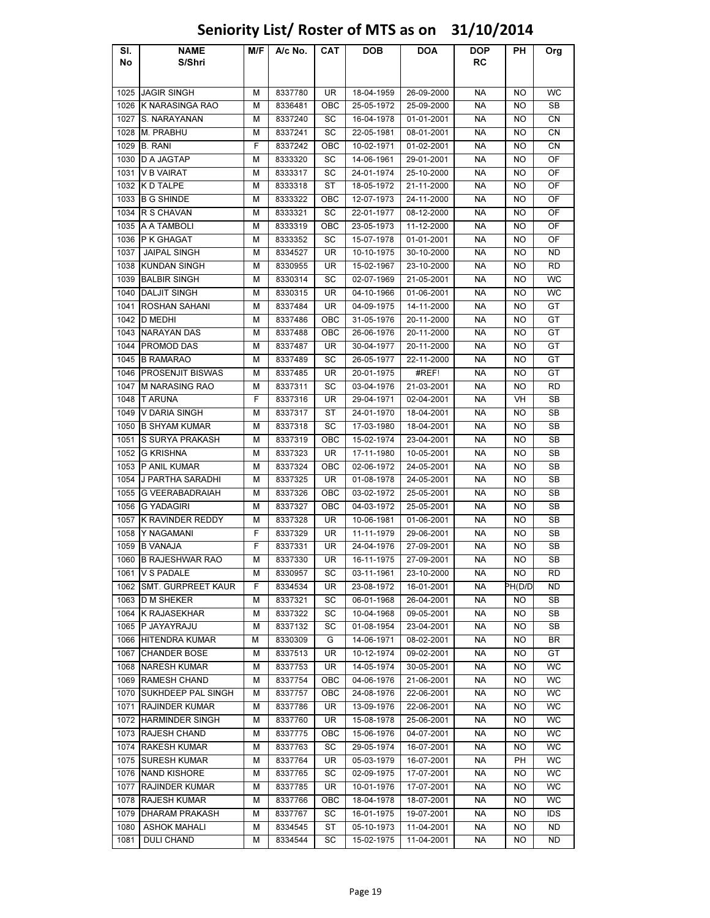| SI.  | <b>NAME</b>               | M/F | A/c No. | CAT       | <b>DOB</b> | <b>DOA</b> | <b>DOP</b> | PH.       | Org        |
|------|---------------------------|-----|---------|-----------|------------|------------|------------|-----------|------------|
| No   | S/Shri                    |     |         |           |            |            | RC         |           |            |
|      |                           |     |         |           |            |            |            |           |            |
| 1025 | <b>JAGIR SINGH</b>        | м   | 8337780 | UR        | 18-04-1959 | 26-09-2000 | <b>NA</b>  | <b>NO</b> | <b>WC</b>  |
| 1026 | <b>K NARASINGA RAO</b>    | М   | 8336481 | OBC       | 25-05-1972 | 25-09-2000 | NA         | NO        | SB         |
| 1027 | S. NARAYANAN              | М   | 8337240 | SC        | 16-04-1978 | 01-01-2001 | <b>NA</b>  | NO        | CN         |
| 1028 | M. PRABHU                 | М   | 8337241 | SC        | 22-05-1981 | 08-01-2001 | <b>NA</b>  | NO        | CN         |
| 1029 | <b>B. RANI</b>            | F   | 8337242 | OBC       | 10-02-1971 | 01-02-2001 | <b>NA</b>  | NO        | CN         |
| 1030 | <b>DA JAGTAP</b>          | м   | 8333320 | SC        | 14-06-1961 | 29-01-2001 | <b>NA</b>  | NO        | OF         |
| 1031 | <b>V B VAIRAT</b>         | М   | 8333317 | SC        | 24-01-1974 | 25-10-2000 | NA         | NO        | OF         |
| 1032 | <b>KD TALPE</b>           | М   | 8333318 | ST        | 18-05-1972 | 21-11-2000 | NA         | NO        | OF         |
| 1033 | <b>B G SHINDE</b>         | м   | 8333322 | OBC       | 12-07-1973 | 24-11-2000 | <b>NA</b>  | NO        | OF         |
| 1034 | R S CHAVAN                | М   | 8333321 | SC        | 22-01-1977 | 08-12-2000 | <b>NA</b>  | <b>NO</b> | OF         |
| 1035 |                           |     | 8333319 | OBC       | 23-05-1973 |            | NA         | NO        | OF         |
|      | A A TAMBOLI<br>P K GHAGAT | м   |         | SC        |            | 11-12-2000 | <b>NA</b>  |           | OF         |
| 1036 |                           | М   | 8333352 |           | 15-07-1978 | 01-01-2001 |            | NO        |            |
| 1037 | <b>JAIPAL SINGH</b>       | М   | 8334527 | UR        | 10-10-1975 | 30-10-2000 | NA         | NO        | ND         |
| 1038 | <b>KUNDAN SINGH</b>       | М   | 8330955 | UR        | 15-02-1967 | 23-10-2000 | NА         | NO        | <b>RD</b>  |
| 1039 | <b>BALBIR SINGH</b>       | М   | 8330314 | SC        | 02-07-1969 | 21-05-2001 | NA         | NO        | WC         |
| 1040 | <b>DALJIT SINGH</b>       | М   | 8330315 | UR        | 04-10-1966 | 01-06-2001 | NА         | NO        | WC         |
| 1041 | ROSHAN SAHANI             | М   | 8337484 | UR        | 04-09-1975 | 14-11-2000 | NA         | NO        | GT         |
| 1042 | <b>D MEDHI</b>            | М   | 8337486 | OBC       | 31-05-1976 | 20-11-2000 | <b>NA</b>  | NO        | GT         |
| 1043 | <b>NARAYAN DAS</b>        | М   | 8337488 | OBC       | 26-06-1976 | 20-11-2000 | NA         | NO        | GT         |
| 1044 | <b>PROMOD DAS</b>         | м   | 8337487 | <b>UR</b> | 30-04-1977 | 20-11-2000 | NA         | NO        | GT         |
| 1045 | <b>B RAMARAO</b>          | М   | 8337489 | SC        | 26-05-1977 | 22-11-2000 | NA         | NO        | GT         |
| 1046 | <b>PROSENJIT BISWAS</b>   | М   | 8337485 | UR        | 20-01-1975 | #REF!      | NA.        | NO        | GT         |
| 1047 | <b>M NARASING RAO</b>     | М   | 8337311 | SC        | 03-04-1976 | 21-03-2001 | <b>NA</b>  | NO        | RD         |
| 1048 | <b>T ARUNA</b>            | F   | 8337316 | UR        | 29-04-1971 | 02-04-2001 | NA         | VH        | SB         |
| 1049 | V DARIA SINGH             | М   | 8337317 | ST        | 24-01-1970 | 18-04-2001 | NA         | NO        | SB         |
| 1050 | <b>B SHYAM KUMAR</b>      | м   | 8337318 | SC        | 17-03-1980 | 18-04-2001 | NA         | NO        | SB         |
| 1051 | S SURYA PRAKASH           | М   | 8337319 | OBC       | 15-02-1974 | 23-04-2001 | NA         | NO        | SB         |
| 1052 | <b>G KRISHNA</b>          | М   | 8337323 | UR        | 17-11-1980 | 10-05-2001 | <b>NA</b>  | NO        | SВ         |
| 1053 | P ANIL KUMAR              | М   | 8337324 | OBC       | 02-06-1972 | 24-05-2001 | <b>NA</b>  | NO        | SB         |
| 1054 | J PARTHA SARADHI          | М   | 8337325 | UR        | 01-08-1978 | 24-05-2001 | NA         | NO        | SB         |
| 1055 | <b>G VEERABADRAIAH</b>    | М   | 8337326 | OBC       | 03-02-1972 | 25-05-2001 | <b>NA</b>  | NO        | SB         |
| 1056 | <b>G YADAGIRI</b>         | м   | 8337327 | OBC       | 04-03-1972 | 25-05-2001 | NA         | <b>NO</b> | SB         |
| 1057 | <b>K RAVINDER REDDY</b>   | М   | 8337328 | UR        | 10-06-1981 | 01-06-2001 | NA         | NO        | SB         |
| 1058 | Y NAGAMANI                | F   | 8337329 | UR        | 11-11-1979 | 29-06-2001 | NA         | NO        | SB         |
| 1059 | <b>B VANAJA</b>           | F   | 8337331 | UR        | 24-04-1976 | 27-09-2001 | NA         | NO        | SB         |
| 1060 | <b>B RAJESHWAR RAO</b>    | м   | 8337330 | UR        | 16-11-1975 | 27-09-2001 | <b>NA</b>  | NO        | SB         |
|      | 1061 V S PADALE           | М   | 8330957 | SC        | 03-11-1961 | 23-10-2000 | NА         | NO.       | RD         |
| 1062 | SMT. GURPREET KAUR        | F   | 8334534 | UR        | 23-08-1972 | 16-01-2001 | NА         | PH(D/D    | ND         |
| 1063 | <b>D M SHEKER</b>         | М   | 8337321 | SC        | 06-01-1968 | 26-04-2001 | NА         | ΝO        | SB         |
| 1064 | <b>K RAJASEKHAR</b>       | М   | 8337322 | SC        | 10-04-1968 | 09-05-2001 | NА         | NO        | SB         |
| 1065 | P JAYAYRAJU               | М   | 8337132 | SC        | 01-08-1954 | 23-04-2001 | NA         | NO.       | SB         |
| 1066 | <b>HITENDRA KUMAR</b>     | м   | 8330309 | G         | 14-06-1971 | 08-02-2001 | NA         | NO        | BR         |
| 1067 | <b>CHANDER BOSE</b>       | М   | 8337513 | UR        | 10-12-1974 | 09-02-2001 | <b>NA</b>  | NO        | GT         |
| 1068 | <b>NARESH KUMAR</b>       | М   | 8337753 | UR        | 14-05-1974 | 30-05-2001 | NА         | NO        | WC         |
| 1069 | <b>RAMESH CHAND</b>       | М   | 8337754 | OBC       | 04-06-1976 | 21-06-2001 | NА         | NO        | <b>WC</b>  |
| 1070 | <b>SUKHDEEP PAL SINGH</b> | м   | 8337757 | OBC       | 24-08-1976 | 22-06-2001 | NА         | NO        | WC         |
|      |                           |     | 8337786 |           | 13-09-1976 |            |            |           |            |
| 1071 | <b>RAJINDER KUMAR</b>     | м   |         | UR        |            | 22-06-2001 | NA         | NO.       | WC         |
| 1072 | <b>HARMINDER SINGH</b>    | М   | 8337760 | UR        | 15-08-1978 | 25-06-2001 | NA         | NO        | WC         |
| 1073 | <b>RAJESH CHAND</b>       | м   | 8337775 | OBC       | 15-06-1976 | 04-07-2001 | NА         | NO        | WC         |
| 1074 | <b>RAKESH KUMAR</b>       | М   | 8337763 | SC        | 29-05-1974 | 16-07-2001 | NА         | NO        | WC         |
| 1075 | <b>SURESH KUMAR</b>       | М   | 8337764 | UR        | 05-03-1979 | 16-07-2001 | NА         | PH        | WC         |
| 1076 | <b>NAND KISHORE</b>       | М   | 8337765 | SC        | 02-09-1975 | 17-07-2001 | NA         | NO        | WC         |
| 1077 | <b>RAJINDER KUMAR</b>     | М   | 8337785 | UR        | 10-01-1976 | 17-07-2001 | NA         | NO.       | WC         |
| 1078 | RAJESH KUMAR              | М   | 8337766 | OBC       | 18-04-1978 | 18-07-2001 | NA         | NO        | WC         |
| 1079 | <b>DHARAM PRAKASH</b>     | м   | 8337767 | SC        | 16-01-1975 | 19-07-2001 | NA         | NO.       | <b>IDS</b> |
| 1080 | <b>ASHOK MAHALI</b>       | М   | 8334545 | ST        | 05-10-1973 | 11-04-2001 | <b>NA</b>  | NO        | ND         |
| 1081 | <b>DULI CHAND</b>         | М   | 8334544 | SC        | 15-02-1975 | 11-04-2001 | NА         | NO        | ND         |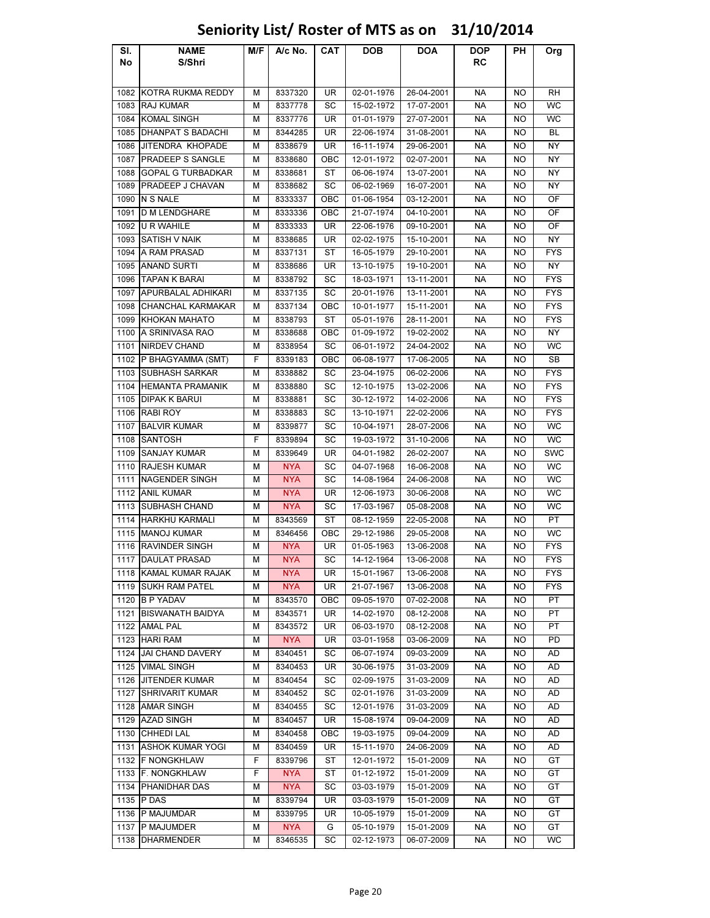### Sl. No NAME S/Shri M/F | A/c No. | CAT | DOB | DOA | DOP RC PH Org 1082 KOTRA RUKMA REDDY M 8337320 UR 02-01-1976 26-04-2001 NA NO RH 1083 |RAJ KUMAR | M | 8337778 | SC | 15-02-1972 | 17-07-2001 | NA | NO | WC 1084 KOMAL SINGH M 8337776 UR 01-01-1979 27-07-2001 NA NO WC 1085 DHANPAT S BADACHI M 8344285 UR 22-06-1974 31-08-2001 NA NO BL 1086 JITENDRA KHOPADE M 8338679 UR 16-11-1974 29-06-2001 NA NO NY 1087 PRADEEP S SANGLE | M | 8338680 | OBC | 12-01-1972 | 02-07-2001 | NA | NO | NY 1088 GOPAL G TURBADKAR M 8338681 ST 06-06-1974 13-07-2001 NA NO NY 1089 PRADEEP J CHAVAN | M | 8338682 | SC | 06-02-1969 | 16-07-2001 | NA | NO | NY 1090 |N S NALE | M | 8333337 | OBC | 01-06-1954 | 03-12-2001 | NA | NO | OF 1091 D M LENDGHARE M 8333336 OBC 21-07-1974 04-10-2001 NA NO OF 1092 |U R WAHILE | M | 8333333 | UR | 22-06-1976 | 09-10-2001 | NA | NO | OF 1093 |SATISH V NAIK | M | 8338685 | UR | 02-02-1975 | 15-10-2001 | NA | NO | NY 1094 A RAM PRASAD M 8337131 ST 16-05-1979 29-10-2001 NA NO FYS 1095 ANAND SURTI | M | 8338686 | UR | 13-10-1975 | 19-10-2001 | NA | NO | NY 1096 TAPAN K BARAI MIS338792 ISC 18-03-1971 13-11-2001 INA NO FYS 1097 APURBALAL ADHIKARI | M | 8337135 | SC | 20-01-1976 | 13-11-2001 | NA | NO | FYS 1098 CHANCHAL KARMAKAR | M | 8337134 | OBC | 10-01-1977 | 15-11-2001 | NA | NO | FYS 1099 KHOKAN MAHATO M 8338793 ST 05-01-1976 28-11-2001 NA NO FYS 1100 A SRINIVASA RAO  $\parallel M \parallel 8338688 \parallel OBC \parallel 01-09-1972 \parallel 19-02-2002 \parallel N$ A  $\parallel NO \parallel NY$ 1101 NIRDEV CHAND M 8338954 SC 06-01-1972 24-04-2002 NA NO WC 1102 P BHAGYAMMA (SMT) F 8339183 | OBC | 06-08-1977 | 17-06-2005 | NA NO SB 1103 SUBHASH SARKAR M 8338882 SC 23-04-1975 06-02-2006 NA NO FYS 1104 HEMANTA PRAMANIK M 8338880 SC 12-10-1975 13-02-2006 NA NO FYS 1105 DIPAK K BARUI M 8338881 SC 30-12-1972 14-02-2006 NA NO FYS 1106 |RABI ROY | M | 8338883 | SC | 13-10-1971 | 22-02-2006 | NA | NO | FYS 1107 |BALVIR KUMAR | M | 8339877 | SC | 10-04-1971 | 28-07-2006 | NA | NO | WC 1108 SANTOSH | F | 8339894 | SC | 19-03-1972 | 31-10-2006 | NA | NO | WC 1109 SANJAY KUMAR M 8339649 UR 04-01-1982 26-02-2007 NA NO SWC 1110 RAJESH KUMAR M NYA SC 04-07-1968 16-06-2008 NA NO WC 1111 NAGENDER SINGH M NYA SC 14-08-1964 24-06-2008 NA NO WC 1112 ANIL KUMAR M NYA UR 12-06-1973 30-06-2008 NA NO WC 1113 SUBHASH CHAND M NYA SC 17-03-1967 05-08-2008 NA NO WC 1114 HARKHU KARMALI | M | 8343569 | ST | 08-12-1959 | 22-05-2008 | NA | NO | PT 1115 MANOJ KUMAR M | M | 8346456 | OBC | 29-12-1986 | 29-05-2008 | NA NO | WC 1116 RAVINDER SINGH M NYA UR 01-05-1963 13-06-2008 NA NO FYS 1117 DAULAT PRASAD M NYA SC 14-12-1964 13-06-2008 NA NO FYS 1118 KAMAL KUMAR RAJAK M NYA UR 15-01-1967 13-06-2008 NA NO FYS 1119 SUKH RAM PATEL M NYA UR 21-07-1967 | 13-06-2008 | NA NO FYS 1120 B P YADAV M 8343570 OBC 09-05-1970 07-02-2008 NA NO PT 1121 BISWANATH BAIDYA | M | 8343571 | UR | 14-02-1970 | 08-12-2008 | NA | NO | PT 1122 |AMAL PAL | M | 8343572 | UR | 06-03-1970 | 08-12-2008 | NA | NO | PT 1123 |HARI RAM | M | NYA | UR | 03-01-1958 | 03-06-2009 | NA | NO | PD 1124 JAI CHAND DAVERY M 8340451 SC 06-07-1974 09-03-2009 NA NO AD 1125 VIMAL SINGH M 8340453 UR 30-06-1975 31-03-2009 NA NO AD 1126 JITENDER KUMAR M 8340454 SC 02-09-1975 31-03-2009 NA NO AD 1127 SHRIVARIT KUMAR NA NA 18340452 NA SC 102-01-1976 131-03-2009 NA NO NA AD 1128 AMAR SINGH M 8340455 SC 12-01-1976 31-03-2009 NA NO AD 1129 AZAD SINGH M 8340457 UR 15-08-1974 09-04-2009 NA NO AD 1130 CHHEDI LAL M | 8340458 | OBC | 19-03-1975 | 09-04-2009 | NA NO | AD 1131 ASHOK KUMAR YOGI | M | 8340459 | UR | 15-11-1970 | 24-06-2009 | NA | NO | AD 1132 F NONGKHLAW F R 8339796 ST 12-01-1972 15-01-2009 NA NO GT 1133 F. NONGKHLAW F NYA ST 01-12-1972 | 15-01-2009 NA NO GT 1134 PHANIDHAR DAS M NYA SC 03-03-1979 15-01-2009 NA NO GT 1135 |P DAS | M | 8339794 | UR | 03-03-1979 | 15-01-2009 | NA | NO | GT 1136 P MAJUMDAR M | M | 8339795 | UR | 10-05-1979 | 15-01-2009 | NA | NO | GT 1137 |P MAJUMDER | M | NYA | G | 05-10-1979 | 15-01-2009 | NA | NO | GT 1138 DHARMENDER M 8346535 SC 02-12-1973 06-07-2009 NA NO WC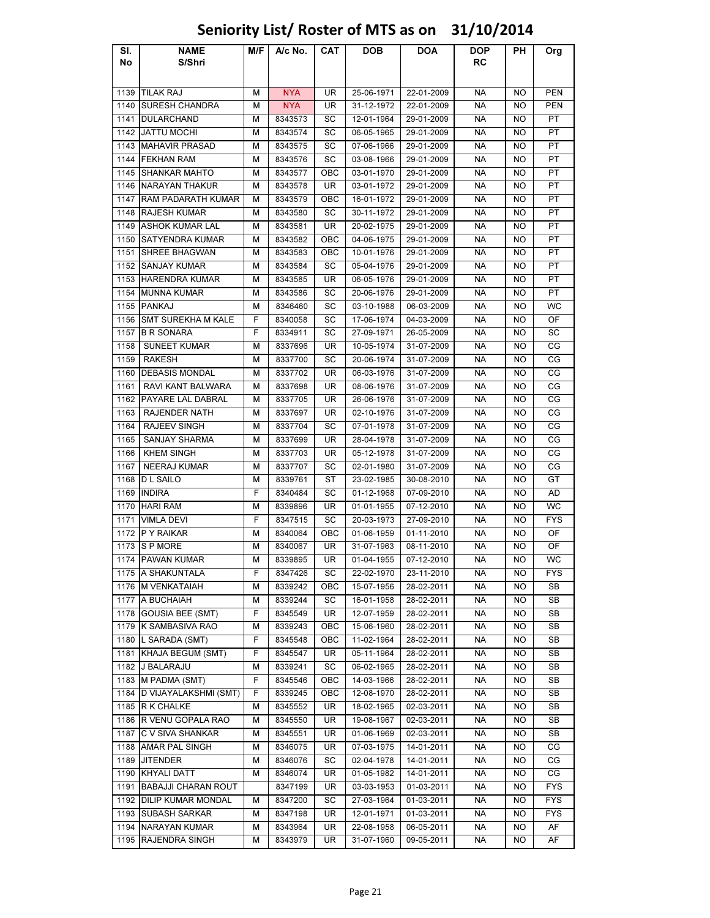### Sl. No NAME S/Shri M/F | A/c No. | CAT | DOB | DOA | DOP RC PH Org 1139 |TILAK RAJ | | NYA UR | 25-06-1971 | 22-01-2009 | NA | NO | PEN 1140 SURESH CHANDRA M NYA UR 31-12-1972 22-01-2009 NA NO PEN 1141 DULARCHAND M 8343573 SC 12-01-1964 29-01-2009 NA NO PT 1142 JATTU MOCHI M 8343574 SC 06-05-1965 29-01-2009 NA NO PT 1143 MAHAVIR PRASAD M 8343575 SC 07-06-1966 29-01-2009 NA NO PT 1144 FEKHAN RAM M 8343576 SC 03-08-1966 29-01-2009 NA NO PT 1145 SHANKAR MAHTO M 8343577 OBC 03-01-1970 29-01-2009 NA NO PT 1146 NARAYAN THAKUR M 8343578 UR 03-01-1972 29-01-2009 NA NO PT 1147 RAM PADARATH KUMAR | M | 8343579 | OBC | 16-01-1972 | 29-01-2009 | NA | NO | PT 1148 RAJESH KUMAR M 8343580 SC 30-11-1972 29-01-2009 NA NO PT 1149 ASHOK KUMAR LAL | M | 8343581 | UR | 20-02-1975 | 29-01-2009 | NA | NO | PT 1150 SATYENDRA KUMAR M M 8343582 OBC 04-06-1975 29-01-2009 NA NO PT 1151 SHREE BHAGWAN M 8343583 OBC 10-01-1976 29-01-2009 NA NO PT 1152 SANJAY KUMAR M | 8343584 SC 05-04-1976 29-01-2009 | NA NO PT 1153 HARENDRA KUMAR M 8343585 UR 06-05-1976 29-01-2009 NA NO PT 1154 MUNNA KUMAR M 8343586 SC 20-06-1976 29-01-2009 NA NO PT 1155 |PANKAJ | M | 8346460 | SC | 03-10-1988 | 06-03-2009 | NA | NO | WC 1156 SMT SUREKHA M KALE F 8340058 SC 17-06-1974 04-03-2009 NA NO OF 1157 B R SONARA F 8334911 SC 27-09-1971 26-05-2009 NA NO SC 1158 SUNEET KUMAR M 8337696 UR 10-05-1974 31-07-2009 NA NO CG 1159 | RAKESH | M | 8337700 | SC | 20-06-1974 | 31-07-2009 | NA | NO | CG 1160 DEBASIS MONDAL M 8337702 UR 06-03-1976 31-07-2009 NA NO CG 1161 RAVI KANT BALWARA M R 8337698 UR 08-06-1976 31-07-2009 NA NO CG 1162 PAYARE LAL DABRAL M 8337705 UR 26-06-1976 31-07-2009 NA NO CG 1163 RAJENDER NATH M 8337697 UR 02-10-1976 31-07-2009 NA NO CG 1164 RAJEEV SINGH M 8337704 SC 07-01-1978 31-07-2009 NA NO CG 1165 SANJAY SHARMA M 8337699 UR 28-04-1978 31-07-2009 NA NO CG 1166 KHEM SINGH M 8337703 UR 05-12-1978 31-07-2009 NA NO CG 1167 NEERAJ KUMAR M 8337707 SC 02-01-1980 31-07-2009 NA NO CG 1168 |D L SAILO | M | 8339761 | ST | 23-02-1985 | 30-08-2010 | NA | NO | GT 1169 INDIRA F 8340484 SC 01-12-1968 07-09-2010 NA NO AD 1170 HARI RAM M | M | 8339896 | UR | 01-01-1955 | 07-12-2010 | NA | NO | WC 1171 VIMLA DEVI F 8347515 SC 20-03-1973 27-09-2010 NA NO FYS 1172 P Y RAIKAR M AS340064 OBC 01-06-1959 01-11-2010 NA NO OF 1173 S P MORE | M | 8340067 | UR | 31-07-1963 | 08-11-2010 | NA | NO | OF 1174 PAWAN KUMAR M 8339895 | UR 01-04-1955 | 07-12-2010 | NA NO | WC 1175 A SHAKUNTALA F 8347426 SC 22-02-1970 23-11-2010 NA NO FYS 1176 M VENKATAIAH | M | 8339242 | OBC | 15-07-1956 | 28-02-2011 | NA | NO | SB 1177 A BUCHAIAH M 8339244 SC 16-01-1958 28-02-2011 NA NO SB 1178 GOUSIA BEE (SMT) F 8345549 UR 12-07-1959 28-02-2011 NA NO SB 1179 K SAMBASIVA RAO M 8339243 | OBC | 15-06-1960 | 28-02-2011 | NA NO | SB 1180 L SARADA (SMT) F 8345548 OBC 11-02-1964 28-02-2011 NA NO SB 1181 KHAJA BEGUM (SMT) F | 8345547 | UR | 05-11-1964 | 28-02-2011 | NA | NO | SB 1182 J BALARAJU M 8339241 SC 06-02-1965 28-02-2011 NA NO SB 1183 M PADMA (SMT) F 8345546 OBC 14-03-1966 28-02-2011 NA NO SB 1184 D VIJAYALAKSHMI (SMT) F | 8339245 | OBC | 12-08-1970 | 28-02-2011 | NA | NO | SB 1185 R K CHALKE M 8345552 UR 18-02-1965 02-03-2011 NA NO SB 1186 R VENU GOPALA RAO M 8345550 UR 19-08-1967 02-03-2011 NA NO SB 1187 C V SIVA SHANKAR | M | 8345551 | UR | 01-06-1969 | 02-03-2011 | NA | NO | SB 1188 AMAR PAL SINGH M 8346075 UR 07-03-1975 14-01-2011 NA NO CG 1189 JITENDER M 8346076 SC 02-04-1978 14-01-2011 NA NO CG

# Seniority List/ Roster of MTS as on 31/10/2014

1190 KHYALI DATT M 8346074 UR 01-05-1982 | 14-01-2011 | NA NO CG 1191 BABAJJI CHARAN ROUT | 8347199 | UR | 03-03-1953 | 01-03-2011 | NA | NO | FYS 1192 DILIP KUMAR MONDAL | M | 8347200 | SC | 27-03-1964 | 01-03-2011 | NA | NO | FYS 1193 SUBASH SARKAR M | M | 8347198 | UR | 12-01-1971 | 01-03-2011 | NA | NO | FYS 1194 NARAYAN KUMAR M M 8343964 UR 22-08-1958 06-05-2011 NA NO AF 1195 RAJENDRA SINGH M 8343979 UR 31-07-1960 09-05-2011 NA NO AF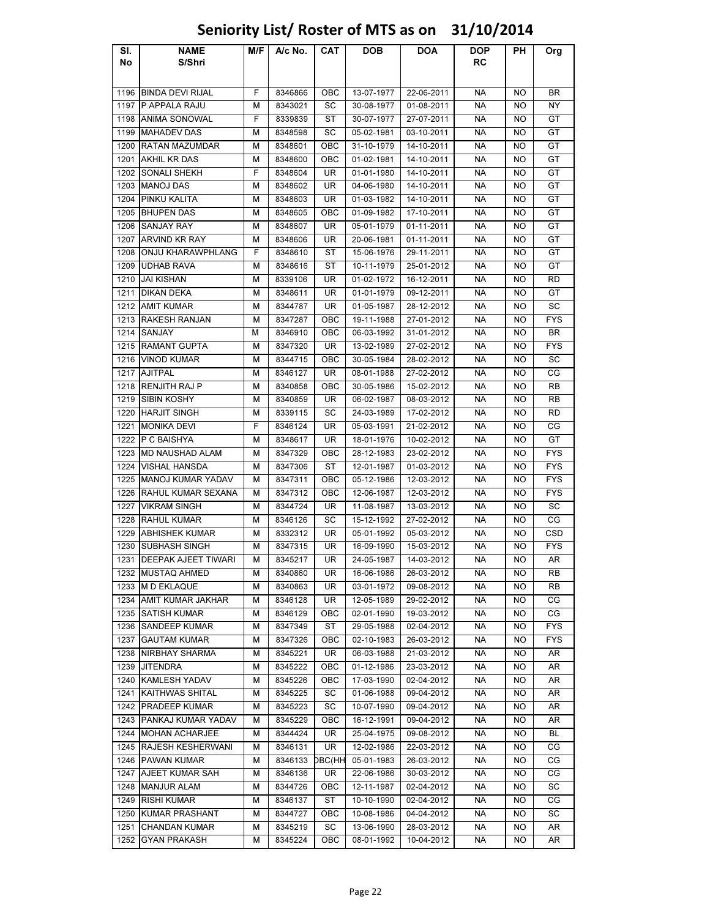### Sl. No NAME S/Shri M/F | A/c No. | CAT | DOB | DOA | DOP RC PH Org 1196 BINDA DEVI RIJAL F 8346866 OBC 13-07-1977 22-06-2011 NA NO BR 1197 P.APPALA RAJU M | 8343021 | SC | 30-08-1977 | 01-08-2011 | NA | NO | NY 1198 ANIMA SONOWAL F 8339839 ST 30-07-1977 27-07-2011 NA NO GT 1199 |MAHADEV DAS | M | 8348598 | SC | 05-02-1981 | 03-10-2011 | NA | NO | GT 1200 RATAN MAZUMDAR M 8348601 OBC 31-10-1979 14-10-2011 NA NO GT 1201 AKHIL KR DAS | M | 8348600 | OBC | 01-02-1981 | 14-10-2011 | NA | NO | GT 1202 SONALI SHEKH F 8348604 UR 01-01-1980 14-10-2011 NA NO GT 1203 |MANOJ DAS | M | 8348602 | UR | 04-06-1980 | 14-10-2011 | NA | NO | GT 1204 PINKU KALITA M 8348603 UR 01-03-1982 14-10-2011 NA NO GT 1205 BHUPEN DAS M 8348605 OBC 01-09-1982 17-10-2011 NA NO GT 1206 SANJAY RAY | M | 8348607 | UR | 05-01-1979 | 01-11-2011 | NA | NO | GT 1207 ARVIND KR RAY H M 8348606 LUR 20-06-1981 L01-11-2011 L NA NO L GT 1208 ONJU KHARAWPHLANG F | 8348610 ST | 15-06-1976 | 29-11-2011 | NA | NO | GT 1209 UDHAB RAVA M 8348616 ST 10-11-1979 25-01-2012 NA NO GT 1210 |JAI KISHAN | M | 8339106 | UR | 01-02-1972 | 16-12-2011 | NA | NO | RD 1211 |DIKAN DEKA | M | 8348611 | UR | 01-01-1979 | 09-12-2011 | NA | NO | GT 1212 AMIT KUMAR M | M | 8344787 | UR | 01-05-1987 | 28-12-2012 | NA | NO | SC 1213 RAKESH RANJAN M 8347287 OBC 19-11-1988 27-01-2012 NA NO FYS 1214 SANJAY M 8346910 OBC 06-03-1992 31-01-2012 NA NO BR 1215 RAMANT GUPTA M 8347320 UR 13-02-1989 27-02-2012 NA NO FYS 1216 VINOD KUMAR M | 8344715 | OBC | 30-05-1984 | 28-02-2012 | NA NO | SC 1217 |AJITPAL | M | 8346127 | UR | 08-01-1988 | 27-02-2012 | NA | NO | CG 1218 RENJITH RAJ P | M | 8340858 | OBC | 30-05-1986 | 15-02-2012 | NA | NO | RB 1219 SIBIN KOSHY M 8340859 UR 06-02-1987 08-03-2012 NA NO RB 1220 HARJIT SINGH M 8339115 SC 24-03-1989 17-02-2012 NA NO RD 1221 MONIKA DEVI F 8346124 UR 05-03-1991 21-02-2012 NA NO CG 1222 |P C BAISHYA | M | 8348617 | UR | 18-01-1976 | 10-02-2012 | NA | NO | GT 1223 MD NAUSHAD ALAM | M | 8347329 | OBC | 28-12-1983 | 23-02-2012 | NA | NO | FYS 1224 VISHAL HANSDA M 8347306 ST 12-01-1987 01-03-2012 NA NO FYS 1225 MANOJ KUMAR YADAV | M | 8347311 | OBC | 05-12-1986 | 12-03-2012 | NA | NO | FYS 1226 RAHUL KUMAR SEXANA | M | 8347312 | OBC | 12-06-1987 | 12-03-2012 | NA | NO | FYS 1227 VIKRAM SINGH M 8344724 UR 11-08-1987 13-03-2012 NA NO SC 1228 RAHUL KUMAR M | M | 8346126 | SC | 15-12-1992 | 27-02-2012 | NA | NO | CG 1229 ABHISHEK KUMAR M 8332312 UR 05-01-1992 05-03-2012 NA NO CSD 1230 SUBHASH SINGH M 8347315 UR 16-09-1990 15-03-2012 NA NO FYS 1231 DEEPAK AJEET TIWARI | M | 8345217 | UR | 24-05-1987 | 14-03-2012 | NA | NO | AR 1232 MUSTAQ AHMED M 8340860 UR 16-06-1986 26-03-2012 NA NO RB 1233 M D EKLAQUE | M | 8340863 | UR | 03-01-1972 | 09-08-2012 | NA | NO | RB 1234 AMIT KUMAR JAKHAR | M | 8346128 | UR | 12-05-1989 | 29-02-2012 | NA | NO | CG 1235 SATISH KUMAR M M 8346129 OBC 02-01-1990 19-03-2012 NA NO CG 1236 SANDEEP KUMAR M 8347349 ST 29-05-1988 02-04-2012 NA NO FYS 1237 GAUTAM KUMAR M 8347326 OBC 02-10-1983 26-03-2012 NA NO FYS 1238 NIRBHAY SHARMA H M R345221 H UR 1 06-03-1988 1 21-03-2012 H NA H NO H AR 1239 JITENDRA M 8345222 OBC 01-12-1986 23-03-2012 NA NO AR 1240 KAMLESH YADAV M 8345226 OBC 17-03-1990 02-04-2012 NA NO AR 1241 KAITHWAS SHITAL NII 8345225 NSC 01-06-1988 1 09-04-2012 NA NO LAR 1242 PRADEEP KUMAR M 8345223 SC 10-07-1990 09-04-2012 NA NO AR 1243 PANKAJ KUMAR YADAV M 8345229 OBC 16-12-1991 09-04-2012 NA NO AR 1244 MOHAN ACHARJEE | M | 8344424 | UR | 25-04-1975 | 09-08-2012 | NA | NO | BL 1245 RAJESH KESHERWANI | M | 8346131 | UR | 12-02-1986 | 22-03-2012 | NA | NO | CG 1246 PAWAN KUMAR M 8346133 DBC(HH 05-01-1983 26-03-2012 NA NO CG 1247 AJEET KUMAR SAH M 8346136 UR 22-06-1986 30-03-2012 NA NO CG 1248 MANJUR ALAM M 8344726 OBC 12-11-1987 02-04-2012 NA NO SC 1249 RISHI KUMAR M | M | 8346137 | ST | 10-10-1990 | 02-04-2012 | NA | NO | CG 1250 KUMAR PRASHANT M 8344727 OBC 10-08-1986 04-04-2012 NA NO SC 1251 CHANDAN KUMAR M 8345219 SC 13-06-1990 28-03-2012 NA NO AR 1252 GYAN PRAKASH M 8345224 OBC 08-01-1992 10-04-2012 NA NO AR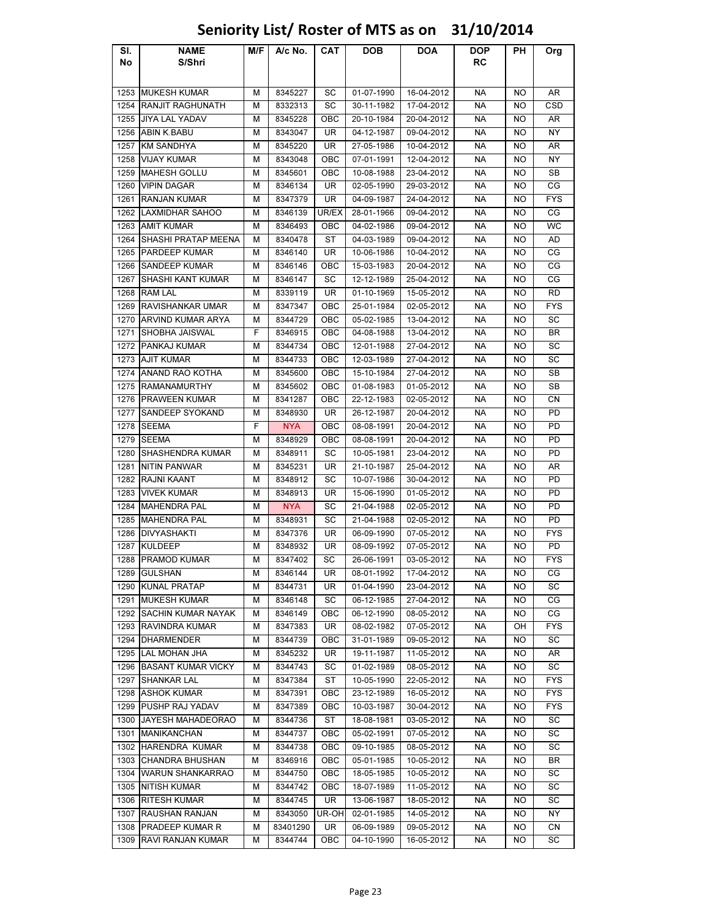### Sl. No NAME S/Shri M/F | A/c No. | CAT | DOB | DOA | DOP RC PH Org 1253 MUKESH KUMAR M | M | 8345227 | SC | 01-07-1990 | 16-04-2012 | NA | NO | AR 1254 RANJIT RAGHUNATH M 8332313 SC 30-11-1982 17-04-2012 NA NO CSD 1255 JIYA LAL YADAV M 8345228 OBC 20-10-1984 20-04-2012 NA NO AR 1256 ABIN K.BABU M 8343047 UR 04-12-1987 09-04-2012 NA NO NY 1257 KM SANDHYA M | 8345220 | UR | 27-05-1986 | 10-04-2012 NA NO | AR 1258 VIJAY KUMAR M | M | 8343048 | OBC | 07-01-1991 | 12-04-2012 | NA | NO | NY 1259 MAHESH GOLLU M 8345601 OBC 10-08-1988 23-04-2012 NA NO SB 1260 VIPIN DAGAR M 8346134 UR 02-05-1990 29-03-2012 NA NO CG 1261 RANJAN KUMAR M 8347379 UR 04-09-1987 24-04-2012 NA NO FYS 1262 LAXMIDHAR SAHOO | M | 8346139 |UR/EX | 28-01-1966 | 09-04-2012 | NA | NO | CG 1263 |AMIT KUMAR | M | 8346493 | OBC | 04-02-1986 | 09-04-2012 | NA | NO | WC 1264 SHASHI PRATAP MEENA M 8340478 ST 04-03-1989 09-04-2012 NA MO AD 1265 PARDEEP KUMAR M M 8346140 NR 10-06-1986 10-04-2012 NA NO CG 1266 SANDEEP KUMAR M 8346146 OBC 15-03-1983 20-04-2012 NA NO CG 1267 SHASHI KANT KUMAR M AS346147 SC 12-12-1989 25-04-2012 NA NO CG 1268 RAM LAL | M | 8339119 | UR | 01-10-1969 | 15-05-2012 | NA | NO | RD 1269 RAVISHANKAR UMAR | M | 8347347 | OBC | 25-01-1984 | 02-05-2012 | NA | NO | FYS 1270 ARVIND KUMAR ARYA M 8344729 OBC 05-02-1985 13-04-2012 NA NO SC 1271 SHOBHA JAISWAL | F 8346915 | OBC | 04-08-1988 | 13-04-2012 | NA NO | BR 1272 PANKAJ KUMAR M 8344734 OBC 12-01-1988 27-04-2012 NA NO SC 1273 |AJIT KUMAR | M | 8344733 | OBC | 12-03-1989 | 27-04-2012 | NA | NO | SC 1274 ANAND RAO KOTHA M 8345600 OBC 15-10-1984 27-04-2012 NA NO SB 1275 RAMANAMURTHY H M 8345602 OBC 01-08-1983 01-05-2012 NA NO SB 1276 PRAWEEN KUMAR M M 8341287 OBC 22-12-1983 02-05-2012 NA NO CN 1277 SANDEEP SYOKAND | M | 8348930 | UR | 26-12-1987 | 20-04-2012 | NA | NO | PD 1278 SEEMA F NYA OBC 08-08-1991 20-04-2012 NA NO PD 1279 |SEEMA | M | 8348929 | OBC | 08-08-1991 | 20-04-2012 | NA | NO | PD 1280 SHASHENDRA KUMAR | M | 8348911 | SC | 10-05-1981 | 23-04-2012 | NA | NO | PD 1281 |NITIN PANWAR | M | 8345231 | UR | 21-10-1987 | 25-04-2012 | NA | NO | AR 1282 RAJNI KAANT M 8348912 SC 10-07-1986 30-04-2012 NA NO PD 1283 VIVEK KUMAR M | 8348913 | UR | 15-06-1990 | 01-05-2012 | NA | NO | PD 1284 MAHENDRA PAL M NYA SC 21-04-1988 02-05-2012 NA NO PD 1285 MAHENDRA PAL M 8348931 SC 21-04-1988 02-05-2012 NA NO PD 1286 |DIVYASHAKTI | M | 8347376 | UR | 06-09-1990 | 07-05-2012 | NA | NO | FYS 1287 |KULDEEP | M | 8348932 | UR | 08-09-1992 | 07-05-2012 | NA | NO | PD 1288 PRAMOD KUMAR M 8347402 SC 26-06-1991 03-05-2012 NA NO FYS 1289 |GULSHAN | M | 8346144 | UR | 08-01-1992 | 17-04-2012 | NA | NO | CG 1290 KUNAL PRATAP | M | 8344731 | UR | 01-04-1990 | 23-04-2012 | NA | NO | SC 1291 MUKESH KUMAR M 8346148 SC 06-12-1985 27-04-2012 NA NO CG 1292 SACHIN KUMAR NAYAK | M | 8346149 | OBC | 06-12-1990 | 08-05-2012 | NA | NO | CG 1293 RAVINDRA KUMAR M 8347383 UR 08-02-1982 07-05-2012 NA OH FYS 1294 DHARMENDER M 8344739 OBC 31-01-1989 09-05-2012 NA NO SC 1295 LAL MOHAN JHA I M I 8345232 I UR I 19-11-1987 I 11-05-2012 I NA I NO I AR 1296 BASANT KUMAR VICKY | M | 8344743 | SC | 01-02-1989 | 08-05-2012 | NA | NO | SC 1297 |SHANKAR LAL | M | 8347384 | ST | 10-05-1990 | 22-05-2012 | NA | NO | FYS 1298 ASHOK KUMAR MINI 8347391 I OBC 1 23-12-1989 1 16-05-2012 NA NO I FYS 1299 PUSHP RAJ YADAV M 8347389 OBC 10-03-1987 30-04-2012 NA NO FYS 1300 JAYESH MAHADEORAO M 8344736 ST 18-08-1981 03-05-2012 NA NO SC 1301 MANIKANCHAN M | 8344737 | OBC | 05-02-1991 | 07-05-2012 | NA | NO | SC 1302 HARENDRA KUMAR | M | 8344738 | OBC | 09-10-1985 | 08-05-2012 | NA | NO | SC 1303 CHANDRA BHUSHAN M 8346916 OBC 05-01-1985 10-05-2012 NA NO BR 1304 WARUN SHANKARRAO | M | 8344750 | OBC | 18-05-1985 | 10-05-2012 | NA | NO | SC 1305 NITISH KUMAR M | M | 8344742 | OBC | 18-07-1989 | 11-05-2012 | NA | NO | SC 1306 RITESH KUMAR M 8344745 UR 13-06-1987 18-05-2012 NA NO SC 1307 RAUSHAN RANJAN M 8343050 UR-OH 02-01-1985 14-05-2012 NA NO NY 1308 PRADEEP KUMAR R M 83401290 UR 06-09-1989 09-05-2012 NA NO CN

### Seniority List/ Roster of MTS as on 31/10/2014

1309 RAVI RANJAN KUMAR I M I 8344744 I OBC I 04-10-1990 I 16-05-2012 I NA I NO I SC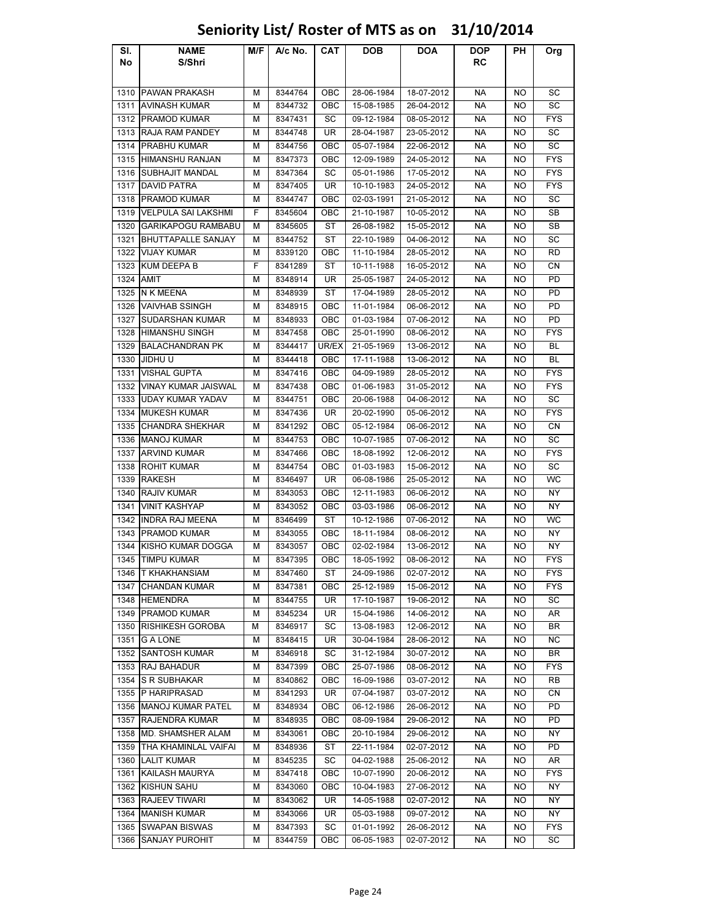| S/Shri<br>RC<br>No<br><b>PAWAN PRAKASH</b><br><b>NA</b><br>8344764<br>OBC<br>28-06-1984<br>18-07-2012<br>SC<br>1310<br>М<br>NO<br><b>AVINASH KUMAR</b><br>OBC<br><b>NA</b><br>SC<br>1311<br>М<br>8344732<br>15-08-1985<br>26-04-2012<br>NO<br><b>PRAMOD KUMAR</b><br><b>NA</b><br>FYS<br>1312<br>М<br>8347431<br>SC<br>09-12-1984<br>08-05-2012<br>NO<br><b>RAJA RAM PANDEY</b><br>UR<br><b>NA</b><br>SC<br>1313<br>М<br>8344748<br>28-04-1987<br>23-05-2012<br>NO<br><b>PRABHU KUMAR</b><br><b>NA</b><br>SC<br>1314<br>8344756<br>OBC<br>05-07-1984<br>22-06-2012<br>М<br>NO<br><b>HIMANSHU RANJAN</b><br><b>FYS</b><br>1315<br>8347373<br>OBC<br>12-09-1989<br>24-05-2012<br><b>NA</b><br>М<br>NO<br><b>SUBHAJIT MANDAL</b><br><b>NA</b><br><b>FYS</b><br>1316<br>8347364<br>SC<br>05-01-1986<br>17-05-2012<br><b>NO</b><br>М<br><b>FYS</b><br>1317<br><b>DAVID PATRA</b><br>8347405<br>UR<br>10-10-1983<br>24-05-2012<br><b>NA</b><br>М<br>NO<br><b>PRAMOD KUMAR</b><br>SC<br>1318<br>8344747<br>OBC<br>02-03-1991<br>21-05-2012<br><b>NA</b><br><b>NO</b><br>М<br><b>VELPULA SAI LAKSHMI</b><br>F<br><b>NA</b><br>SB<br>1319<br>8345604<br><b>OBC</b><br>21-10-1987<br>10-05-2012<br>NO<br>SB<br>1320<br><b>GARIKAPOGU RAMBABU</b><br>8345605<br>ST<br>26-08-1982<br>15-05-2012<br>NА<br>М<br>NO<br>SC<br>1321<br><b>BHUTTAPALLE SANJAY</b><br>ST<br>22-10-1989<br>04-06-2012<br><b>NA</b><br>М<br>8344752<br>NO<br>1322<br>RD<br><b>VIJAY KUMAR</b><br>м<br>8339120<br>ОВС<br>11-10-1984<br>28-05-2012<br>NА<br>NO<br>1323<br><b>KUM DEEPA B</b><br>F<br><b>NA</b><br>8341289<br>ST<br>10-11-1988<br>16-05-2012<br>NO.<br>CΝ<br>1324<br><b>AMIT</b><br>UR<br>24-05-2012<br><b>NA</b><br>PD<br>М<br>8348914<br>25-05-1987<br>NO<br><b>N K MEENA</b><br>PD<br>1325<br>М<br>8348939<br>ST<br>17-04-1989<br>28-05-2012<br>NА<br>NO<br>PD<br>1326<br>VAIVHAB SSINGH<br>8348915<br>OBC<br>11-01-1984<br>06-06-2012<br>NА<br>М<br>NO<br>SUDARSHAN KUMAR<br>PD<br>1327<br>OBC<br>01-03-1984<br>07-06-2012<br><b>NA</b><br>М<br>8348933<br>NO<br>1328<br><b>HIMANSHU SINGH</b><br>8347458<br>OBC<br>25-01-1990<br>08-06-2012<br><b>NA</b><br><b>FYS</b><br>NO<br>м<br><b>BALACHANDRAN PK</b><br><b>NA</b><br><b>BL</b><br>1329<br>8344417<br>UR/EX<br>21-05-1969<br>13-06-2012<br>NO<br>М<br>1330<br>JIDHU U<br>8344418<br>OBC<br>17-11-1988<br>13-06-2012<br><b>NA</b><br>NO<br>BL<br>М<br><b>VISHAL GUPTA</b><br><b>NA</b><br><b>FYS</b><br>1331<br>8347416<br>OBC<br>04-09-1989<br>28-05-2012<br>NO<br>М<br><b>FYS</b><br><b>VINAY KUMAR JAISWAL</b><br>OBC<br><b>NA</b><br>1332<br>8347438<br>01-06-1983<br>31-05-2012<br>NO<br>М<br>1333<br><b>UDAY KUMAR YADAV</b><br>OBC<br><b>NA</b><br>SC<br>8344751<br>04-06-2012<br>NO<br>м<br>20-06-1988<br><b>MUKESH KUMAR</b><br>UR<br><b>NA</b><br><b>FYS</b><br>1334<br>8347436<br>20-02-1990<br>05-06-2012<br>NO<br>м<br>CN<br>1335<br><b>CHANDRA SHEKHAR</b><br>OBC<br><b>NA</b><br>М<br>8341292<br>05-12-1984<br>06-06-2012<br>NO<br>1336<br><b>MANOJ KUMAR</b><br>OBC<br><b>NA</b><br>SC<br>М<br>8344753<br>10-07-1985<br>07-06-2012<br>NO<br><b>ARVIND KUMAR</b><br><b>NA</b><br><b>FYS</b><br>1337<br>М<br>8347466<br>OBC<br>18-08-1992<br>12-06-2012<br>NO<br><b>ROHIT KUMAR</b><br>OBC<br><b>NA</b><br>SC<br>1338<br>М<br>8344754<br>01-03-1983<br>15-06-2012<br>NO<br><b>WC</b><br>UR<br><b>NA</b><br>1339<br><b>RAKESH</b><br>8346497<br>06-08-1986<br>25-05-2012<br>М<br>NO.<br><b>RAJIV KUMAR</b><br><b>NY</b><br>1340<br>8343053<br>OBC<br>12-11-1983<br>06-06-2012<br><b>NA</b><br>М<br>NO<br><b>VINIT KASHYAP</b><br><b>NA</b><br>NY<br>1341<br>8343052<br>OBC<br>03-03-1986<br>06-06-2012<br>М<br>NO<br><b>WC</b><br><b>INDRA RAJ MEENA</b><br>8346499<br>ST<br>10-12-1986<br>07-06-2012<br><b>NA</b><br>1342<br>М<br>NO.<br><b>PRAMOD KUMAR</b><br>NY<br>1343<br>8343055<br>OBC<br>18-11-1984<br>08-06-2012<br><b>NA</b><br>М<br>NO.<br>KISHO KUMAR DOGGA<br>OBC<br>NΥ<br>1344<br>М<br>8343057<br>02-02-1984<br>13-06-2012<br>NA<br>NO<br>1345 TIMPU KUMAR<br><b>NA</b><br><b>FYS</b><br>М<br>8347395<br>OBC<br>18-05-1992<br>08-06-2012<br>NO<br>1346 T KHAKHANSIAM<br>8347460<br>ST<br>24-09-1986<br>02-07-2012<br><b>NA</b><br><b>FYS</b><br>м<br>NO.<br><b>CHANDAN KUMAR</b><br><b>FYS</b><br>1347<br>м<br>8347381<br>OBC<br>25-12-1989<br>15-06-2012<br>NА<br>NO<br>1348 HEMENDRA<br>М<br>8344755<br>UR<br>17-10-1987<br>19-06-2012<br>NA<br>SC<br>NO<br>1349 PRAMOD KUMAR<br>8345234<br>UR<br>15-04-1986<br>14-06-2012<br>NA<br>AR<br>м<br>NO<br><b>RISHIKESH GOROBA</b><br>8346917<br>13-08-1983<br>12-06-2012<br>1350<br>М<br>SC<br>NA<br>NO<br>BR<br><b>NA</b><br>1351<br><b>G A LONE</b><br>8348415<br>UR<br>30-04-1984<br>28-06-2012<br>ΝC<br>М<br>NO<br><b>SANTOSH KUMAR</b><br>1352<br>8346918<br>SC<br>31-12-1984<br>30-07-2012<br><b>NA</b><br>BR<br>М<br>NO<br>1353<br>RAJ BAHADUR<br>8347399<br>OBC<br>25-07-1986<br>08-06-2012<br><b>NA</b><br><b>FYS</b><br>м<br>NO.<br><b>S R SUBHAKAR</b><br>03-07-2012<br><b>NA</b><br>1354<br>М<br>8340862<br>OBC<br>16-09-1986<br>RB<br>NO<br>1355 P HARIPRASAD<br>8341293<br>UR<br>07-04-1987<br>03-07-2012<br><b>NA</b><br><b>NO</b><br>CN<br>м<br><b>MANOJ KUMAR PATEL</b><br>8348934<br>06-12-1986<br>26-06-2012<br>NA<br>PD<br>1356<br>М<br>OBC<br>NO<br><b>RAJENDRA KUMAR</b><br>OBC<br>PD<br>1357<br>М<br>8348935<br>08-09-1984<br>29-06-2012<br>NА<br>NO<br>1358<br>OBC<br>NΥ<br><b>MD. SHAMSHER ALAM</b><br>8343061<br>20-10-1984<br>29-06-2012<br>NА<br>NO<br>м<br>NA<br>PD<br>1359<br>THA KHAMINLAL VAIFAI<br>м<br>8348936<br>ST<br>22-11-1984<br>02-07-2012<br>NO<br><b>LALIT KUMAR</b><br>М<br>8345235<br>SC<br>04-02-1988<br>25-06-2012<br>NA<br>AR<br>1360<br>NO.<br>KAILASH MAURYA<br>8347418<br>OBC<br>10-07-1990<br>20-06-2012<br>NA<br><b>FYS</b><br>1361<br>м<br>NO<br>1362 KISHUN SAHU<br>10-04-1983<br>м<br>8343060<br>OBC<br>27-06-2012<br>NA<br>NO<br>ΝY<br><b>RAJEEV TIWARI</b><br>UR<br>14-05-1988<br>02-07-2012<br>NY.<br>1363<br>м<br>8343062<br>NА<br>NO<br><b>MANISH KUMAR</b><br>09-07-2012<br>NΥ<br>1364<br>8343066<br>UR<br>05-03-1988<br>NА<br>м<br>NO.<br><b>SWAPAN BISWAS</b><br>8347393<br>SC<br>01-01-1992<br>26-06-2012<br>NA<br><b>FYS</b><br>1365<br>М<br>NO.<br>SANJAY PUROHIT<br>М<br>8344759<br>OBC<br>06-05-1983<br>02-07-2012<br><b>NA</b><br>SC<br>1366<br>NO | SI. | <b>NAME</b> | M/F | A/c No. | CAT | <b>DOB</b> | DOA | <b>DOP</b> | PН | Org |
|-----------------------------------------------------------------------------------------------------------------------------------------------------------------------------------------------------------------------------------------------------------------------------------------------------------------------------------------------------------------------------------------------------------------------------------------------------------------------------------------------------------------------------------------------------------------------------------------------------------------------------------------------------------------------------------------------------------------------------------------------------------------------------------------------------------------------------------------------------------------------------------------------------------------------------------------------------------------------------------------------------------------------------------------------------------------------------------------------------------------------------------------------------------------------------------------------------------------------------------------------------------------------------------------------------------------------------------------------------------------------------------------------------------------------------------------------------------------------------------------------------------------------------------------------------------------------------------------------------------------------------------------------------------------------------------------------------------------------------------------------------------------------------------------------------------------------------------------------------------------------------------------------------------------------------------------------------------------------------------------------------------------------------------------------------------------------------------------------------------------------------------------------------------------------------------------------------------------------------------------------------------------------------------------------------------------------------------------------------------------------------------------------------------------------------------------------------------------------------------------------------------------------------------------------------------------------------------------------------------------------------------------------------------------------------------------------------------------------------------------------------------------------------------------------------------------------------------------------------------------------------------------------------------------------------------------------------------------------------------------------------------------------------------------------------------------------------------------------------------------------------------------------------------------------------------------------------------------------------------------------------------------------------------------------------------------------------------------------------------------------------------------------------------------------------------------------------------------------------------------------------------------------------------------------------------------------------------------------------------------------------------------------------------------------------------------------------------------------------------------------------------------------------------------------------------------------------------------------------------------------------------------------------------------------------------------------------------------------------------------------------------------------------------------------------------------------------------------------------------------------------------------------------------------------------------------------------------------------------------------------------------------------------------------------------------------------------------------------------------------------------------------------------------------------------------------------------------------------------------------------------------------------------------------------------------------------------------------------------------------------------------------------------------------------------------------------------------------------------------------------------------------------------------------------------------------------------------------------------------------------------------------------------------------------------------------------------------------------------------------------------------------------------------------------------------------------------------------------------------------------------------------------------------------------------------------------------------------------------------------------------------------------------------------------------------------------------------------------------------------------------------------------------------------------------------------------------------------------------------------------------------------------------------------------------------------------------------------------------------------------------------------------------------------------------------------------------------------------------------------------------------------------------------------------------------------------------------------------------------------------------------------------------------------------------------------------------------------------------------------------------------------------------------------------------------------------------------------------------------------------------------------------------------------------------------------------------------------------------------------------------------------------------------------------------------------------------------|-----|-------------|-----|---------|-----|------------|-----|------------|----|-----|
|                                                                                                                                                                                                                                                                                                                                                                                                                                                                                                                                                                                                                                                                                                                                                                                                                                                                                                                                                                                                                                                                                                                                                                                                                                                                                                                                                                                                                                                                                                                                                                                                                                                                                                                                                                                                                                                                                                                                                                                                                                                                                                                                                                                                                                                                                                                                                                                                                                                                                                                                                                                                                                                                                                                                                                                                                                                                                                                                                                                                                                                                                                                                                                                                                                                                                                                                                                                                                                                                                                                                                                                                                                                                                                                                                                                                                                                                                                                                                                                                                                                                                                                                                                                                                                                                                                                                                                                                                                                                                                                                                                                                                                                                                                                                                                                                                                                                                                                                                                                                                                                                                                                                                                                                                                                                                                                                                                                                                                                                                                                                                                                                                                                                                                                                                                                                                                                                                                                                                                                                                                                                                                                                                                                                                                                                                                                                   |     |             |     |         |     |            |     |            |    |     |
|                                                                                                                                                                                                                                                                                                                                                                                                                                                                                                                                                                                                                                                                                                                                                                                                                                                                                                                                                                                                                                                                                                                                                                                                                                                                                                                                                                                                                                                                                                                                                                                                                                                                                                                                                                                                                                                                                                                                                                                                                                                                                                                                                                                                                                                                                                                                                                                                                                                                                                                                                                                                                                                                                                                                                                                                                                                                                                                                                                                                                                                                                                                                                                                                                                                                                                                                                                                                                                                                                                                                                                                                                                                                                                                                                                                                                                                                                                                                                                                                                                                                                                                                                                                                                                                                                                                                                                                                                                                                                                                                                                                                                                                                                                                                                                                                                                                                                                                                                                                                                                                                                                                                                                                                                                                                                                                                                                                                                                                                                                                                                                                                                                                                                                                                                                                                                                                                                                                                                                                                                                                                                                                                                                                                                                                                                                                                   |     |             |     |         |     |            |     |            |    |     |
|                                                                                                                                                                                                                                                                                                                                                                                                                                                                                                                                                                                                                                                                                                                                                                                                                                                                                                                                                                                                                                                                                                                                                                                                                                                                                                                                                                                                                                                                                                                                                                                                                                                                                                                                                                                                                                                                                                                                                                                                                                                                                                                                                                                                                                                                                                                                                                                                                                                                                                                                                                                                                                                                                                                                                                                                                                                                                                                                                                                                                                                                                                                                                                                                                                                                                                                                                                                                                                                                                                                                                                                                                                                                                                                                                                                                                                                                                                                                                                                                                                                                                                                                                                                                                                                                                                                                                                                                                                                                                                                                                                                                                                                                                                                                                                                                                                                                                                                                                                                                                                                                                                                                                                                                                                                                                                                                                                                                                                                                                                                                                                                                                                                                                                                                                                                                                                                                                                                                                                                                                                                                                                                                                                                                                                                                                                                                   |     |             |     |         |     |            |     |            |    |     |
|                                                                                                                                                                                                                                                                                                                                                                                                                                                                                                                                                                                                                                                                                                                                                                                                                                                                                                                                                                                                                                                                                                                                                                                                                                                                                                                                                                                                                                                                                                                                                                                                                                                                                                                                                                                                                                                                                                                                                                                                                                                                                                                                                                                                                                                                                                                                                                                                                                                                                                                                                                                                                                                                                                                                                                                                                                                                                                                                                                                                                                                                                                                                                                                                                                                                                                                                                                                                                                                                                                                                                                                                                                                                                                                                                                                                                                                                                                                                                                                                                                                                                                                                                                                                                                                                                                                                                                                                                                                                                                                                                                                                                                                                                                                                                                                                                                                                                                                                                                                                                                                                                                                                                                                                                                                                                                                                                                                                                                                                                                                                                                                                                                                                                                                                                                                                                                                                                                                                                                                                                                                                                                                                                                                                                                                                                                                                   |     |             |     |         |     |            |     |            |    |     |
|                                                                                                                                                                                                                                                                                                                                                                                                                                                                                                                                                                                                                                                                                                                                                                                                                                                                                                                                                                                                                                                                                                                                                                                                                                                                                                                                                                                                                                                                                                                                                                                                                                                                                                                                                                                                                                                                                                                                                                                                                                                                                                                                                                                                                                                                                                                                                                                                                                                                                                                                                                                                                                                                                                                                                                                                                                                                                                                                                                                                                                                                                                                                                                                                                                                                                                                                                                                                                                                                                                                                                                                                                                                                                                                                                                                                                                                                                                                                                                                                                                                                                                                                                                                                                                                                                                                                                                                                                                                                                                                                                                                                                                                                                                                                                                                                                                                                                                                                                                                                                                                                                                                                                                                                                                                                                                                                                                                                                                                                                                                                                                                                                                                                                                                                                                                                                                                                                                                                                                                                                                                                                                                                                                                                                                                                                                                                   |     |             |     |         |     |            |     |            |    |     |
|                                                                                                                                                                                                                                                                                                                                                                                                                                                                                                                                                                                                                                                                                                                                                                                                                                                                                                                                                                                                                                                                                                                                                                                                                                                                                                                                                                                                                                                                                                                                                                                                                                                                                                                                                                                                                                                                                                                                                                                                                                                                                                                                                                                                                                                                                                                                                                                                                                                                                                                                                                                                                                                                                                                                                                                                                                                                                                                                                                                                                                                                                                                                                                                                                                                                                                                                                                                                                                                                                                                                                                                                                                                                                                                                                                                                                                                                                                                                                                                                                                                                                                                                                                                                                                                                                                                                                                                                                                                                                                                                                                                                                                                                                                                                                                                                                                                                                                                                                                                                                                                                                                                                                                                                                                                                                                                                                                                                                                                                                                                                                                                                                                                                                                                                                                                                                                                                                                                                                                                                                                                                                                                                                                                                                                                                                                                                   |     |             |     |         |     |            |     |            |    |     |
|                                                                                                                                                                                                                                                                                                                                                                                                                                                                                                                                                                                                                                                                                                                                                                                                                                                                                                                                                                                                                                                                                                                                                                                                                                                                                                                                                                                                                                                                                                                                                                                                                                                                                                                                                                                                                                                                                                                                                                                                                                                                                                                                                                                                                                                                                                                                                                                                                                                                                                                                                                                                                                                                                                                                                                                                                                                                                                                                                                                                                                                                                                                                                                                                                                                                                                                                                                                                                                                                                                                                                                                                                                                                                                                                                                                                                                                                                                                                                                                                                                                                                                                                                                                                                                                                                                                                                                                                                                                                                                                                                                                                                                                                                                                                                                                                                                                                                                                                                                                                                                                                                                                                                                                                                                                                                                                                                                                                                                                                                                                                                                                                                                                                                                                                                                                                                                                                                                                                                                                                                                                                                                                                                                                                                                                                                                                                   |     |             |     |         |     |            |     |            |    |     |
|                                                                                                                                                                                                                                                                                                                                                                                                                                                                                                                                                                                                                                                                                                                                                                                                                                                                                                                                                                                                                                                                                                                                                                                                                                                                                                                                                                                                                                                                                                                                                                                                                                                                                                                                                                                                                                                                                                                                                                                                                                                                                                                                                                                                                                                                                                                                                                                                                                                                                                                                                                                                                                                                                                                                                                                                                                                                                                                                                                                                                                                                                                                                                                                                                                                                                                                                                                                                                                                                                                                                                                                                                                                                                                                                                                                                                                                                                                                                                                                                                                                                                                                                                                                                                                                                                                                                                                                                                                                                                                                                                                                                                                                                                                                                                                                                                                                                                                                                                                                                                                                                                                                                                                                                                                                                                                                                                                                                                                                                                                                                                                                                                                                                                                                                                                                                                                                                                                                                                                                                                                                                                                                                                                                                                                                                                                                                   |     |             |     |         |     |            |     |            |    |     |
|                                                                                                                                                                                                                                                                                                                                                                                                                                                                                                                                                                                                                                                                                                                                                                                                                                                                                                                                                                                                                                                                                                                                                                                                                                                                                                                                                                                                                                                                                                                                                                                                                                                                                                                                                                                                                                                                                                                                                                                                                                                                                                                                                                                                                                                                                                                                                                                                                                                                                                                                                                                                                                                                                                                                                                                                                                                                                                                                                                                                                                                                                                                                                                                                                                                                                                                                                                                                                                                                                                                                                                                                                                                                                                                                                                                                                                                                                                                                                                                                                                                                                                                                                                                                                                                                                                                                                                                                                                                                                                                                                                                                                                                                                                                                                                                                                                                                                                                                                                                                                                                                                                                                                                                                                                                                                                                                                                                                                                                                                                                                                                                                                                                                                                                                                                                                                                                                                                                                                                                                                                                                                                                                                                                                                                                                                                                                   |     |             |     |         |     |            |     |            |    |     |
|                                                                                                                                                                                                                                                                                                                                                                                                                                                                                                                                                                                                                                                                                                                                                                                                                                                                                                                                                                                                                                                                                                                                                                                                                                                                                                                                                                                                                                                                                                                                                                                                                                                                                                                                                                                                                                                                                                                                                                                                                                                                                                                                                                                                                                                                                                                                                                                                                                                                                                                                                                                                                                                                                                                                                                                                                                                                                                                                                                                                                                                                                                                                                                                                                                                                                                                                                                                                                                                                                                                                                                                                                                                                                                                                                                                                                                                                                                                                                                                                                                                                                                                                                                                                                                                                                                                                                                                                                                                                                                                                                                                                                                                                                                                                                                                                                                                                                                                                                                                                                                                                                                                                                                                                                                                                                                                                                                                                                                                                                                                                                                                                                                                                                                                                                                                                                                                                                                                                                                                                                                                                                                                                                                                                                                                                                                                                   |     |             |     |         |     |            |     |            |    |     |
|                                                                                                                                                                                                                                                                                                                                                                                                                                                                                                                                                                                                                                                                                                                                                                                                                                                                                                                                                                                                                                                                                                                                                                                                                                                                                                                                                                                                                                                                                                                                                                                                                                                                                                                                                                                                                                                                                                                                                                                                                                                                                                                                                                                                                                                                                                                                                                                                                                                                                                                                                                                                                                                                                                                                                                                                                                                                                                                                                                                                                                                                                                                                                                                                                                                                                                                                                                                                                                                                                                                                                                                                                                                                                                                                                                                                                                                                                                                                                                                                                                                                                                                                                                                                                                                                                                                                                                                                                                                                                                                                                                                                                                                                                                                                                                                                                                                                                                                                                                                                                                                                                                                                                                                                                                                                                                                                                                                                                                                                                                                                                                                                                                                                                                                                                                                                                                                                                                                                                                                                                                                                                                                                                                                                                                                                                                                                   |     |             |     |         |     |            |     |            |    |     |
|                                                                                                                                                                                                                                                                                                                                                                                                                                                                                                                                                                                                                                                                                                                                                                                                                                                                                                                                                                                                                                                                                                                                                                                                                                                                                                                                                                                                                                                                                                                                                                                                                                                                                                                                                                                                                                                                                                                                                                                                                                                                                                                                                                                                                                                                                                                                                                                                                                                                                                                                                                                                                                                                                                                                                                                                                                                                                                                                                                                                                                                                                                                                                                                                                                                                                                                                                                                                                                                                                                                                                                                                                                                                                                                                                                                                                                                                                                                                                                                                                                                                                                                                                                                                                                                                                                                                                                                                                                                                                                                                                                                                                                                                                                                                                                                                                                                                                                                                                                                                                                                                                                                                                                                                                                                                                                                                                                                                                                                                                                                                                                                                                                                                                                                                                                                                                                                                                                                                                                                                                                                                                                                                                                                                                                                                                                                                   |     |             |     |         |     |            |     |            |    |     |
|                                                                                                                                                                                                                                                                                                                                                                                                                                                                                                                                                                                                                                                                                                                                                                                                                                                                                                                                                                                                                                                                                                                                                                                                                                                                                                                                                                                                                                                                                                                                                                                                                                                                                                                                                                                                                                                                                                                                                                                                                                                                                                                                                                                                                                                                                                                                                                                                                                                                                                                                                                                                                                                                                                                                                                                                                                                                                                                                                                                                                                                                                                                                                                                                                                                                                                                                                                                                                                                                                                                                                                                                                                                                                                                                                                                                                                                                                                                                                                                                                                                                                                                                                                                                                                                                                                                                                                                                                                                                                                                                                                                                                                                                                                                                                                                                                                                                                                                                                                                                                                                                                                                                                                                                                                                                                                                                                                                                                                                                                                                                                                                                                                                                                                                                                                                                                                                                                                                                                                                                                                                                                                                                                                                                                                                                                                                                   |     |             |     |         |     |            |     |            |    |     |
|                                                                                                                                                                                                                                                                                                                                                                                                                                                                                                                                                                                                                                                                                                                                                                                                                                                                                                                                                                                                                                                                                                                                                                                                                                                                                                                                                                                                                                                                                                                                                                                                                                                                                                                                                                                                                                                                                                                                                                                                                                                                                                                                                                                                                                                                                                                                                                                                                                                                                                                                                                                                                                                                                                                                                                                                                                                                                                                                                                                                                                                                                                                                                                                                                                                                                                                                                                                                                                                                                                                                                                                                                                                                                                                                                                                                                                                                                                                                                                                                                                                                                                                                                                                                                                                                                                                                                                                                                                                                                                                                                                                                                                                                                                                                                                                                                                                                                                                                                                                                                                                                                                                                                                                                                                                                                                                                                                                                                                                                                                                                                                                                                                                                                                                                                                                                                                                                                                                                                                                                                                                                                                                                                                                                                                                                                                                                   |     |             |     |         |     |            |     |            |    |     |
|                                                                                                                                                                                                                                                                                                                                                                                                                                                                                                                                                                                                                                                                                                                                                                                                                                                                                                                                                                                                                                                                                                                                                                                                                                                                                                                                                                                                                                                                                                                                                                                                                                                                                                                                                                                                                                                                                                                                                                                                                                                                                                                                                                                                                                                                                                                                                                                                                                                                                                                                                                                                                                                                                                                                                                                                                                                                                                                                                                                                                                                                                                                                                                                                                                                                                                                                                                                                                                                                                                                                                                                                                                                                                                                                                                                                                                                                                                                                                                                                                                                                                                                                                                                                                                                                                                                                                                                                                                                                                                                                                                                                                                                                                                                                                                                                                                                                                                                                                                                                                                                                                                                                                                                                                                                                                                                                                                                                                                                                                                                                                                                                                                                                                                                                                                                                                                                                                                                                                                                                                                                                                                                                                                                                                                                                                                                                   |     |             |     |         |     |            |     |            |    |     |
|                                                                                                                                                                                                                                                                                                                                                                                                                                                                                                                                                                                                                                                                                                                                                                                                                                                                                                                                                                                                                                                                                                                                                                                                                                                                                                                                                                                                                                                                                                                                                                                                                                                                                                                                                                                                                                                                                                                                                                                                                                                                                                                                                                                                                                                                                                                                                                                                                                                                                                                                                                                                                                                                                                                                                                                                                                                                                                                                                                                                                                                                                                                                                                                                                                                                                                                                                                                                                                                                                                                                                                                                                                                                                                                                                                                                                                                                                                                                                                                                                                                                                                                                                                                                                                                                                                                                                                                                                                                                                                                                                                                                                                                                                                                                                                                                                                                                                                                                                                                                                                                                                                                                                                                                                                                                                                                                                                                                                                                                                                                                                                                                                                                                                                                                                                                                                                                                                                                                                                                                                                                                                                                                                                                                                                                                                                                                   |     |             |     |         |     |            |     |            |    |     |
|                                                                                                                                                                                                                                                                                                                                                                                                                                                                                                                                                                                                                                                                                                                                                                                                                                                                                                                                                                                                                                                                                                                                                                                                                                                                                                                                                                                                                                                                                                                                                                                                                                                                                                                                                                                                                                                                                                                                                                                                                                                                                                                                                                                                                                                                                                                                                                                                                                                                                                                                                                                                                                                                                                                                                                                                                                                                                                                                                                                                                                                                                                                                                                                                                                                                                                                                                                                                                                                                                                                                                                                                                                                                                                                                                                                                                                                                                                                                                                                                                                                                                                                                                                                                                                                                                                                                                                                                                                                                                                                                                                                                                                                                                                                                                                                                                                                                                                                                                                                                                                                                                                                                                                                                                                                                                                                                                                                                                                                                                                                                                                                                                                                                                                                                                                                                                                                                                                                                                                                                                                                                                                                                                                                                                                                                                                                                   |     |             |     |         |     |            |     |            |    |     |
|                                                                                                                                                                                                                                                                                                                                                                                                                                                                                                                                                                                                                                                                                                                                                                                                                                                                                                                                                                                                                                                                                                                                                                                                                                                                                                                                                                                                                                                                                                                                                                                                                                                                                                                                                                                                                                                                                                                                                                                                                                                                                                                                                                                                                                                                                                                                                                                                                                                                                                                                                                                                                                                                                                                                                                                                                                                                                                                                                                                                                                                                                                                                                                                                                                                                                                                                                                                                                                                                                                                                                                                                                                                                                                                                                                                                                                                                                                                                                                                                                                                                                                                                                                                                                                                                                                                                                                                                                                                                                                                                                                                                                                                                                                                                                                                                                                                                                                                                                                                                                                                                                                                                                                                                                                                                                                                                                                                                                                                                                                                                                                                                                                                                                                                                                                                                                                                                                                                                                                                                                                                                                                                                                                                                                                                                                                                                   |     |             |     |         |     |            |     |            |    |     |
|                                                                                                                                                                                                                                                                                                                                                                                                                                                                                                                                                                                                                                                                                                                                                                                                                                                                                                                                                                                                                                                                                                                                                                                                                                                                                                                                                                                                                                                                                                                                                                                                                                                                                                                                                                                                                                                                                                                                                                                                                                                                                                                                                                                                                                                                                                                                                                                                                                                                                                                                                                                                                                                                                                                                                                                                                                                                                                                                                                                                                                                                                                                                                                                                                                                                                                                                                                                                                                                                                                                                                                                                                                                                                                                                                                                                                                                                                                                                                                                                                                                                                                                                                                                                                                                                                                                                                                                                                                                                                                                                                                                                                                                                                                                                                                                                                                                                                                                                                                                                                                                                                                                                                                                                                                                                                                                                                                                                                                                                                                                                                                                                                                                                                                                                                                                                                                                                                                                                                                                                                                                                                                                                                                                                                                                                                                                                   |     |             |     |         |     |            |     |            |    |     |
|                                                                                                                                                                                                                                                                                                                                                                                                                                                                                                                                                                                                                                                                                                                                                                                                                                                                                                                                                                                                                                                                                                                                                                                                                                                                                                                                                                                                                                                                                                                                                                                                                                                                                                                                                                                                                                                                                                                                                                                                                                                                                                                                                                                                                                                                                                                                                                                                                                                                                                                                                                                                                                                                                                                                                                                                                                                                                                                                                                                                                                                                                                                                                                                                                                                                                                                                                                                                                                                                                                                                                                                                                                                                                                                                                                                                                                                                                                                                                                                                                                                                                                                                                                                                                                                                                                                                                                                                                                                                                                                                                                                                                                                                                                                                                                                                                                                                                                                                                                                                                                                                                                                                                                                                                                                                                                                                                                                                                                                                                                                                                                                                                                                                                                                                                                                                                                                                                                                                                                                                                                                                                                                                                                                                                                                                                                                                   |     |             |     |         |     |            |     |            |    |     |
|                                                                                                                                                                                                                                                                                                                                                                                                                                                                                                                                                                                                                                                                                                                                                                                                                                                                                                                                                                                                                                                                                                                                                                                                                                                                                                                                                                                                                                                                                                                                                                                                                                                                                                                                                                                                                                                                                                                                                                                                                                                                                                                                                                                                                                                                                                                                                                                                                                                                                                                                                                                                                                                                                                                                                                                                                                                                                                                                                                                                                                                                                                                                                                                                                                                                                                                                                                                                                                                                                                                                                                                                                                                                                                                                                                                                                                                                                                                                                                                                                                                                                                                                                                                                                                                                                                                                                                                                                                                                                                                                                                                                                                                                                                                                                                                                                                                                                                                                                                                                                                                                                                                                                                                                                                                                                                                                                                                                                                                                                                                                                                                                                                                                                                                                                                                                                                                                                                                                                                                                                                                                                                                                                                                                                                                                                                                                   |     |             |     |         |     |            |     |            |    |     |
|                                                                                                                                                                                                                                                                                                                                                                                                                                                                                                                                                                                                                                                                                                                                                                                                                                                                                                                                                                                                                                                                                                                                                                                                                                                                                                                                                                                                                                                                                                                                                                                                                                                                                                                                                                                                                                                                                                                                                                                                                                                                                                                                                                                                                                                                                                                                                                                                                                                                                                                                                                                                                                                                                                                                                                                                                                                                                                                                                                                                                                                                                                                                                                                                                                                                                                                                                                                                                                                                                                                                                                                                                                                                                                                                                                                                                                                                                                                                                                                                                                                                                                                                                                                                                                                                                                                                                                                                                                                                                                                                                                                                                                                                                                                                                                                                                                                                                                                                                                                                                                                                                                                                                                                                                                                                                                                                                                                                                                                                                                                                                                                                                                                                                                                                                                                                                                                                                                                                                                                                                                                                                                                                                                                                                                                                                                                                   |     |             |     |         |     |            |     |            |    |     |
|                                                                                                                                                                                                                                                                                                                                                                                                                                                                                                                                                                                                                                                                                                                                                                                                                                                                                                                                                                                                                                                                                                                                                                                                                                                                                                                                                                                                                                                                                                                                                                                                                                                                                                                                                                                                                                                                                                                                                                                                                                                                                                                                                                                                                                                                                                                                                                                                                                                                                                                                                                                                                                                                                                                                                                                                                                                                                                                                                                                                                                                                                                                                                                                                                                                                                                                                                                                                                                                                                                                                                                                                                                                                                                                                                                                                                                                                                                                                                                                                                                                                                                                                                                                                                                                                                                                                                                                                                                                                                                                                                                                                                                                                                                                                                                                                                                                                                                                                                                                                                                                                                                                                                                                                                                                                                                                                                                                                                                                                                                                                                                                                                                                                                                                                                                                                                                                                                                                                                                                                                                                                                                                                                                                                                                                                                                                                   |     |             |     |         |     |            |     |            |    |     |
|                                                                                                                                                                                                                                                                                                                                                                                                                                                                                                                                                                                                                                                                                                                                                                                                                                                                                                                                                                                                                                                                                                                                                                                                                                                                                                                                                                                                                                                                                                                                                                                                                                                                                                                                                                                                                                                                                                                                                                                                                                                                                                                                                                                                                                                                                                                                                                                                                                                                                                                                                                                                                                                                                                                                                                                                                                                                                                                                                                                                                                                                                                                                                                                                                                                                                                                                                                                                                                                                                                                                                                                                                                                                                                                                                                                                                                                                                                                                                                                                                                                                                                                                                                                                                                                                                                                                                                                                                                                                                                                                                                                                                                                                                                                                                                                                                                                                                                                                                                                                                                                                                                                                                                                                                                                                                                                                                                                                                                                                                                                                                                                                                                                                                                                                                                                                                                                                                                                                                                                                                                                                                                                                                                                                                                                                                                                                   |     |             |     |         |     |            |     |            |    |     |
|                                                                                                                                                                                                                                                                                                                                                                                                                                                                                                                                                                                                                                                                                                                                                                                                                                                                                                                                                                                                                                                                                                                                                                                                                                                                                                                                                                                                                                                                                                                                                                                                                                                                                                                                                                                                                                                                                                                                                                                                                                                                                                                                                                                                                                                                                                                                                                                                                                                                                                                                                                                                                                                                                                                                                                                                                                                                                                                                                                                                                                                                                                                                                                                                                                                                                                                                                                                                                                                                                                                                                                                                                                                                                                                                                                                                                                                                                                                                                                                                                                                                                                                                                                                                                                                                                                                                                                                                                                                                                                                                                                                                                                                                                                                                                                                                                                                                                                                                                                                                                                                                                                                                                                                                                                                                                                                                                                                                                                                                                                                                                                                                                                                                                                                                                                                                                                                                                                                                                                                                                                                                                                                                                                                                                                                                                                                                   |     |             |     |         |     |            |     |            |    |     |
|                                                                                                                                                                                                                                                                                                                                                                                                                                                                                                                                                                                                                                                                                                                                                                                                                                                                                                                                                                                                                                                                                                                                                                                                                                                                                                                                                                                                                                                                                                                                                                                                                                                                                                                                                                                                                                                                                                                                                                                                                                                                                                                                                                                                                                                                                                                                                                                                                                                                                                                                                                                                                                                                                                                                                                                                                                                                                                                                                                                                                                                                                                                                                                                                                                                                                                                                                                                                                                                                                                                                                                                                                                                                                                                                                                                                                                                                                                                                                                                                                                                                                                                                                                                                                                                                                                                                                                                                                                                                                                                                                                                                                                                                                                                                                                                                                                                                                                                                                                                                                                                                                                                                                                                                                                                                                                                                                                                                                                                                                                                                                                                                                                                                                                                                                                                                                                                                                                                                                                                                                                                                                                                                                                                                                                                                                                                                   |     |             |     |         |     |            |     |            |    |     |
|                                                                                                                                                                                                                                                                                                                                                                                                                                                                                                                                                                                                                                                                                                                                                                                                                                                                                                                                                                                                                                                                                                                                                                                                                                                                                                                                                                                                                                                                                                                                                                                                                                                                                                                                                                                                                                                                                                                                                                                                                                                                                                                                                                                                                                                                                                                                                                                                                                                                                                                                                                                                                                                                                                                                                                                                                                                                                                                                                                                                                                                                                                                                                                                                                                                                                                                                                                                                                                                                                                                                                                                                                                                                                                                                                                                                                                                                                                                                                                                                                                                                                                                                                                                                                                                                                                                                                                                                                                                                                                                                                                                                                                                                                                                                                                                                                                                                                                                                                                                                                                                                                                                                                                                                                                                                                                                                                                                                                                                                                                                                                                                                                                                                                                                                                                                                                                                                                                                                                                                                                                                                                                                                                                                                                                                                                                                                   |     |             |     |         |     |            |     |            |    |     |
|                                                                                                                                                                                                                                                                                                                                                                                                                                                                                                                                                                                                                                                                                                                                                                                                                                                                                                                                                                                                                                                                                                                                                                                                                                                                                                                                                                                                                                                                                                                                                                                                                                                                                                                                                                                                                                                                                                                                                                                                                                                                                                                                                                                                                                                                                                                                                                                                                                                                                                                                                                                                                                                                                                                                                                                                                                                                                                                                                                                                                                                                                                                                                                                                                                                                                                                                                                                                                                                                                                                                                                                                                                                                                                                                                                                                                                                                                                                                                                                                                                                                                                                                                                                                                                                                                                                                                                                                                                                                                                                                                                                                                                                                                                                                                                                                                                                                                                                                                                                                                                                                                                                                                                                                                                                                                                                                                                                                                                                                                                                                                                                                                                                                                                                                                                                                                                                                                                                                                                                                                                                                                                                                                                                                                                                                                                                                   |     |             |     |         |     |            |     |            |    |     |
|                                                                                                                                                                                                                                                                                                                                                                                                                                                                                                                                                                                                                                                                                                                                                                                                                                                                                                                                                                                                                                                                                                                                                                                                                                                                                                                                                                                                                                                                                                                                                                                                                                                                                                                                                                                                                                                                                                                                                                                                                                                                                                                                                                                                                                                                                                                                                                                                                                                                                                                                                                                                                                                                                                                                                                                                                                                                                                                                                                                                                                                                                                                                                                                                                                                                                                                                                                                                                                                                                                                                                                                                                                                                                                                                                                                                                                                                                                                                                                                                                                                                                                                                                                                                                                                                                                                                                                                                                                                                                                                                                                                                                                                                                                                                                                                                                                                                                                                                                                                                                                                                                                                                                                                                                                                                                                                                                                                                                                                                                                                                                                                                                                                                                                                                                                                                                                                                                                                                                                                                                                                                                                                                                                                                                                                                                                                                   |     |             |     |         |     |            |     |            |    |     |
|                                                                                                                                                                                                                                                                                                                                                                                                                                                                                                                                                                                                                                                                                                                                                                                                                                                                                                                                                                                                                                                                                                                                                                                                                                                                                                                                                                                                                                                                                                                                                                                                                                                                                                                                                                                                                                                                                                                                                                                                                                                                                                                                                                                                                                                                                                                                                                                                                                                                                                                                                                                                                                                                                                                                                                                                                                                                                                                                                                                                                                                                                                                                                                                                                                                                                                                                                                                                                                                                                                                                                                                                                                                                                                                                                                                                                                                                                                                                                                                                                                                                                                                                                                                                                                                                                                                                                                                                                                                                                                                                                                                                                                                                                                                                                                                                                                                                                                                                                                                                                                                                                                                                                                                                                                                                                                                                                                                                                                                                                                                                                                                                                                                                                                                                                                                                                                                                                                                                                                                                                                                                                                                                                                                                                                                                                                                                   |     |             |     |         |     |            |     |            |    |     |
|                                                                                                                                                                                                                                                                                                                                                                                                                                                                                                                                                                                                                                                                                                                                                                                                                                                                                                                                                                                                                                                                                                                                                                                                                                                                                                                                                                                                                                                                                                                                                                                                                                                                                                                                                                                                                                                                                                                                                                                                                                                                                                                                                                                                                                                                                                                                                                                                                                                                                                                                                                                                                                                                                                                                                                                                                                                                                                                                                                                                                                                                                                                                                                                                                                                                                                                                                                                                                                                                                                                                                                                                                                                                                                                                                                                                                                                                                                                                                                                                                                                                                                                                                                                                                                                                                                                                                                                                                                                                                                                                                                                                                                                                                                                                                                                                                                                                                                                                                                                                                                                                                                                                                                                                                                                                                                                                                                                                                                                                                                                                                                                                                                                                                                                                                                                                                                                                                                                                                                                                                                                                                                                                                                                                                                                                                                                                   |     |             |     |         |     |            |     |            |    |     |
|                                                                                                                                                                                                                                                                                                                                                                                                                                                                                                                                                                                                                                                                                                                                                                                                                                                                                                                                                                                                                                                                                                                                                                                                                                                                                                                                                                                                                                                                                                                                                                                                                                                                                                                                                                                                                                                                                                                                                                                                                                                                                                                                                                                                                                                                                                                                                                                                                                                                                                                                                                                                                                                                                                                                                                                                                                                                                                                                                                                                                                                                                                                                                                                                                                                                                                                                                                                                                                                                                                                                                                                                                                                                                                                                                                                                                                                                                                                                                                                                                                                                                                                                                                                                                                                                                                                                                                                                                                                                                                                                                                                                                                                                                                                                                                                                                                                                                                                                                                                                                                                                                                                                                                                                                                                                                                                                                                                                                                                                                                                                                                                                                                                                                                                                                                                                                                                                                                                                                                                                                                                                                                                                                                                                                                                                                                                                   |     |             |     |         |     |            |     |            |    |     |
|                                                                                                                                                                                                                                                                                                                                                                                                                                                                                                                                                                                                                                                                                                                                                                                                                                                                                                                                                                                                                                                                                                                                                                                                                                                                                                                                                                                                                                                                                                                                                                                                                                                                                                                                                                                                                                                                                                                                                                                                                                                                                                                                                                                                                                                                                                                                                                                                                                                                                                                                                                                                                                                                                                                                                                                                                                                                                                                                                                                                                                                                                                                                                                                                                                                                                                                                                                                                                                                                                                                                                                                                                                                                                                                                                                                                                                                                                                                                                                                                                                                                                                                                                                                                                                                                                                                                                                                                                                                                                                                                                                                                                                                                                                                                                                                                                                                                                                                                                                                                                                                                                                                                                                                                                                                                                                                                                                                                                                                                                                                                                                                                                                                                                                                                                                                                                                                                                                                                                                                                                                                                                                                                                                                                                                                                                                                                   |     |             |     |         |     |            |     |            |    |     |
|                                                                                                                                                                                                                                                                                                                                                                                                                                                                                                                                                                                                                                                                                                                                                                                                                                                                                                                                                                                                                                                                                                                                                                                                                                                                                                                                                                                                                                                                                                                                                                                                                                                                                                                                                                                                                                                                                                                                                                                                                                                                                                                                                                                                                                                                                                                                                                                                                                                                                                                                                                                                                                                                                                                                                                                                                                                                                                                                                                                                                                                                                                                                                                                                                                                                                                                                                                                                                                                                                                                                                                                                                                                                                                                                                                                                                                                                                                                                                                                                                                                                                                                                                                                                                                                                                                                                                                                                                                                                                                                                                                                                                                                                                                                                                                                                                                                                                                                                                                                                                                                                                                                                                                                                                                                                                                                                                                                                                                                                                                                                                                                                                                                                                                                                                                                                                                                                                                                                                                                                                                                                                                                                                                                                                                                                                                                                   |     |             |     |         |     |            |     |            |    |     |
|                                                                                                                                                                                                                                                                                                                                                                                                                                                                                                                                                                                                                                                                                                                                                                                                                                                                                                                                                                                                                                                                                                                                                                                                                                                                                                                                                                                                                                                                                                                                                                                                                                                                                                                                                                                                                                                                                                                                                                                                                                                                                                                                                                                                                                                                                                                                                                                                                                                                                                                                                                                                                                                                                                                                                                                                                                                                                                                                                                                                                                                                                                                                                                                                                                                                                                                                                                                                                                                                                                                                                                                                                                                                                                                                                                                                                                                                                                                                                                                                                                                                                                                                                                                                                                                                                                                                                                                                                                                                                                                                                                                                                                                                                                                                                                                                                                                                                                                                                                                                                                                                                                                                                                                                                                                                                                                                                                                                                                                                                                                                                                                                                                                                                                                                                                                                                                                                                                                                                                                                                                                                                                                                                                                                                                                                                                                                   |     |             |     |         |     |            |     |            |    |     |
|                                                                                                                                                                                                                                                                                                                                                                                                                                                                                                                                                                                                                                                                                                                                                                                                                                                                                                                                                                                                                                                                                                                                                                                                                                                                                                                                                                                                                                                                                                                                                                                                                                                                                                                                                                                                                                                                                                                                                                                                                                                                                                                                                                                                                                                                                                                                                                                                                                                                                                                                                                                                                                                                                                                                                                                                                                                                                                                                                                                                                                                                                                                                                                                                                                                                                                                                                                                                                                                                                                                                                                                                                                                                                                                                                                                                                                                                                                                                                                                                                                                                                                                                                                                                                                                                                                                                                                                                                                                                                                                                                                                                                                                                                                                                                                                                                                                                                                                                                                                                                                                                                                                                                                                                                                                                                                                                                                                                                                                                                                                                                                                                                                                                                                                                                                                                                                                                                                                                                                                                                                                                                                                                                                                                                                                                                                                                   |     |             |     |         |     |            |     |            |    |     |
|                                                                                                                                                                                                                                                                                                                                                                                                                                                                                                                                                                                                                                                                                                                                                                                                                                                                                                                                                                                                                                                                                                                                                                                                                                                                                                                                                                                                                                                                                                                                                                                                                                                                                                                                                                                                                                                                                                                                                                                                                                                                                                                                                                                                                                                                                                                                                                                                                                                                                                                                                                                                                                                                                                                                                                                                                                                                                                                                                                                                                                                                                                                                                                                                                                                                                                                                                                                                                                                                                                                                                                                                                                                                                                                                                                                                                                                                                                                                                                                                                                                                                                                                                                                                                                                                                                                                                                                                                                                                                                                                                                                                                                                                                                                                                                                                                                                                                                                                                                                                                                                                                                                                                                                                                                                                                                                                                                                                                                                                                                                                                                                                                                                                                                                                                                                                                                                                                                                                                                                                                                                                                                                                                                                                                                                                                                                                   |     |             |     |         |     |            |     |            |    |     |
|                                                                                                                                                                                                                                                                                                                                                                                                                                                                                                                                                                                                                                                                                                                                                                                                                                                                                                                                                                                                                                                                                                                                                                                                                                                                                                                                                                                                                                                                                                                                                                                                                                                                                                                                                                                                                                                                                                                                                                                                                                                                                                                                                                                                                                                                                                                                                                                                                                                                                                                                                                                                                                                                                                                                                                                                                                                                                                                                                                                                                                                                                                                                                                                                                                                                                                                                                                                                                                                                                                                                                                                                                                                                                                                                                                                                                                                                                                                                                                                                                                                                                                                                                                                                                                                                                                                                                                                                                                                                                                                                                                                                                                                                                                                                                                                                                                                                                                                                                                                                                                                                                                                                                                                                                                                                                                                                                                                                                                                                                                                                                                                                                                                                                                                                                                                                                                                                                                                                                                                                                                                                                                                                                                                                                                                                                                                                   |     |             |     |         |     |            |     |            |    |     |
|                                                                                                                                                                                                                                                                                                                                                                                                                                                                                                                                                                                                                                                                                                                                                                                                                                                                                                                                                                                                                                                                                                                                                                                                                                                                                                                                                                                                                                                                                                                                                                                                                                                                                                                                                                                                                                                                                                                                                                                                                                                                                                                                                                                                                                                                                                                                                                                                                                                                                                                                                                                                                                                                                                                                                                                                                                                                                                                                                                                                                                                                                                                                                                                                                                                                                                                                                                                                                                                                                                                                                                                                                                                                                                                                                                                                                                                                                                                                                                                                                                                                                                                                                                                                                                                                                                                                                                                                                                                                                                                                                                                                                                                                                                                                                                                                                                                                                                                                                                                                                                                                                                                                                                                                                                                                                                                                                                                                                                                                                                                                                                                                                                                                                                                                                                                                                                                                                                                                                                                                                                                                                                                                                                                                                                                                                                                                   |     |             |     |         |     |            |     |            |    |     |
|                                                                                                                                                                                                                                                                                                                                                                                                                                                                                                                                                                                                                                                                                                                                                                                                                                                                                                                                                                                                                                                                                                                                                                                                                                                                                                                                                                                                                                                                                                                                                                                                                                                                                                                                                                                                                                                                                                                                                                                                                                                                                                                                                                                                                                                                                                                                                                                                                                                                                                                                                                                                                                                                                                                                                                                                                                                                                                                                                                                                                                                                                                                                                                                                                                                                                                                                                                                                                                                                                                                                                                                                                                                                                                                                                                                                                                                                                                                                                                                                                                                                                                                                                                                                                                                                                                                                                                                                                                                                                                                                                                                                                                                                                                                                                                                                                                                                                                                                                                                                                                                                                                                                                                                                                                                                                                                                                                                                                                                                                                                                                                                                                                                                                                                                                                                                                                                                                                                                                                                                                                                                                                                                                                                                                                                                                                                                   |     |             |     |         |     |            |     |            |    |     |
|                                                                                                                                                                                                                                                                                                                                                                                                                                                                                                                                                                                                                                                                                                                                                                                                                                                                                                                                                                                                                                                                                                                                                                                                                                                                                                                                                                                                                                                                                                                                                                                                                                                                                                                                                                                                                                                                                                                                                                                                                                                                                                                                                                                                                                                                                                                                                                                                                                                                                                                                                                                                                                                                                                                                                                                                                                                                                                                                                                                                                                                                                                                                                                                                                                                                                                                                                                                                                                                                                                                                                                                                                                                                                                                                                                                                                                                                                                                                                                                                                                                                                                                                                                                                                                                                                                                                                                                                                                                                                                                                                                                                                                                                                                                                                                                                                                                                                                                                                                                                                                                                                                                                                                                                                                                                                                                                                                                                                                                                                                                                                                                                                                                                                                                                                                                                                                                                                                                                                                                                                                                                                                                                                                                                                                                                                                                                   |     |             |     |         |     |            |     |            |    |     |
|                                                                                                                                                                                                                                                                                                                                                                                                                                                                                                                                                                                                                                                                                                                                                                                                                                                                                                                                                                                                                                                                                                                                                                                                                                                                                                                                                                                                                                                                                                                                                                                                                                                                                                                                                                                                                                                                                                                                                                                                                                                                                                                                                                                                                                                                                                                                                                                                                                                                                                                                                                                                                                                                                                                                                                                                                                                                                                                                                                                                                                                                                                                                                                                                                                                                                                                                                                                                                                                                                                                                                                                                                                                                                                                                                                                                                                                                                                                                                                                                                                                                                                                                                                                                                                                                                                                                                                                                                                                                                                                                                                                                                                                                                                                                                                                                                                                                                                                                                                                                                                                                                                                                                                                                                                                                                                                                                                                                                                                                                                                                                                                                                                                                                                                                                                                                                                                                                                                                                                                                                                                                                                                                                                                                                                                                                                                                   |     |             |     |         |     |            |     |            |    |     |
|                                                                                                                                                                                                                                                                                                                                                                                                                                                                                                                                                                                                                                                                                                                                                                                                                                                                                                                                                                                                                                                                                                                                                                                                                                                                                                                                                                                                                                                                                                                                                                                                                                                                                                                                                                                                                                                                                                                                                                                                                                                                                                                                                                                                                                                                                                                                                                                                                                                                                                                                                                                                                                                                                                                                                                                                                                                                                                                                                                                                                                                                                                                                                                                                                                                                                                                                                                                                                                                                                                                                                                                                                                                                                                                                                                                                                                                                                                                                                                                                                                                                                                                                                                                                                                                                                                                                                                                                                                                                                                                                                                                                                                                                                                                                                                                                                                                                                                                                                                                                                                                                                                                                                                                                                                                                                                                                                                                                                                                                                                                                                                                                                                                                                                                                                                                                                                                                                                                                                                                                                                                                                                                                                                                                                                                                                                                                   |     |             |     |         |     |            |     |            |    |     |
|                                                                                                                                                                                                                                                                                                                                                                                                                                                                                                                                                                                                                                                                                                                                                                                                                                                                                                                                                                                                                                                                                                                                                                                                                                                                                                                                                                                                                                                                                                                                                                                                                                                                                                                                                                                                                                                                                                                                                                                                                                                                                                                                                                                                                                                                                                                                                                                                                                                                                                                                                                                                                                                                                                                                                                                                                                                                                                                                                                                                                                                                                                                                                                                                                                                                                                                                                                                                                                                                                                                                                                                                                                                                                                                                                                                                                                                                                                                                                                                                                                                                                                                                                                                                                                                                                                                                                                                                                                                                                                                                                                                                                                                                                                                                                                                                                                                                                                                                                                                                                                                                                                                                                                                                                                                                                                                                                                                                                                                                                                                                                                                                                                                                                                                                                                                                                                                                                                                                                                                                                                                                                                                                                                                                                                                                                                                                   |     |             |     |         |     |            |     |            |    |     |
|                                                                                                                                                                                                                                                                                                                                                                                                                                                                                                                                                                                                                                                                                                                                                                                                                                                                                                                                                                                                                                                                                                                                                                                                                                                                                                                                                                                                                                                                                                                                                                                                                                                                                                                                                                                                                                                                                                                                                                                                                                                                                                                                                                                                                                                                                                                                                                                                                                                                                                                                                                                                                                                                                                                                                                                                                                                                                                                                                                                                                                                                                                                                                                                                                                                                                                                                                                                                                                                                                                                                                                                                                                                                                                                                                                                                                                                                                                                                                                                                                                                                                                                                                                                                                                                                                                                                                                                                                                                                                                                                                                                                                                                                                                                                                                                                                                                                                                                                                                                                                                                                                                                                                                                                                                                                                                                                                                                                                                                                                                                                                                                                                                                                                                                                                                                                                                                                                                                                                                                                                                                                                                                                                                                                                                                                                                                                   |     |             |     |         |     |            |     |            |    |     |
|                                                                                                                                                                                                                                                                                                                                                                                                                                                                                                                                                                                                                                                                                                                                                                                                                                                                                                                                                                                                                                                                                                                                                                                                                                                                                                                                                                                                                                                                                                                                                                                                                                                                                                                                                                                                                                                                                                                                                                                                                                                                                                                                                                                                                                                                                                                                                                                                                                                                                                                                                                                                                                                                                                                                                                                                                                                                                                                                                                                                                                                                                                                                                                                                                                                                                                                                                                                                                                                                                                                                                                                                                                                                                                                                                                                                                                                                                                                                                                                                                                                                                                                                                                                                                                                                                                                                                                                                                                                                                                                                                                                                                                                                                                                                                                                                                                                                                                                                                                                                                                                                                                                                                                                                                                                                                                                                                                                                                                                                                                                                                                                                                                                                                                                                                                                                                                                                                                                                                                                                                                                                                                                                                                                                                                                                                                                                   |     |             |     |         |     |            |     |            |    |     |
|                                                                                                                                                                                                                                                                                                                                                                                                                                                                                                                                                                                                                                                                                                                                                                                                                                                                                                                                                                                                                                                                                                                                                                                                                                                                                                                                                                                                                                                                                                                                                                                                                                                                                                                                                                                                                                                                                                                                                                                                                                                                                                                                                                                                                                                                                                                                                                                                                                                                                                                                                                                                                                                                                                                                                                                                                                                                                                                                                                                                                                                                                                                                                                                                                                                                                                                                                                                                                                                                                                                                                                                                                                                                                                                                                                                                                                                                                                                                                                                                                                                                                                                                                                                                                                                                                                                                                                                                                                                                                                                                                                                                                                                                                                                                                                                                                                                                                                                                                                                                                                                                                                                                                                                                                                                                                                                                                                                                                                                                                                                                                                                                                                                                                                                                                                                                                                                                                                                                                                                                                                                                                                                                                                                                                                                                                                                                   |     |             |     |         |     |            |     |            |    |     |
|                                                                                                                                                                                                                                                                                                                                                                                                                                                                                                                                                                                                                                                                                                                                                                                                                                                                                                                                                                                                                                                                                                                                                                                                                                                                                                                                                                                                                                                                                                                                                                                                                                                                                                                                                                                                                                                                                                                                                                                                                                                                                                                                                                                                                                                                                                                                                                                                                                                                                                                                                                                                                                                                                                                                                                                                                                                                                                                                                                                                                                                                                                                                                                                                                                                                                                                                                                                                                                                                                                                                                                                                                                                                                                                                                                                                                                                                                                                                                                                                                                                                                                                                                                                                                                                                                                                                                                                                                                                                                                                                                                                                                                                                                                                                                                                                                                                                                                                                                                                                                                                                                                                                                                                                                                                                                                                                                                                                                                                                                                                                                                                                                                                                                                                                                                                                                                                                                                                                                                                                                                                                                                                                                                                                                                                                                                                                   |     |             |     |         |     |            |     |            |    |     |
|                                                                                                                                                                                                                                                                                                                                                                                                                                                                                                                                                                                                                                                                                                                                                                                                                                                                                                                                                                                                                                                                                                                                                                                                                                                                                                                                                                                                                                                                                                                                                                                                                                                                                                                                                                                                                                                                                                                                                                                                                                                                                                                                                                                                                                                                                                                                                                                                                                                                                                                                                                                                                                                                                                                                                                                                                                                                                                                                                                                                                                                                                                                                                                                                                                                                                                                                                                                                                                                                                                                                                                                                                                                                                                                                                                                                                                                                                                                                                                                                                                                                                                                                                                                                                                                                                                                                                                                                                                                                                                                                                                                                                                                                                                                                                                                                                                                                                                                                                                                                                                                                                                                                                                                                                                                                                                                                                                                                                                                                                                                                                                                                                                                                                                                                                                                                                                                                                                                                                                                                                                                                                                                                                                                                                                                                                                                                   |     |             |     |         |     |            |     |            |    |     |
|                                                                                                                                                                                                                                                                                                                                                                                                                                                                                                                                                                                                                                                                                                                                                                                                                                                                                                                                                                                                                                                                                                                                                                                                                                                                                                                                                                                                                                                                                                                                                                                                                                                                                                                                                                                                                                                                                                                                                                                                                                                                                                                                                                                                                                                                                                                                                                                                                                                                                                                                                                                                                                                                                                                                                                                                                                                                                                                                                                                                                                                                                                                                                                                                                                                                                                                                                                                                                                                                                                                                                                                                                                                                                                                                                                                                                                                                                                                                                                                                                                                                                                                                                                                                                                                                                                                                                                                                                                                                                                                                                                                                                                                                                                                                                                                                                                                                                                                                                                                                                                                                                                                                                                                                                                                                                                                                                                                                                                                                                                                                                                                                                                                                                                                                                                                                                                                                                                                                                                                                                                                                                                                                                                                                                                                                                                                                   |     |             |     |         |     |            |     |            |    |     |
|                                                                                                                                                                                                                                                                                                                                                                                                                                                                                                                                                                                                                                                                                                                                                                                                                                                                                                                                                                                                                                                                                                                                                                                                                                                                                                                                                                                                                                                                                                                                                                                                                                                                                                                                                                                                                                                                                                                                                                                                                                                                                                                                                                                                                                                                                                                                                                                                                                                                                                                                                                                                                                                                                                                                                                                                                                                                                                                                                                                                                                                                                                                                                                                                                                                                                                                                                                                                                                                                                                                                                                                                                                                                                                                                                                                                                                                                                                                                                                                                                                                                                                                                                                                                                                                                                                                                                                                                                                                                                                                                                                                                                                                                                                                                                                                                                                                                                                                                                                                                                                                                                                                                                                                                                                                                                                                                                                                                                                                                                                                                                                                                                                                                                                                                                                                                                                                                                                                                                                                                                                                                                                                                                                                                                                                                                                                                   |     |             |     |         |     |            |     |            |    |     |
|                                                                                                                                                                                                                                                                                                                                                                                                                                                                                                                                                                                                                                                                                                                                                                                                                                                                                                                                                                                                                                                                                                                                                                                                                                                                                                                                                                                                                                                                                                                                                                                                                                                                                                                                                                                                                                                                                                                                                                                                                                                                                                                                                                                                                                                                                                                                                                                                                                                                                                                                                                                                                                                                                                                                                                                                                                                                                                                                                                                                                                                                                                                                                                                                                                                                                                                                                                                                                                                                                                                                                                                                                                                                                                                                                                                                                                                                                                                                                                                                                                                                                                                                                                                                                                                                                                                                                                                                                                                                                                                                                                                                                                                                                                                                                                                                                                                                                                                                                                                                                                                                                                                                                                                                                                                                                                                                                                                                                                                                                                                                                                                                                                                                                                                                                                                                                                                                                                                                                                                                                                                                                                                                                                                                                                                                                                                                   |     |             |     |         |     |            |     |            |    |     |
|                                                                                                                                                                                                                                                                                                                                                                                                                                                                                                                                                                                                                                                                                                                                                                                                                                                                                                                                                                                                                                                                                                                                                                                                                                                                                                                                                                                                                                                                                                                                                                                                                                                                                                                                                                                                                                                                                                                                                                                                                                                                                                                                                                                                                                                                                                                                                                                                                                                                                                                                                                                                                                                                                                                                                                                                                                                                                                                                                                                                                                                                                                                                                                                                                                                                                                                                                                                                                                                                                                                                                                                                                                                                                                                                                                                                                                                                                                                                                                                                                                                                                                                                                                                                                                                                                                                                                                                                                                                                                                                                                                                                                                                                                                                                                                                                                                                                                                                                                                                                                                                                                                                                                                                                                                                                                                                                                                                                                                                                                                                                                                                                                                                                                                                                                                                                                                                                                                                                                                                                                                                                                                                                                                                                                                                                                                                                   |     |             |     |         |     |            |     |            |    |     |
|                                                                                                                                                                                                                                                                                                                                                                                                                                                                                                                                                                                                                                                                                                                                                                                                                                                                                                                                                                                                                                                                                                                                                                                                                                                                                                                                                                                                                                                                                                                                                                                                                                                                                                                                                                                                                                                                                                                                                                                                                                                                                                                                                                                                                                                                                                                                                                                                                                                                                                                                                                                                                                                                                                                                                                                                                                                                                                                                                                                                                                                                                                                                                                                                                                                                                                                                                                                                                                                                                                                                                                                                                                                                                                                                                                                                                                                                                                                                                                                                                                                                                                                                                                                                                                                                                                                                                                                                                                                                                                                                                                                                                                                                                                                                                                                                                                                                                                                                                                                                                                                                                                                                                                                                                                                                                                                                                                                                                                                                                                                                                                                                                                                                                                                                                                                                                                                                                                                                                                                                                                                                                                                                                                                                                                                                                                                                   |     |             |     |         |     |            |     |            |    |     |
|                                                                                                                                                                                                                                                                                                                                                                                                                                                                                                                                                                                                                                                                                                                                                                                                                                                                                                                                                                                                                                                                                                                                                                                                                                                                                                                                                                                                                                                                                                                                                                                                                                                                                                                                                                                                                                                                                                                                                                                                                                                                                                                                                                                                                                                                                                                                                                                                                                                                                                                                                                                                                                                                                                                                                                                                                                                                                                                                                                                                                                                                                                                                                                                                                                                                                                                                                                                                                                                                                                                                                                                                                                                                                                                                                                                                                                                                                                                                                                                                                                                                                                                                                                                                                                                                                                                                                                                                                                                                                                                                                                                                                                                                                                                                                                                                                                                                                                                                                                                                                                                                                                                                                                                                                                                                                                                                                                                                                                                                                                                                                                                                                                                                                                                                                                                                                                                                                                                                                                                                                                                                                                                                                                                                                                                                                                                                   |     |             |     |         |     |            |     |            |    |     |
|                                                                                                                                                                                                                                                                                                                                                                                                                                                                                                                                                                                                                                                                                                                                                                                                                                                                                                                                                                                                                                                                                                                                                                                                                                                                                                                                                                                                                                                                                                                                                                                                                                                                                                                                                                                                                                                                                                                                                                                                                                                                                                                                                                                                                                                                                                                                                                                                                                                                                                                                                                                                                                                                                                                                                                                                                                                                                                                                                                                                                                                                                                                                                                                                                                                                                                                                                                                                                                                                                                                                                                                                                                                                                                                                                                                                                                                                                                                                                                                                                                                                                                                                                                                                                                                                                                                                                                                                                                                                                                                                                                                                                                                                                                                                                                                                                                                                                                                                                                                                                                                                                                                                                                                                                                                                                                                                                                                                                                                                                                                                                                                                                                                                                                                                                                                                                                                                                                                                                                                                                                                                                                                                                                                                                                                                                                                                   |     |             |     |         |     |            |     |            |    |     |
|                                                                                                                                                                                                                                                                                                                                                                                                                                                                                                                                                                                                                                                                                                                                                                                                                                                                                                                                                                                                                                                                                                                                                                                                                                                                                                                                                                                                                                                                                                                                                                                                                                                                                                                                                                                                                                                                                                                                                                                                                                                                                                                                                                                                                                                                                                                                                                                                                                                                                                                                                                                                                                                                                                                                                                                                                                                                                                                                                                                                                                                                                                                                                                                                                                                                                                                                                                                                                                                                                                                                                                                                                                                                                                                                                                                                                                                                                                                                                                                                                                                                                                                                                                                                                                                                                                                                                                                                                                                                                                                                                                                                                                                                                                                                                                                                                                                                                                                                                                                                                                                                                                                                                                                                                                                                                                                                                                                                                                                                                                                                                                                                                                                                                                                                                                                                                                                                                                                                                                                                                                                                                                                                                                                                                                                                                                                                   |     |             |     |         |     |            |     |            |    |     |
|                                                                                                                                                                                                                                                                                                                                                                                                                                                                                                                                                                                                                                                                                                                                                                                                                                                                                                                                                                                                                                                                                                                                                                                                                                                                                                                                                                                                                                                                                                                                                                                                                                                                                                                                                                                                                                                                                                                                                                                                                                                                                                                                                                                                                                                                                                                                                                                                                                                                                                                                                                                                                                                                                                                                                                                                                                                                                                                                                                                                                                                                                                                                                                                                                                                                                                                                                                                                                                                                                                                                                                                                                                                                                                                                                                                                                                                                                                                                                                                                                                                                                                                                                                                                                                                                                                                                                                                                                                                                                                                                                                                                                                                                                                                                                                                                                                                                                                                                                                                                                                                                                                                                                                                                                                                                                                                                                                                                                                                                                                                                                                                                                                                                                                                                                                                                                                                                                                                                                                                                                                                                                                                                                                                                                                                                                                                                   |     |             |     |         |     |            |     |            |    |     |
|                                                                                                                                                                                                                                                                                                                                                                                                                                                                                                                                                                                                                                                                                                                                                                                                                                                                                                                                                                                                                                                                                                                                                                                                                                                                                                                                                                                                                                                                                                                                                                                                                                                                                                                                                                                                                                                                                                                                                                                                                                                                                                                                                                                                                                                                                                                                                                                                                                                                                                                                                                                                                                                                                                                                                                                                                                                                                                                                                                                                                                                                                                                                                                                                                                                                                                                                                                                                                                                                                                                                                                                                                                                                                                                                                                                                                                                                                                                                                                                                                                                                                                                                                                                                                                                                                                                                                                                                                                                                                                                                                                                                                                                                                                                                                                                                                                                                                                                                                                                                                                                                                                                                                                                                                                                                                                                                                                                                                                                                                                                                                                                                                                                                                                                                                                                                                                                                                                                                                                                                                                                                                                                                                                                                                                                                                                                                   |     |             |     |         |     |            |     |            |    |     |
|                                                                                                                                                                                                                                                                                                                                                                                                                                                                                                                                                                                                                                                                                                                                                                                                                                                                                                                                                                                                                                                                                                                                                                                                                                                                                                                                                                                                                                                                                                                                                                                                                                                                                                                                                                                                                                                                                                                                                                                                                                                                                                                                                                                                                                                                                                                                                                                                                                                                                                                                                                                                                                                                                                                                                                                                                                                                                                                                                                                                                                                                                                                                                                                                                                                                                                                                                                                                                                                                                                                                                                                                                                                                                                                                                                                                                                                                                                                                                                                                                                                                                                                                                                                                                                                                                                                                                                                                                                                                                                                                                                                                                                                                                                                                                                                                                                                                                                                                                                                                                                                                                                                                                                                                                                                                                                                                                                                                                                                                                                                                                                                                                                                                                                                                                                                                                                                                                                                                                                                                                                                                                                                                                                                                                                                                                                                                   |     |             |     |         |     |            |     |            |    |     |
|                                                                                                                                                                                                                                                                                                                                                                                                                                                                                                                                                                                                                                                                                                                                                                                                                                                                                                                                                                                                                                                                                                                                                                                                                                                                                                                                                                                                                                                                                                                                                                                                                                                                                                                                                                                                                                                                                                                                                                                                                                                                                                                                                                                                                                                                                                                                                                                                                                                                                                                                                                                                                                                                                                                                                                                                                                                                                                                                                                                                                                                                                                                                                                                                                                                                                                                                                                                                                                                                                                                                                                                                                                                                                                                                                                                                                                                                                                                                                                                                                                                                                                                                                                                                                                                                                                                                                                                                                                                                                                                                                                                                                                                                                                                                                                                                                                                                                                                                                                                                                                                                                                                                                                                                                                                                                                                                                                                                                                                                                                                                                                                                                                                                                                                                                                                                                                                                                                                                                                                                                                                                                                                                                                                                                                                                                                                                   |     |             |     |         |     |            |     |            |    |     |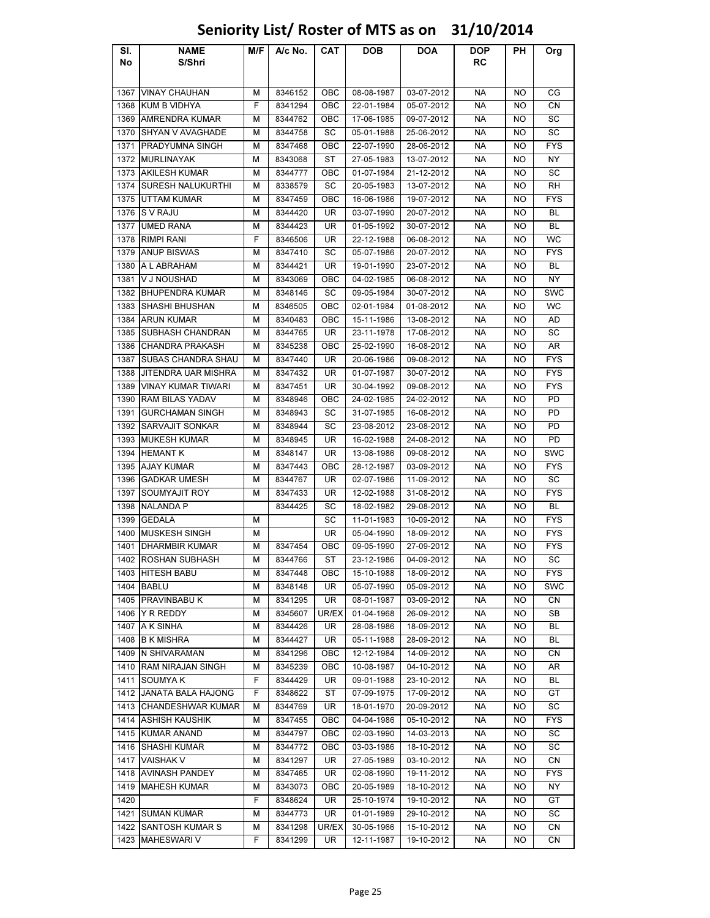### Sl. No NAME S/Shri M/F A/c No. CAT DOB DOA DOP RC PH Org 1367 VINAY CHAUHAN M | 8346152 | OBC 08-08-1987 | 03-07-2012 | NA NO CG 1368 KUM B VIDHYA F 8341294 OBC 22-01-1984 05-07-2012 NA NO CN 1369 AMRENDRA KUMAR | M | 8344762 | OBC | 17-06-1985 | 09-07-2012 | NA | NO | SC 1370 SHYAN V AVAGHADE M 8344758 SC 05-01-1988 25-06-2012 NA NO SC 1371 PRADYUMNA SINGH M 8347468 OBC 22-07-1990 28-06-2012 NA NO FYS 1372 MURLINAYAK | M 8343068 ST 27-05-1983 13-07-2012 | NA NO NY 1373 AKILESH KUMAR M AS344777 OBC 01-07-1984 21-12-2012 NA NO SC 1374 SURESH NALUKURTHI | M | 8338579 | SC | 20-05-1983 | 13-07-2012 | NA | NO | RH 1375 UTTAM KUMAR M | 8347459 | OBC | 16-06-1986 | 19-07-2012 | NA | NO | FYS 1376 S V RAJU M 8344420 UR 03-07-1990 20-07-2012 NA NO BL 1377 |UMED RANA | M | 8344423 | UR | 01-05-1992 | 30-07-2012 | NA | NO | BL 1378 RIMPI RANI F 8346506 UR 22-12-1988 06-08-2012 NA NO WC 1379 |ANUP BISWAS | M | 8347410 | SC | 05-07-1986 | 20-07-2012 | NA | NO | FYS 1380 A L ABRAHAM | M | 8344421 | UR | 19-01-1990 | 23-07-2012 | NA | NO | BL 1381 |V J NOUSHAD | M | 8343069 | OBC | 04-02-1985 | 06-08-2012 | NA | NO | NY 1382 BHUPENDRA KUMAR M | 8348146 SC 09-05-1984 30-07-2012 NA NO SWC 1383 SHASHI BHUSHAN M 8346505 OBC 02-01-1984 01-08-2012 NA NO WC 1384 |ARUN KUMAR | M | 8340483 | OBC | 15-11-1986 | 13-08-2012 | NA | NO | AD 1385 SUBHASH CHANDRAN | M | 8344765 | UR | 23-11-1978 | 17-08-2012 | NA | NO | SC 1386 CHANDRA PRAKASH M 8345238 OBC 25-02-1990 16-08-2012 NA NO AR 1387 SUBAS CHANDRA SHAU | M | 8347440 | UR | 20-06-1986 | 09-08-2012 | NA | NO | FYS 1388 JITENDRA UAR MISHRA | M | 8347432 | UR | 01-07-1987 | 30-07-2012 | NA | NO | FYS 1389 VINAY KUMAR TIWARI M A 8347451 UR 30-04-1992 09-08-2012 NA NO FYS 1390 RAM BILAS YADAV M 8348946 OBC 24-02-1985 24-02-2012 NA NO PD 1391 GURCHAMAN SINGH | M | 8348943 | SC | 31-07-1985 | 16-08-2012 | NA | NO | PD 1392 SARVAJIT SONKAR M 8348944 SC 23-08-2012 23-08-2012 NA NO PD 1393 MUKESH KUMAR M 8348945 | UR | 16-02-1988 | 24-08-2012 | NA NO | PD 1394 |HEMANT K | M | 8348147 | UR | 13-08-1986 | 09-08-2012 | NA | NO | SWC 1395 |AJAY KUMAR | M | 8347443 | OBC | 28-12-1987 | 03-09-2012 | NA | NO | FYS 1396 GADKAR UMESH M 8344767 | UR 02-07-1986 | 11-09-2012 | NA NO SC 1397 SOUMYAJIT ROY M 8347433 UR 12-02-1988 31-08-2012 NA NO FYS 1398 |NALANDA P | | 8344425 | SC | 18-02-1982 | 29-08-2012 | NA | NO | BL 1399 GEDALA M SC 11-01-1983 10-09-2012 NA NO FYS 1400 MUSKESH SINGH M UR 05-04-1990 18-09-2012 NA NO FYS 1401 DHARMBIR KUMAR M 8347454 OBC 09-05-1990 27-09-2012 NA NO FYS 1402 ROSHAN SUBHASH M 8344766 ST 23-12-1986 04-09-2012 NA NO SC 1403 |HITESH BABU | M | 8347448 | OBC | 15-10-1988 | 18-09-2012 | NA | NO | FYS 1404 |BABLU | M | 8348148 | UR | 05-07-1990 | 05-09-2012 | NA | NO | SWC 1405 PRAVINBABU K | M | 8341295 | UR | 08-01-1987 | 03-09-2012 | NA | NO | CN 1406 |Y R REDDY | M | 8345607 |UR/EX | 01-04-1968 | 26-09-2012 | NA | NO | SB 1407 |A K SINHA | M | 8344426 | UR | 28-08-1986 | 18-09-2012 | NA | NO | BL 1408 B K MISHRA M 8344427 UR 05-11-1988 28-09-2012 NA NO BL 1409 IN SHIVARAMAN M M 8341296 OBC 12-12-1984 14-09-2012 NA NO CN 1410 RAM NIRAJAN SINGH M 8345239 OBC 10-08-1987 04-10-2012 NA NO AR 1411 SOUMYA K F 8344429 UR 09-01-1988 23-10-2012 NA NO BL 1412 JANATA BALA HAJONG F F 8348622 ST 1 07-09-1975 1 17-09-2012 NA NO GT 1413 CHANDESHWAR KUMAR M 8344769 UR 18-01-1970 20-09-2012 NA NO SC 1414 ASHISH KAUSHIK M 8347455 OBC 04-04-1986 05-10-2012 NA NO FYS 1415 KUMAR ANAND M 8344797 | OBC | 02-03-1990 | 14-03-2013 | NA NO | SC 1416 SHASHI KUMAR M 8344772 | OBC | 03-03-1986 | 18-10-2012 | NA | NO | SC 1417 |VAISHAK V | M | 8341297 | UR | 27-05-1989 | 03-10-2012 | NA | NO | CN 1418 AVINASH PANDEY M 8347465 UR 02-08-1990 19-11-2012 NA NO FYS 1419 MAHESH KUMAR M 8343073 | OBC | 20-05-1989 | 18-10-2012 | NA NO NY 1420 F 8348624 UR 25-10-1974 19-10-2012 NA NO GT 1421 SUMAN KUMAR M | M | 8344773 | UR | 01-01-1989 | 29-10-2012 | NA | NO | SC 1422 SANTOSH KUMAR S M M 8341298 UR/EX 30-05-1966 15-10-2012 NA NO CN

## Seniority List/ Roster of MTS as on 31/10/2014

1423 MAHESWARI V F 8341299 UR 12-11-1987 19-10-2012 NA NO CN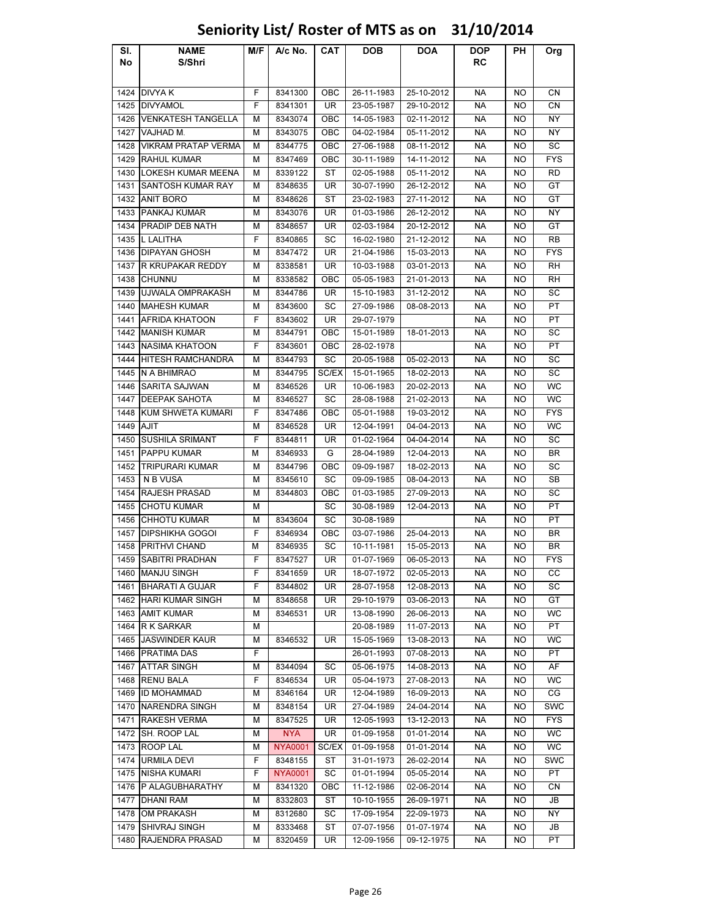### Sl. No NAME S/Shri M/F | A/c No. | CAT | DOB | DOA | DOP RC PH Org 1424 DIVYA K F 8341300 OBC 26-11-1983 25-10-2012 NA NO CN 1425 DIVYAMOL F 8341301 UR 23-05-1987 29-10-2012 NA NO CN 1426 VENKATESH TANGELLA | M | 8343074 | OBC | 14-05-1983 | 02-11-2012 | NA | NO | NY 1427 |VAJHAD M. | M | 8343075 | OBC | 04-02-1984 | 05-11-2012 | NA | NO | NY 1428 VIKRAM PRATAP VERMA M 8344775 OBC 27-06-1988 08-11-2012 NA NO SC 1429 RAHUL KUMAR NAM | M | 8347469 | OBC | 30-11-1989 | 14-11-2012 | NA | NO | FYS 1430 LOKESH KUMAR MEENA M 8339122 ST 02-05-1988 05-11-2012 NA NO RD 1431 SANTOSH KUMAR RAY | M | 8348635 | UR | 30-07-1990 | 26-12-2012 | NA | NO | GT 1432 |ANIT BORO | M | 8348626 | ST | 23-02-1983 | 27-11-2012 | NA | NO | GT 1433 PANKAJ KUMAR M | 8343076 | UR | 01-03-1986 | 26-12-2012 | NA | NO | NY 1434 | PRADIP DEB NATH | M | 8348657 | UR | 02-03-1984 | 20-12-2012 | NA | NO | GT 1435 L LALITHA F 8340865 SC 16-02-1980 21-12-2012 NA NO RB 1436 DIPAYAN GHOSH M 8347472 UR 21-04-1986 15-03-2013 NA NO FYS 1437 R KRUPAKAR REDDY | M | 8338581 | UR | 10-03-1988 | 03-01-2013 | NA | NO | RH 1438 |CHUNNU | M | 8338582 | OBC | 05-05-1983 | 21-01-2013 | NA | NO | RH 1439 UJWALA OMPRAKASH | M | 8344786 | UR | 15-10-1983 | 31-12-2012 | NA | NO | SC 1440 MAHESH KUMAR M 8343600 SC 27-09-1986 08-08-2013 NA NO PT 1441 AFRIDA KHATOON F 8343602 LUR 29-07-1979 NA NO PT 1442 MANISH KUMAR M 8344791 OBC 15-01-1989 18-01-2013 NA NO SC 1443 NASIMA KHATOON F 8343601 | OBC | 28-02-1978 | NA NO | PT 1444 HITESH RAMCHANDRA | M | 8344793 | SC | 20-05-1988 | 05-02-2013 | NA | NO | SC 1445 N A BHIMRAO M | M | 8344795 SC/EX | 15-01-1965 | 18-02-2013 | NA | NO | SC 1446 SARITA SAJWAN MIRIB 346526 UR 10-06-1983 20-02-2013 NA NO WC 1447 DEEPAK SAHOTA M 8346527 SC 28-08-1988 21-02-2013 NA NO WC 1448 KUM SHWETA KUMARI | F | 8347486 | OBC | 05-01-1988 | 19-03-2012 | NA | NO | FYS 1449 |AJIT | M | 8346528 | UR | 12-04-1991 | 04-04-2013 | NA | NO | WC 1450 SUSHILA SRIMANT | F 8344811 | UR | 01-02-1964 | 04-04-2014 | NA | NO | SC 1451 PAPPU KUMAR M | 8346933 G 28-04-1989 | 12-04-2013 | NA NO | BR 1452 TRIPURARI KUMAR M | 8344796 | OBC | 09-09-1987 | 18-02-2013 | NA NO SC 1453 N B VUSA M 8345610 SC 09-09-1985 08-04-2013 NA NO SB 1454 RAJESH PRASAD | M | 8344803 | OBC | 01-03-1985 | 27-09-2013 | NA | NO | SC 1455 CHOTU KUMAR M M N SC 30-08-1989 12-04-2013 NA NO PT 1456 CHHOTU KUMAR M 8343604 SC 30-08-1989 NA NO PT 1457 DIPSHIKHA GOGOI F | 8346934 | OBC | 03-07-1986 | 25-04-2013 | NA | NO | BR 1458 PRITHVI CHAND 8346935 L SC 10-11-1981 L 15-05-2013 L NA L NO L BR 1459 SABITRI PRADHAN F 8347527 | UR | 01-07-1969 | 06-05-2013 | NA | NO | FYS 1460 MANJU SINGH F 8341659 UR 18-07-1972 02-05-2013 NA NO CC 1461 BHARATI A GUJAR | F | 8344802 | UR | 28-07-1958 | 12-08-2013 | NA | NO | SC 1462 HARI KUMAR SINGH | M | 8348658 | UR | 29-10-1979 | 03-06-2013 | NA | NO | GT 1463 |AMIT KUMAR | M | 8346531 | UR | 13-08-1990 | 26-06-2013 | NA | NO | WC 1464 R K SARKAR M 20-08-1989 11-07-2013 NA NO PT 1465 JASWINDER KAUR M 8346532 UR 15-05-1969 13-08-2013 NA NO WC 1466 PRATIMA DAS F F F 26-01-1993 07-08-2013 PNA NO PT 1467 ATTAR SINGH M 8344094 SC 05-06-1975 14-08-2013 NA NO AF 1468 RENU BALA | F | 8346534 | UR | 05-04-1973 | 27-08-2013 | NA | NO | WC 1469 ID MOHAMMAD M 8346164 UR 12-04-1989 16-09-2013 NA NO CG 1470 NARENDRA SINGH M 8348154 UR 27-04-1989 24-04-2014 NA NO SWC 1471 RAKESH VERMA M 8347525 UR 12-05-1993 13-12-2013 NA NO FYS 1472 SH. ROOP LAL  $\begin{array}{|c|c|c|c|c|c|}\n\hline\nM & NYA & UR & 01-09-1958 & 01-01-2014 & NA & NO & WC\n\end{array}$ 1473 |ROOP LAL | M | NYA0001 |SC/EX| 01-09-1958 | 01-01-2014 | NA | NO | WC 1474 URMILA DEVI F 8348155 ST 31-01-1973 26-02-2014 NA NO SWC 1475 NISHA KUMARI F NYA0001 SC 01-01-1994 05-05-2014 NA NO PT 1476 P ALAGUBHARATHY | M | 8341320 | OBC | 11-12-1986 | 02-06-2014 | NA | NO | CN 1477 |DHANI RAM | M | 8332803 | ST | 10-10-1955 | 26-09-1971 | NA | NO | JB 1478 OM PRAKASH M 8312680 SC 17-09-1954 22-09-1973 NA NO NY 1479 SHIVRAJ SINGH M 8333468 ST 07-07-1956 01-07-1974 NA NO JB 1480 RAJENDRA PRASAD | M | 8320459 | UR | 12-09-1956 | 09-12-1975 | NA | NO | PT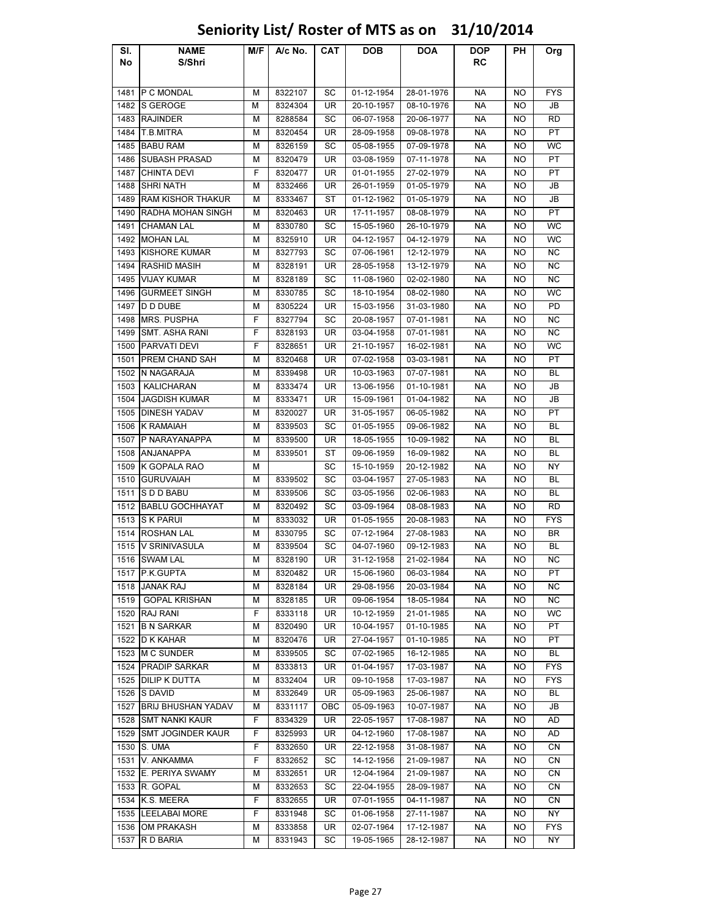### Sl. No NAME S/Shri M/F A/c No. CAT DOB DOA DOP RC PH Org 1481 |P C MONDAL | M | 8322107 | SC | 01-12-1954 | 28-01-1976 | NA | NO | FYS 1482 S GEROGE M 8324304 UR 20-10-1957 08-10-1976 NA NO JB 1483 RAJINDER M 8288584 SC 06-07-1958 20-06-1977 NA NO RD 1484 T.B.MITRA M 8320454 UR 28-09-1958 09-08-1978 NA NO PT 1485 |BABU RAM | M | 8326159 | SC | 05-08-1955 | 07-09-1978 | NA | NO | WC 1486 SUBASH PRASAD M 8320479 UR 03-08-1959 07-11-1978 NA NO PT 1487 |CHINTA DEVI | F | 8320477 | UR | 01-01-1955 | 27-02-1979 | NA | NO | PT 1488 SHRI NATH | M | 8332466 | UR | 26-01-1959 | 01-05-1979 | NA | NO | JB 1489 RAM KISHOR THAKUR | M | 8333467 | ST | 01-12-1962 | 01-05-1979 | NA | NO | JB 1490 RADHA MOHAN SINGH | M | 8320463 | UR | 17-11-1957 | 08-08-1979 | NA | NO | PT 1491 |CHAMAN LAL | M | 8330780 | SC | 15-05-1960 | 26-10-1979 | NA | NO | WC 1492 |MOHAN LAL | M | 8325910 | UR | 04-12-1957 | 04-12-1979 | NA | NO | WC 1493 KISHORE KUMAR M | 8327793 SC 07-06-1961 12-12-1979 | NA NO NC 1494 RASHID MASIH M 8328191 UR 28-05-1958 13-12-1979 NA NO NC 1495 |VIJAY KUMAR | M | 8328189 | SC | 11-08-1960 | 02-02-1980 | NA | NO | NC 1496 GURMEET SINGH M 8330785 SC 18-10-1954 08-02-1980 NA NO WC 1497 |D D DUBE | M | 8305224 | UR | 15-03-1956 | 31-03-1980 | NA | NO | PD 1498 MRS. PUSPHA F 8327794 SC 20-08-1957 07-01-1981 NA NO NC 1499 SMT. ASHA RANI | F 8328193 | UR | 03-04-1958 | 07-01-1981 | NA | NO | NC 1500 PARVATI DEVI | F | 8328651 | UR | 21-10-1957 | 16-02-1981 | NA | NO | WC 1501 PREM CHAND SAH M 8320468 | UR 07-02-1958 | 03-03-1981 | NA NO PT 1502 N NAGARAJA M | 8339498 | UR | 10-03-1963 | 07-07-1981 | NA | NO | BL 1503 | KALICHARAN | M | 8333474 | UR | 13-06-1956 | 01-10-1981 | NA | NO | JB 1504 JAGDISH KUMAR M 8333471 UR 15-09-1961 01-04-1982 NA NO JB 1505 DINESH YADAV M 8320027 UR 31-05-1957 06-05-1982 NA NO PT 1506 K RAMAIAH M 8339503 SC 01-05-1955 09-06-1982 NA NO BL 1507 P NARAYANAPPA M 8339500 UR 18-05-1955 10-09-1982 NA NO BL 1508 ANJANAPPA M 8339501 ST 09-06-1959 16-09-1982 NA NO BL 1509 K GOPALA RAO M M SC 15-10-1959 20-12-1982 NA NO NY 1510 GURUVAIAH M 8339502 SC 03-04-1957 27-05-1983 NA NO BL 1511 S D D BABU | M | 8339506 | SC | 03-05-1956 | 02-06-1983 | NA | NO | BL 1512 BABLU GOCHHAYAT M 8320492 SC 03-09-1964 08-08-1983 NA NO RD 1513 S K PARUI M 8333032 UR 01-05-1955 20-08-1983 NA NO FYS 1514 |ROSHAN LAL | M | 8330795 | SC | 07-12-1964 | 27-08-1983 | NA | NO | BR 1515 |V SRINIVASULA | M | 8339504 | SC | 04-07-1960 | 09-12-1983 | NA | NO | BL 1516 SWAM LAL | M | 8328190 | UR | 31-12-1958 | 21-02-1984 | NA | NO | NC 1517 P.K.GUPTA M 8320482 UR 15-06-1960 06-03-1984 NA NO PT 1518 JANAK RAJ | M | 8328184 | UR | 29-08-1956 | 20-03-1984 | NA | NO | NC 1519 GOPAL KRISHAN M 8328185 | UR 09-06-1954 | 18-05-1984 | NA | NO | NC 1520 RAJ RANI F 8333118 UR 10-12-1959 21-01-1985 NA NO WC 1521 |B N SARKAR | M | 8320490 | UR | 10-04-1957 | 01-10-1985 | NA | NO | PT 1522 D K KAHAR M 8320476 UR 27-04-1957 01-10-1985 NA NO PT 1523 M C SUNDER M 8339505 SC 07-02-1965 16-12-1985 NA NO BL 1524 PRADIP SARKAR M | 8333813 | UR | 01-04-1957 | 17-03-1987 | NA | NO | FYS 1525 |DILIP K DUTTA | M | 8332404 | UR | 09-10-1958 | 17-03-1987 | NA | NO | FYS 1526 S DAVID | M | 8332649 | UR | 05-09-1963 | 25-06-1987 | NA | NO | BL 1527 BRIJ BHUSHAN YADAV M 8331117 OBC 05-09-1963 10-07-1987 NA NO JB 1528 SMT NANKI KAUR F 8334329 UR 22-05-1957 17-08-1987 NA NO AD 1529 SMT JOGINDER KAUR | F | 8325993 | UR | 04-12-1960 | 17-08-1987 | NA | NO | AD 1530 S. UMA | F | 8332650 | UR | 22-12-1958 | 31-08-1987 | NA | NO | CN 1531 V. ANKAMMA F 8332652 SC 14-12-1956 21-09-1987 NA NO CN 1532 E. PERIYA SWAMY | M | 8332651 | UR | 12-04-1964 | 21-09-1987 | NA | NO | CN 1533 |R. GOPAL | M | 8332653 | SC | 22-04-1955 | 28-09-1987 | NA | NO | CN 1534 K.S. MEERA F 8332655 UR 07-01-1955 04-11-1987 NA NO CN 1535 LEELABAI MORE F | 8331948 | SC | 01-06-1958 | 27-11-1987 | NA | NO | NY 1536 OM PRAKASH M 8333858 UR 02-07-1964 17-12-1987 NA NO FYS 1537 |R D BARIA | M | 8331943 | SC | 19-05-1965 | 28-12-1987 | NA | NO | NY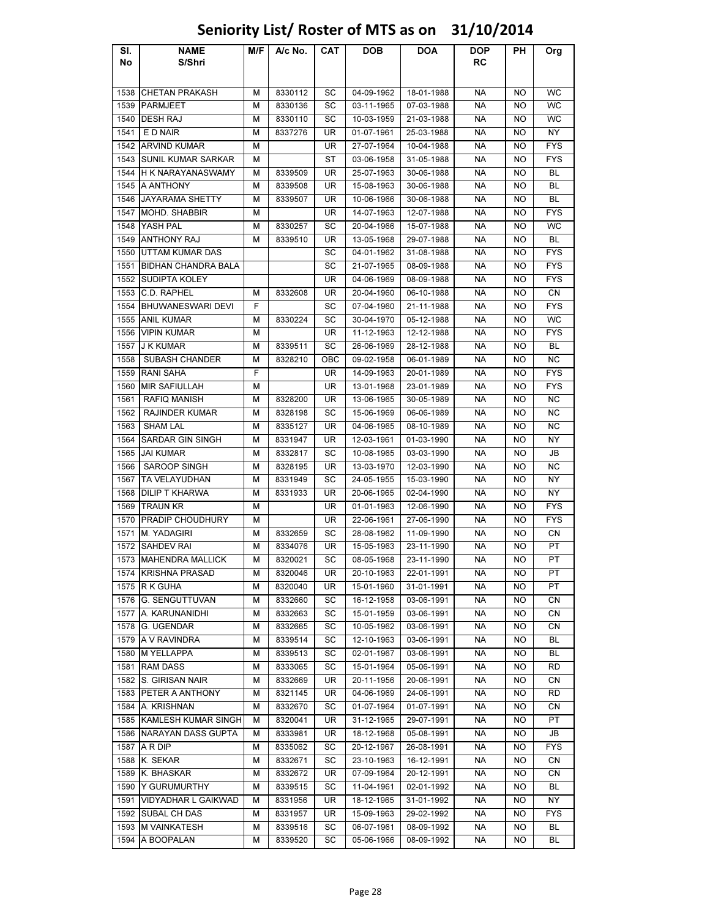### Sl. No NAME S/Shri M/F | A/c No. | CAT | DOB | DOA | DOP RC PH Org 1538 CHETAN PRAKASH M 8330112 SC 04-09-1962 18-01-1988 NA NO WC 1539 |PARMJEET | M | 8330136 | SC | 03-11-1965 | 07-03-1988 | NA | NO | WC 1540 |DESH RAJ | M | 8330110 | SC | 10-03-1959 | 21-03-1988 | NA | NO | WC 1541 | E D NAIR | M | 8337276 | UR | 01-07-1961 | 25-03-1988 | NA | NO | NY 1542 ARVIND KUMAR M M UR 27-07-1964 10-04-1988 NA NO FYS 1543 SUNIL KUMAR SARKAR M ST 35 - ST 03-06-1958 31-05-1988 NA NO FYS 1544 H K NARAYANASWAMY M 8339509 UR 25-07-1963 30-06-1988 NA NO BL 1545 A ANTHONY M 8339508 UR 15-08-1963 30-06-1988 NA NO BL 1546 JAYARAMA SHETTY | M | 8339507 | UR | 10-06-1966 | 30-06-1988 | NA | NO | BL 1547 MOHD. SHABBIR M | UR | 14-07-1963 | 12-07-1988 | NA | NO | FYS 1548 |YASH PAL | M | 8330257 | SC | 20-04-1966 | 15-07-1988 | NA | NO | WC 1549 |ANTHONY RAJ | M | 8339510 | UR | 13-05-1968 | 29-07-1988 | NA | NO | BL 1550 UTTAM KUMAR DAS SC 04-01-1962 31-08-1988 NA NO FYS 1551 BIDHAN CHANDRA BALA SC 21-07-1965 08-09-1988 NA NO FYS 1552 SUDIPTA KOLEY UR 04-06-1969 08-09-1988 NA NO FYS 1553 C.D. RAPHEL M 8332608 UR 20-04-1960 06-10-1988 NA NO CN 1554 BHUWANESWARI DEVI F SC 07-04-1960 21-11-1988 NA NO FYS 1555 |ANIL KUMAR | M | 8330224 | SC | 30-04-1970 | 05-12-1988 | NA | NO | WC 1556 VIPIN KUMAR M UR 11-12-1963 12-12-1988 NA NO FYS 1557 |J K KUMAR | M | 8339511 | SC | 26-06-1969 | 28-12-1988 | NA | NO | BL 1558 SUBASH CHANDER M 8328210 OBC 09-02-1958 06-01-1989 NA NO NC 1559 RANI SAHA F UR 14-09-1963 20-01-1989 NA NO FYS 1560 MIR SAFIULLAH M UR 13-01-1968 23-01-1989 NA NO FYS 1561 RAFIQ MANISH M 8328200 UR 13-06-1965 30-05-1989 NA NO NC 1562 RAJINDER KUMAR M 8328198 SC 15-06-1969 06-06-1989 NA NO NC 1563 SHAM LAL M 8335127 UR 04-06-1965 08-10-1989 NA NO NC 1564 SARDAR GIN SINGH | M | 8331947 | UR | 12-03-1961 | 01-03-1990 | NA | NO | NY 1565 JAI KUMAR M 8332817 SC 10-08-1965 03-03-1990 NA NO JB 1566 SAROOP SINGH M 8328195 UR 13-03-1970 12-03-1990 NA NO NC 1567 TA VELAYUDHAN M 8331949 SC 24-05-1955 15-03-1990 NA NO NY 1568 DILIP T KHARWA | M | 8331933 | UR | 20-06-1965 | 02-04-1990 | NA | NO | NY 1569 TRAUN KR M UR 01-01-1963 12-06-1990 NA NO FYS 1570 PRADIP CHOUDHURY M | UR 22-06-1961 27-06-1990 | NA NO | FYS 1571 |M. YADAGIRI | M | 8332659 | SC | 28-08-1962 | 11-09-1990 | NA | NO | CN 1572 |SAHDEV RAI | M | 8334076 | UR | 15-05-1963 | 23-11-1990 | NA | NO | PT 1573 MAHENDRA MALLICK | M | 8320021 | SC | 08-05-1968 | 23-11-1990 | NA | NO | PT 1574 KRISHNA PRASAD M 8320046 UR 20-10-1963 22-01-1991 NA NO PT 1575 R K GUHA M | 8320040 | UR | 15-01-1960 | 31-01-1991 | NA | NO | PT 1576 G. SENGUTTUVAN | M 8332660 SC 16-12-1958 03-06-1991 | NA NO CN 1577 A. KARUNANIDHI M 8332663 SC 15-01-1959 03-06-1991 NA NO CN 1578 G. UGENDAR M 8332665 SC 10-05-1962 03-06-1991 NA NO CN 1579 A V RAVINDRA M | M | 8339514 | SC | 12-10-1963 | 03-06-1991 | NA | NO | BL 1580 M YELLAPPA I M I 8339513 I SC I 02-01-1967 I 03-06-1991 I NA I NO I BL 1581 |RAM DASS | M | 8333065 | SC | 15-01-1964 | 05-06-1991 | NA | NO | RD 1582 S. GIRISAN NAIR M. I & 8332669 | UR 20-11-1956 | 20-06-1991 | NA NO CN 1583 PETER A ANTHONY H M 8321145 UR 04-06-1969 24-06-1991 NA NO RD 1584 A. KRISHNAN M 8332670 SC 01-07-1964 01-07-1991 NA NO CN 1585 KAMLESH KUMAR SINGH M 8320041 UR 31-12-1965 29-07-1991 NA NO PT 1586 NARAYAN DASS GUPTA M 8333981 UR 18-12-1968 05-08-1991 NA NO JB 1587 A R DIP M 8335062 SC 20-12-1967 26-08-1991 NA NO FYS 1588 |K. SEKAR | M | 8332671 | SC | 23-10-1963 | 16-12-1991 | NA | NO | CN 1589 |K. BHASKAR | M | 8332672 | UR | 07-09-1964 | 20-12-1991 | NA | NO | CN 1590 Y GURUMURTHY M 8339515 SC 11-04-1961 02-01-1992 NA NO BL 1591 VIDYADHAR L GAIKWAD | M | 8331956 | UR | 18-12-1965 | 31-01-1992 | NA | NO | NY 1592 SUBAL CH DAS M 8331957 UR 15-09-1963 29-02-1992 NA NO FYS 1593 M VAINKATESH M 8339516 SC 06-07-1961 08-09-1992 NA NO BL 1594 |A BOOPALAN | M | 8339520 | SC | 05-06-1966 | 08-09-1992 | NA | NO | BL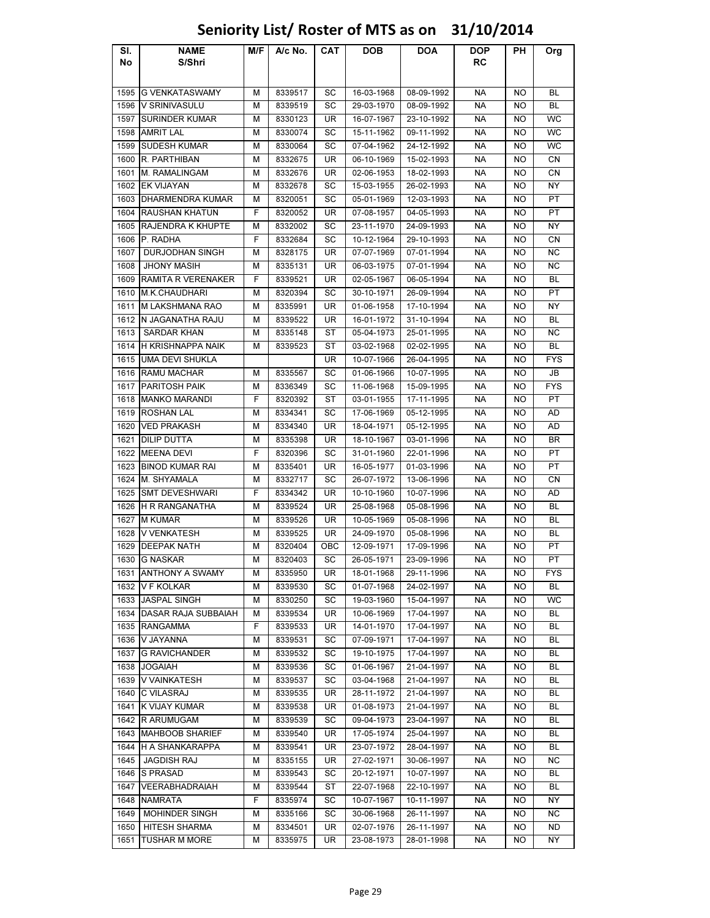| SI.  | <b>NAME</b>            | M/F | A/c No. | CAT       | <b>DOB</b> | DOA        | <b>DOP</b> | PН        | Org        |
|------|------------------------|-----|---------|-----------|------------|------------|------------|-----------|------------|
| No   | S/Shri                 |     |         |           |            |            | RC         |           |            |
|      |                        |     |         |           |            |            |            |           |            |
| 1595 | <b>G VENKATASWAMY</b>  | м   | 8339517 | SC        | 16-03-1968 | 08-09-1992 | NА         | NO.       | ВL         |
| 1596 | V SRINIVASULU          | М   | 8339519 | SC        | 29-03-1970 | 08-09-1992 | <b>NA</b>  | NO        | BL         |
| 1597 | <b>SURINDER KUMAR</b>  | М   | 8330123 | UR        | 16-07-1967 | 23-10-1992 | NA         | NO        | <b>WC</b>  |
| 1598 | <b>AMRIT LAL</b>       | М   | 8330074 | SC        | 15-11-1962 | 09-11-1992 | NА         | NO        | WC         |
| 1599 | <b>SUDESH KUMAR</b>    |     | 8330064 | SC        |            | 24-12-1992 | <b>NA</b>  |           | WC         |
|      | R. PARTHIBAN           | М   |         |           | 07-04-1962 |            |            | NO        |            |
| 1600 |                        | м   | 8332675 | UR        | 06-10-1969 | 15-02-1993 | NA         | NO        | CΝ         |
| 1601 | M. RAMALINGAM          | м   | 8332676 | UR        | 02-06-1953 | 18-02-1993 | NА         | NO        | СN         |
| 1602 | <b>EK VIJAYAN</b>      | М   | 8332678 | SC        | 15-03-1955 | 26-02-1993 | NА         | NO        | <b>NY</b>  |
| 1603 | DHARMENDRA KUMAR       | М   | 8320051 | SC        | 05-01-1969 | 12-03-1993 | NА         | NO        | PT         |
| 1604 | <b>RAUSHAN KHATUN</b>  | F   | 8320052 | UR        | 07-08-1957 | 04-05-1993 | NА         | NO        | PT         |
| 1605 | RAJENDRA K KHUPTE      | M   | 8332002 | SC        | 23-11-1970 | 24-09-1993 | NА         | NO        | NY         |
| 1606 | P. RADHA               | F   | 8332684 | SC        | 10-12-1964 | 29-10-1993 | NА         | NO        | CΝ         |
| 1607 | DURJODHAN SINGH        | М   | 8328175 | UR        | 07-07-1969 | 07-01-1994 | ΝA         | NO        | NC         |
| 1608 | <b>JHONY MASIH</b>     | М   | 8335131 | UR        | 06-03-1975 | 07-01-1994 | <b>NA</b>  | NO        | <b>NC</b>  |
| 1609 | RAMITA R VERENAKER     | F   | 8339521 | UR        | 02-05-1967 | 06-05-1994 | NА         | NO        | ВL         |
| 1610 | M.K.CHAUDHARI          | М   | 8320394 | SC        | 30-10-1971 | 26-09-1994 | NА         | NO        | PT         |
| 1611 | M LAKSHMANA RAO        | М   | 8335991 | UR        | 01-06-1958 | 17-10-1994 | NA         | NO        | NΥ         |
| 1612 | N JAGANATHA RAJU       | м   | 8339522 | UR        | 16-01-1972 | 31-10-1994 | NА         | NO        | BL         |
| 1613 | <b>SARDAR KHAN</b>     | М   | 8335148 | ST        | 05-04-1973 | 25-01-1995 | NА         | NO        | ΝC         |
| 1614 | H KRISHNAPPA NAIK      | м   | 8339523 | ST        | 03-02-1968 | 02-02-1995 | NА         | NO        | BL         |
| 1615 | <b>UMA DEVI SHUKLA</b> |     |         | UR        | 10-07-1966 | 26-04-1995 | <b>NA</b>  | NO        | <b>FYS</b> |
| 1616 | <b>RAMU MACHAR</b>     | M   | 8335567 | SC        | 01-06-1966 | 10-07-1995 | NА         | NO        | JB         |
| 1617 | <b>PARITOSH PAIK</b>   | М   | 8336349 | SC        | 11-06-1968 | 15-09-1995 | NА         | NO        | <b>FYS</b> |
| 1618 | <b>MANKO MARANDI</b>   | F   | 8320392 | ST        | 03-01-1955 | 17-11-1995 | NА         | NO        | PT         |
| 1619 | <b>ROSHAN LAL</b>      | M   | 8334341 | SC        | 17-06-1969 | 05-12-1995 | NA         | NO        | AD         |
| 1620 | <b>VED PRAKASH</b>     | М   | 8334340 | UR        | 18-04-1971 | 05-12-1995 | NА         | NO        | AD         |
| 1621 | <b>DILIP DUTTA</b>     | M   | 8335398 | <b>UR</b> | 18-10-1967 | 03-01-1996 | <b>NA</b>  | NO        | BR         |
| 1622 | <b>MEENA DEVI</b>      | F   | 8320396 | SC        | 31-01-1960 | 22-01-1996 | NA         | NO        | PT         |
| 1623 | <b>BINOD KUMAR RAI</b> | M   | 8335401 | UR        | 16-05-1977 | 01-03-1996 | NА         | NO        | PT         |
| 1624 | M. SHYAMALA            | М   | 8332717 | SC        | 26-07-1972 | 13-06-1996 | <b>NA</b>  | NO        | CN         |
| 1625 | <b>SMT DEVESHWARI</b>  | F   | 8334342 | UR        | 10-10-1960 | 10-07-1996 | NA         | NO        | AD         |
|      | <b>H R RANGANATHA</b>  | м   | 8339524 | UR        | 25-08-1968 | 05-08-1996 | NА         |           | ВL         |
| 1626 | <b>M KUMAR</b>         |     |         | <b>UR</b> |            |            | <b>NA</b>  | NO        | ВL         |
| 1627 |                        | М   | 8339526 |           | 10-05-1969 | 05-08-1996 |            | NO        |            |
| 1628 | <b>V VENKATESH</b>     | М   | 8339525 | UR        | 24-09-1970 | 05-08-1996 | NА         | NO        | BL         |
| 1629 | <b>DEEPAK NATH</b>     | М   | 8320404 | OBC       | 12-09-1971 | 17-09-1996 | NА         | NO        | PT         |
|      | 1630 G NASKAR          | M   | 8320403 | SC        | 26-05-1971 | 23-09-1996 | NΑ         | <b>NO</b> | PT         |
| 1631 | <b>ANTHONY A SWAMY</b> | М   | 8335950 | UR        | 18-01-1968 | 29-11-1996 | NА         | NO        | <b>FYS</b> |
| 1632 | V F KOLKAR             | М   | 8339530 | SC        | 01-07-1968 | 24-02-1997 | NА         | NO        | BL         |
| 1633 | <b>JASPAL SINGH</b>    | м   | 8330250 | SC        | 19-03-1960 | 15-04-1997 | NА         | NO        | <b>WC</b>  |
| 1634 | DASAR RAJA SUBBAIAH    | М   | 8339534 | UR        | 10-06-1969 | 17-04-1997 | NА         | ΝO        | BL         |
| 1635 | <b>RANGAMMA</b>        | F   | 8339533 | UR        | 14-01-1970 | 17-04-1997 | NА         | NO        | BL         |
| 1636 | V JAYANNA              | М   | 8339531 | SC        | 07-09-1971 | 17-04-1997 | NА         | NO        | BL         |
| 1637 | <b>G RAVICHANDER</b>   | м   | 8339532 | SC        | 19-10-1975 | 17-04-1997 | NА         | NO        | BL         |
| 1638 | <b>JOGAIAH</b>         | М   | 8339536 | SC        | 01-06-1967 | 21-04-1997 | NА         | NO        | BL         |
| 1639 | V VAINKATESH           | М   | 8339537 | SC        | 03-04-1968 | 21-04-1997 | NA         | NO.       | BL         |
| 1640 | <b>C VILASRAJ</b>      | м   | 8339535 | UR        | 28-11-1972 | 21-04-1997 | NА         | NO        | BL         |
| 1641 | K VIJAY KUMAR          | М   | 8339538 | UR        | 01-08-1973 | 21-04-1997 | <b>NA</b>  | NO        | BL         |
| 1642 | <b>R ARUMUGAM</b>      | М   | 8339539 | SC        | 09-04-1973 | 23-04-1997 | NА         | NO        | BL         |
| 1643 | <b>MAHBOOB SHARIEF</b> | М   | 8339540 | UR        | 17-05-1974 | 25-04-1997 | NА         | NO        | BL         |
| 1644 | H A SHANKARAPPA        | М   | 8339541 | UR        | 23-07-1972 | 28-04-1997 | NА         | NO        | BL         |
| 1645 | <b>JAGDISH RAJ</b>     | М   | 8335155 | UR        | 27-02-1971 | 30-06-1997 | NА         | NO        | ΝC         |
| 1646 | S PRASAD               | м   | 8339543 | SC        | 20-12-1971 | 10-07-1997 | NA         | NO        | BL         |
| 1647 | VEERABHADRAIAH         | М   | 8339544 | ST        | 22-07-1968 | 22-10-1997 | NА         | NO.       | BL         |
| 1648 | NAMRATA                | F   | 8335974 | SC        | 10-07-1967 | 10-11-1997 | NA         | NO        | ΝY         |
| 1649 | MOHINDER SINGH         | М   | 8335166 | SC        | 30-06-1968 | 26-11-1997 | NА         | NO        | NC         |
| 1650 | HITESH SHARMA          | м   | 8334501 | UR        | 02-07-1976 | 26-11-1997 | NА         | NO.       | ND         |
| 1651 | <b>TUSHAR M MORE</b>   | М   | 8335975 | UR        | 23-08-1973 | 28-01-1998 | NА         | NO.       | NΥ         |
|      |                        |     |         |           |            |            |            |           |            |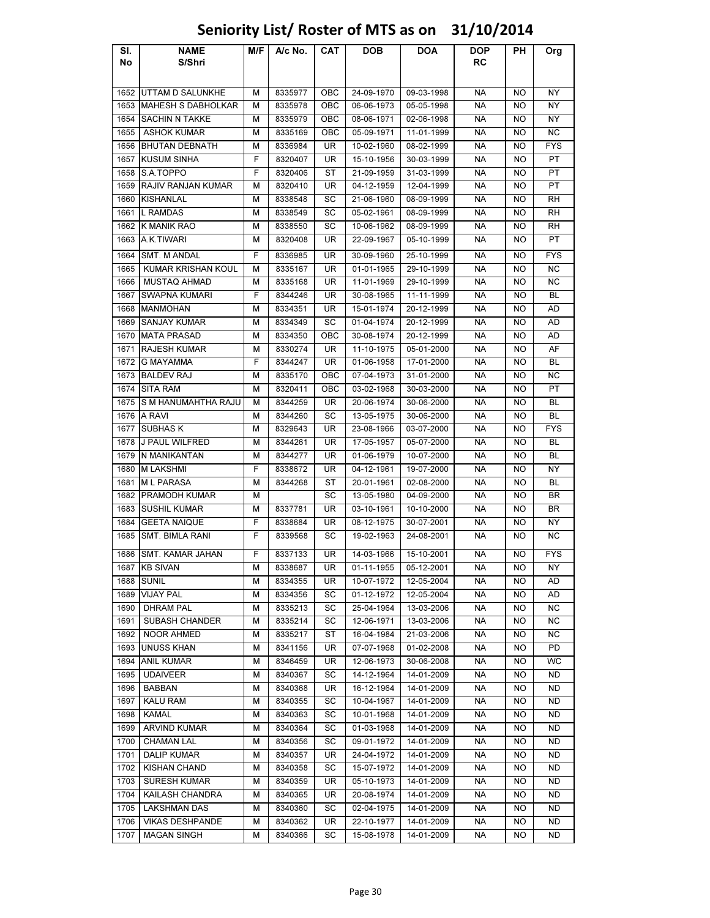### Sl. No NAME S/Shri M/F A/c No. CAT DOB DOA DOP RC PH Org 1652 UTTAM D SALUNKHE M 8335977 OBC 24-09-1970 09-03-1998 NA NO NY 1653 MAHESH S DABHOLKAR N N 8335978 OBC 06-06-1973 05-05-1998 NA NO NY 1654 SACHIN N TAKKE M 8335979 OBC 08-06-1971 02-06-1998 NA NO NY 1655 ASHOK KUMAR M 8335169 OBC 05-09-1971 11-01-1999 NA NO NC 1656 BHUTAN DEBNATH M 8336984 UR 10-02-1960 08-02-1999 NA NO FYS 1657 KUSUM SINHA F 8320407 UR 15-10-1956 30-03-1999 NA NO PT 1658 S.A.TOPPO | F | 8320406 | ST | 21-09-1959 | 31-03-1999 | NA | NO | PT 1659 RAJIV RANJAN KUMAR M 8320410 UR 04-12-1959 12-04-1999 NA NO PT 1660 |KISHANLAL | M | 8338548 | SC | 21-06-1960 | 08-09-1999 | NA | NO | RH 1661 |L RAMDAS | M | 8338549 | SC | 05-02-1961 | 08-09-1999 | NA | NO | RH 1662 K MANIK RAO | M | 8338550 | SC | 10-06-1962 | 08-09-1999 | NA | NO | RH 1663 |A.K.TIWARI | M | 8320408 | UR | 22-09-1967 | 05-10-1999 | NA | NO | PT 1664 SMT. M ANDAL | F | 8336985 | UR | 30-09-1960 | 25-10-1999 | NA | NO | FYS 1665 KUMAR KRISHAN KOUL | M | 8335167 | UR | 01-01-1965 | 29-10-1999 | NA | NO | NC 1666 MUSTAQ AHMAD M 8335168 UR 11-01-1969 29-10-1999 NA NO NC 1667 SWAPNA KUMARI F 8344246 UR 30-08-1965 11-11-1999 NA NO BL 1668 |MANMOHAN | M | 8334351 | UR | 15-01-1974 | 20-12-1999 | NA | NO | AD 1669 SANJAY KUMAR HIMI 8334349 ISC 01-04-1974 | 20-12-1999 INA NO LAD 1670 |MATA PRASAD | M | 8334350 | OBC | 30-08-1974 | 20-12-1999 | NA | NO | AD 1671 RAJESH KUMAR M | 8330274 UR | 11-10-1975 | 05-01-2000 NA NO | AF 1672 G MAYAMMA F 8344247 UR 01-06-1958 17-01-2000 NA NO BL 1673 BALDEV RAJ M 8335170 | OBC | 07-04-1973 | 31-01-2000 | NA NO | NC 1674 SITA RAM | M | 8320411 | OBC | 03-02-1968 | 30-03-2000 | NA | NO | PT 1675 S M HANUMAHTHA RAJU M 8344259 UR 20-06-1974 30-06-2000 NA NO BL 1676 A RAVI M 8344260 SC 13-05-1975 30-06-2000 NA NO BL 1677 |SUBHAS K | M | 8329643 | UR | 23-08-1966 | 03-07-2000 | NA | NO | FYS 1678 J PAUL WILFRED M 8344261 UR 17-05-1957 05-07-2000 NA NO BL 1679 |N MANIKANTAN | M | 8344277 | UR | 01-06-1979 | 10-07-2000 | NA | NO | BL 1680 M LAKSHMI F 8338672 UR 04-12-1961 19-07-2000 NA NO NY 1681 |M L PARASA | M | 8344268 | ST | 20-01-1961 | 02-08-2000 | NA | NO | BL 1682 PRAMODH KUMAR M M SC 13-05-1980 04-09-2000 NA NO BR 1683 |SUSHIL KUMAR | M | 8337781 | UR | 03-10-1961 | 10-10-2000 | NA | NO | BR 1684 GEETA NAIQUE | F 8338684 | UR | 08-12-1975 | 30-07-2001 | NA | NO | NY 1685 SMT. BIMLA RANI F 8339568 SC 19-02-1963 24-08-2001 | NA NO NC 1686 SMT. KAMAR JAHAN F 8337133 UR 14-03-1966 15-10-2001 NA NO FYS 1687 |KB SIVAN | M | 8338687 | UR | 01-11-1955 | 05-12-2001 | NA | NO | NY 1688 SUNIL | M | 8334355 | UR | 10-07-1972 | 12-05-2004 | NA | NO | AD 1689 |VIJAY PAL | M | 8334356 | SC | 01-12-1972 | 12-05-2004 | NA | NO | AD 1690 | DHRAM PAL | M | 8335213 | SC | 25-04-1964 | 13-03-2006 | NA | NO | NC 1691 SUBASH CHANDER | M | 8335214 | SC | 12-06-1971 | 13-03-2006 | NA | NO | NC 1692 NOOR AHMED M 8335217 ST 16-04-1984 21-03-2006 NA NO NC 1693 UNUSS KHAN M 8341156 | UR 07-07-1968 | 01-02-2008 | NA | NO | PD 1694 |ANIL KUMAR | M | 8346459 | UR | 12-06-1973 | 30-06-2008 | NA | NO | WC 1695 | UDAIVEER | M | 8340367 | SC | 14-12-1964 | 14-01-2009 | NA | NO | ND 1696 BABBAN M 8340368 UR 16-12-1964 14-01-2009 NA NO ND 1697 | KALU RAM | M | 8340355 | SC | 10-04-1967 | 14-01-2009 | NA | NO | ND 1698 KAMAL M 8340363 SC 10-01-1968 14-01-2009 NA NO ND 1699 ARVIND KUMAR M 8340364 SC 01-03-1968 14-01-2009 NA NO ND 1700 CHAMAN LAL M 8340356 SC 09-01-1972 14-01-2009 NA NO ND 1701 | DALIP KUMAR | M | 8340357 | UR | 24-04-1972 | 14-01-2009 | NA | NO | ND 1702 KISHAN CHAND M 8340358 SC 15-07-1972 14-01-2009 NA NO ND 1703 SURESH KUMAR M A 8340359 | UR 05-10-1973 | 14-01-2009 | NA NO ND 1704 KAILASH CHANDRA | M | 8340365 | UR | 20-08-1974 | 14-01-2009 | NA | NO | ND 1705 LAKSHMAN DAS M 8340360 SC 02-04-1975 14-01-2009 NA NO ND 1706 VIKAS DESHPANDE M 8340362 UR 22-10-1977 14-01-2009 NA NO ND

# Seniority List/ Roster of MTS as on 31/10/2014

1707 | MAGAN SINGH | M | 8340366 | SC | 15-08-1978 | 14-01-2009 | NA | NO | ND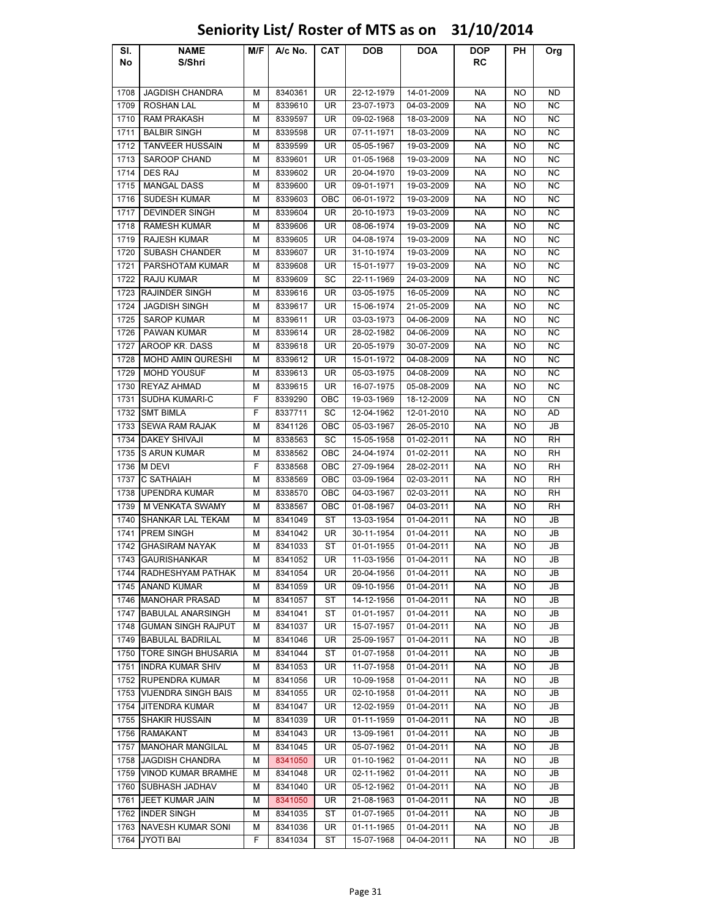### Sl. No NAME S/Shri M/F A/c No. CAT DOB DOA DOP RC PH Org 1708 JAGDISH CHANDRA M 8340361 UR 22-12-1979 14-01-2009 NA NO ND 1709 | ROSHAN LAL | M | 8339610 | UR | 23-07-1973 | 04-03-2009 | NA | NO | NC 1710 RAM PRAKASH M 8339597 UR 09-02-1968 18-03-2009 NA NO NC 1711 | BALBIR SINGH | M | 8339598 | UR | 07-11-1971 | 18-03-2009 | NA | NO | NC 1712 TANVEER HUSSAIN M 8339599 UR 05-05-1967 19-03-2009 NA NO NC 1713 SAROOP CHAND M 8339601 | UR | 01-05-1968 | 19-03-2009 | NA | NO | NC 1714 DES RAJ M 8339602 UR 20-04-1970 19-03-2009 NA NO NC 1715 | MANGAL DASS | M | 8339600 | UR | 09-01-1971 | 19-03-2009 | NA | NO | NC 1716 SUDESH KUMAR M 8339603 OBC 06-01-1972 19-03-2009 NA NO NC 1717 | DEVINDER SINGH | M | 8339604 | UR | 20-10-1973 | 19-03-2009 | NA | NO | NC 1718 | RAMESH KUMAR | M | 8339606 | UR | 08-06-1974 | 19-03-2009 | NA | NO | NC 1719 RAJESH KUMAR HAM 8339605 LUR 04-08-1974 19-03-2009 NA NO NO NC 1720 SUBASH CHANDER M R 8339607 | UR 31-10-1974 | 19-03-2009 | NA NO NC 1721 PARSHOTAM KUMAR | M | 8339608 | UR | 15-01-1977 | 19-03-2009 | NA | NO | NC 1722 | RAJU KUMAR | M | 8339609 | SC | 22-11-1969 | 24-03-2009 | NA | NO | NC 1723 RAJINDER SINGH M 8339616 UR 03-05-1975 16-05-2009 NA NO NC 1724 | JAGDISH SINGH | M | 8339617 | UR | 15-06-1974 | 21-05-2009 | NA | NO | NC 1725 | SAROP KUMAR | M | 8339611 | UR | 03-03-1973 | 04-06-2009 | NA | NO | NC 1726 PAWAN KUMAR M 8339614 UR 28-02-1982 04-06-2009 NA NO NC 1727 AROOP KR. DASS | M | 8339618 | UR | 20-05-1979 | 30-07-2009 | NA | NO | NC 1728 | MOHD AMIN QURESHI | M | 8339612 | UR | 15-01-1972 | 04-08-2009 | NA | NO | NC 1729 MOHD YOUSUF M 8339613 UR 05-03-1975 04-08-2009 NA NO NC 1730 REYAZ AHMAD | M | 8339615 | UR | 16-07-1975 | 05-08-2009 | NA | NO | NC 1731 SUDHA KUMARI-C F 8339290 OBC 19-03-1969 18-12-2009 NA NO CN 1732 |SMT BIMLA | F | 8337711 | SC | 12-04-1962 | 12-01-2010 | NA | NO | AD 1733 SEWA RAM RAJAK M 8341126 OBC 05-03-1967 26-05-2010 NA NO JB 1734 DAKEY SHIVAJI | M | 8338563 | SC | 15-05-1958 | 01-02-2011 | NA | NO | RH 1735 S ARUN KUMAR M 8338562 OBC 24-04-1974 01-02-2011 NA NO RH 1736 |M DEVI | F | 8338568 | OBC | 27-09-1964 | 28-02-2011 | NA | NO | RH 1737 C SATHAIAH M 8338569 OBC 03-09-1964 02-03-2011 NA NO RH 1738 UPENDRA KUMAR M 8338570 OBC 04-03-1967 02-03-2011 NA NO RH 1739 M VENKATA SWAMY M M 8338567 OBC 01-08-1967 04-03-2011 NA NO M RH 1740 SHANKAR LAL TEKAM | M | 8341049 | ST | 13-03-1954 | 01-04-2011 | NA | NO | JB 1741 |PREM SINGH | M | 8341042 | UR | 30-11-1954 | 01-04-2011 | NA | NO | JB 1742 GHASIRAM NAYAK MINI 8341033 ST 01-01-1955 01-04-2011 NA NO JB 1743 GAURISHANKAR | M 8341052 | UR | 11-03-1956 | 01-04-2011 | NA | NO | JB 1744 RADHESHYAM PATHAK M 8341054 UR 20-04-1956 01-04-2011 NA NO JB 1745 ANAND KUMAR M | 8341059 | UR | 09-10-1956 | 01-04-2011 | NA | NO | JB 1746 MANOHAR PRASAD | M | 8341057 | ST | 14-12-1956 | 01-04-2011 | NA | NO | JB 1747 BABULAL ANARSINGH M 8341041 ST 01-01-1957 01-04-2011 NA NO JB 1748 GUMAN SINGH RAJPUT | M | 8341037 | UR | 15-07-1957 | 01-04-2011 | NA | NO | JB 1749 BABULAL BADRILAL | M | 8341046 | UR | 25-09-1957 | 01-04-2011 | NA | NO | JB 1750 TORE SINGH BHUSARIA | M | 8341044 | ST | 01-07-1958 | 01-04-2011 | NA | NO | JB 1751 **INDRA KUMAR SHIV | M | 8341053 | UR | 11-07-1958 | 01-04-2011 | NA | NO | JB** 1752 RUPENDRA KUMAR M 8341056 UR 10-09-1958 01-04-2011 NA NO JB 1753 VIJENDRA SINGH BAIS N MIL 8341055 N UR N 02-10-1958 N 01-04-2011 N NAN N NO NI JB 1754 JITENDRA KUMAR M 8341047 UR 12-02-1959 01-04-2011 NA NO JB 1755 SHAKIR HUSSAIN M 8341039 UR 01-11-1959 01-04-2011 NA NO JB 1756 |RAMAKANT | M | 8341043 | UR | 13-09-1961 | 01-04-2011 | NA | NO | JB 1757 MANOHAR MANGILAL | M | 8341045 | UR | 05-07-1962 | 01-04-2011 | NA | NO | JB 1758 JAGDISH CHANDRA M 8341050 UR 01-10-1962 01-04-2011 NA NO JB 1759 VINOD KUMAR BRAMHE | M | 8341048 | UR | 02-11-1962 | 01-04-2011 | NA | NO | JB 1760 SUBHASH JADHAV M 8341040 UR 05-12-1962 01-04-2011 NA NO JB 1761 JJEET KUMAR JAIN MARIA 18341050 UR 21-08-1963 01-04-2011 NA NO JB 1762 INDER SINGH M 8341035 ST 01-07-1965 01-04-2011 NA NO JB 1763 NAVESH KUMAR SONI MIS341036 UR 01-11-1965 01-04-2011 NA NO JB 1764 JYOTI BAI F 8341034 ST 15-07-1968 04-04-2011 NA NO JB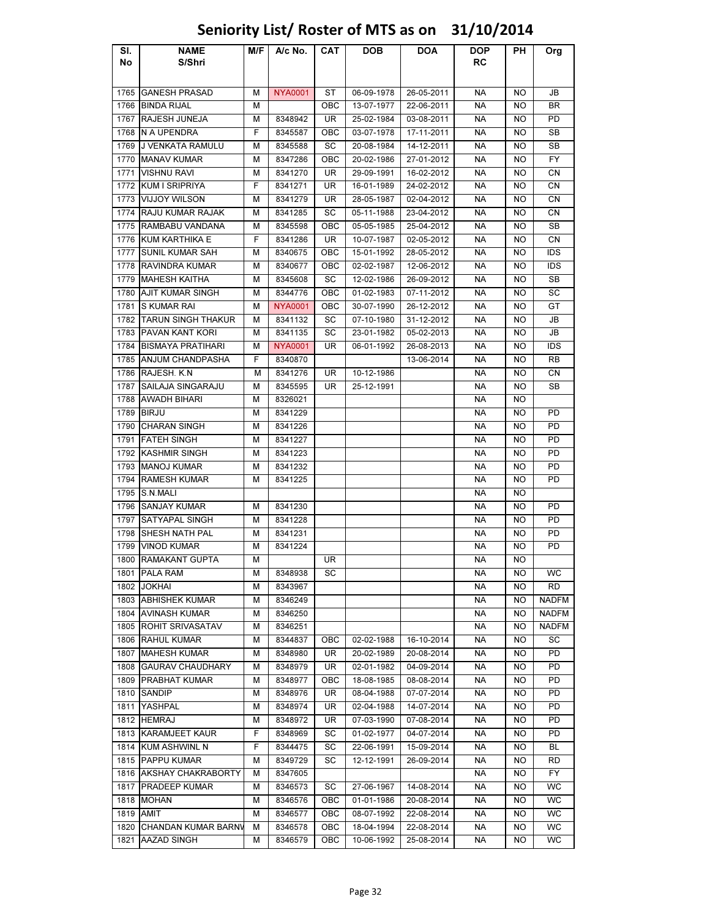### Sl. No NAME S/Shri M/F A/c No. CAT DOB DOA DOP RC PH Org 1765 GANESH PRASAD M NYA0001 ST 06-09-1978 26-05-2011 NA NO JB 1766 BINDA RIJAL M | OBC | 13-07-1977 | 22-06-2011 | NA | NO | BR 1767 RAJESH JUNEJA M 8348942 UR 25-02-1984 03-08-2011 NA NO PD 1768 N A UPENDRA F 8345587 OBC 03-07-1978 17-11-2011 NA NO SB 1769 J VENKATA RAMULU M 8345588 SC 20-08-1984 14-12-2011 NA NO SB 1770 MANAV KUMAR M | 8347286 | OBC | 20-02-1986 | 27-01-2012 | NA | NO | FY 1771 |VISHNU RAVI | M | 8341270 | UR | 29-09-1991 | 16-02-2012 | NA | NO | CN 1772 KUM I SRIPRIYA | F 8341271 | UR | 16-01-1989 | 24-02-2012 | NA | NO | CN 1773 VIJJOY WILSON M 8341279 | UR | 28-05-1987 | 02-04-2012 | NA | NO | CN 1774 RAJU KUMAR RAJAK | M | 8341285 | SC | 05-11-1988 | 23-04-2012 | NA | NO | CN 1775 RAMBABU VANDANA | M | 8345598 | OBC | 05-05-1985 | 25-04-2012 | NA | NO | SB 1776 KUM KARTHIKA E F 8341286 UR 10-07-1987 02-05-2012 NA NO CN 1777 SUNIL KUMAR SAH M 8340675 OBC 15-01-1992 28-05-2012 NA NO IDS 1778 RAVINDRA KUMAR | M | 8340677 | OBC | 02-02-1987 | 12-06-2012 | NA | NO | IDS 1779 MAHESH KAITHA M 8345608 SC 12-02-1986 26-09-2012 NA NO SB 1780 AJIT KUMAR SINGH | M | 8344776 | OBC | 01-02-1983 | 07-11-2012 | NA | NO | SC 1781 S KUMAR RAI M <mark>NYA0001 |</mark> OBC | 30-07-1990 | 26-12-2012 | NA NO | GT 1782 TARUN SINGH THAKUR | M | 8341132 | SC | 07-10-1980 | 31-12-2012 | NA | NO | JB 1783 PAVAN KANT KORI | M | 8341135 | SC | 23-01-1982 | 05-02-2013 | NA | NO | JB 1784 BISMAYA PRATIHARI | M NYA0001 UR 06-01-1992 26-08-2013 | NA | NO | IDS 1785 ANJUM CHANDPASHA | F | 8340870 | | | | | 13-06-2014 | NA | NO | RB 1786 RAJESH. K.N | M | 8341276 | UR | 10-12-1986 | | NA | NO | CN 1787 SAILAJA SINGARAJU MIRI 8345595 | URI 25-12-1991 | NA NO ISB 1788 AWADH BIHARI M 8326021 NA NA NO 1789 |BIRJU | M | 8341229 | | | | NA | NO | PD 1790 CHARAN SINGH M 8341226 NA NO PD 1791 FATEH SINGH M 8341227 NA NO PD 1792 KASHMIR SINGH M 8341223 NA NO PD 1793 |MANOJ KUMAR | M | 8341232 | | | NA | NO | PD 1794 RAMESH KUMAR M 8341225 NA NO PD 1795 S.N.MALI NA NO 1796 SANJAY KUMAR M 8341230 NA NO PD 1797 SATYAPAL SINGH M 8341228 NA NO PD 1798 SHESH NATH PAL MIL8341231 NA NO PD 1799 VINOD KUMAR M 8341224 NA NO PD 1800 RAMAKANT GUPTA | M | UR | | | | | | | | NA | NO 1801 |PALA RAM | | | | | | WC 1802 |JOKHAI | M | 8343967 | | | | NA | NO | RD 1803 ABHISHEK KUMAR M 8346249 NA NO NADFM 1804 AVINASH KUMAR M 8346250 NA NO NADFM NA NO NADFM 1805 ROHIT SRIVASATAV | M | 8346251 | | | | | | | | | NA | | NO | NADFM 1806 RAHUL KUMAR M | M | 8344837 | OBC | 02-02-1988 | 16-10-2014 | NA | NO | SC 1807 MAHESH KUMAR M 8348980 UR 20-02-1989 20-08-2014 NA NO PD 1808 GAURAV CHAUDHARY | M | 8348979 | UR | 02-01-1982 | 04-09-2014 | NA | NO | PD 1809 PRABHAT KUMAR M 8348977 OBC 18-08-1985 08-08-2014 NA NO PD 1810 SANDIP | M | 8348976 | UR | 08-04-1988 | 07-07-2014 | NA | NO | PD 1811 |YASHPAL | M | 8348974 | UR | 02-04-1988 | 14-07-2014 | NA | NO | PD 1812 HEMRAJ M 8348972 UR 07-03-1990 07-08-2014 NA NO PD 1813 KARAMJEET KAUR F 8348969 SC 01-02-1977 04-07-2014 NA NO PD 1814 KUM ASHWINL N | F | 8344475 | SC | 22-06-1991 | 15-09-2014 | NA | NO | BL 1815 PAPPU KUMAR M | M | 8349729 | SC | 12-12-1991 | 26-09-2014 | NA | NO | RD 1816 AKSHAY CHAKRABORTY M 8347605 NA NO FY 1817 PRADEEP KUMAR M 8346573 SC 27-06-1967 14-08-2014 NA NO WC 1818 |MOHAN | M | 8346576 | OBC | 01-01-1986 | 20-08-2014 | NA | NO | WC 1819 |AMIT | M | 8346577 | OBC | 08-07-1992 | 22-08-2014 | NA | NO | WC 1820 CHANDAN KUMAR BARNW M | 8346578 | OBC | 18-04-1994 | 22-08-2014 | NA | NO | WC 1821 AAZAD SINGH M 8346579 OBC 10-06-1992 25-08-2014 NA NO WC